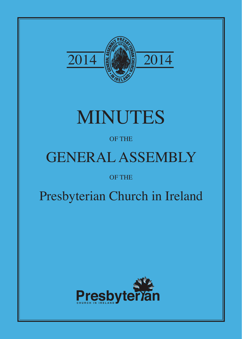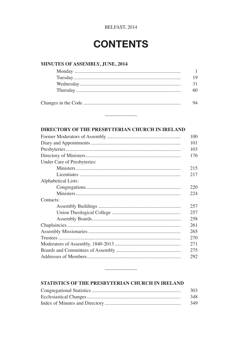## **CONTENTS**

### MINUTES OF ASSEMBLY, JUNE, 2014

### DIRECTORY OF THE PRESBYTERIAN CHURCH IN IRELAND

 $\sim$ 

|                             | 100 |
|-----------------------------|-----|
|                             | 101 |
|                             | 103 |
|                             | 176 |
| Under Care of Presbyteries: |     |
|                             | 215 |
|                             | 217 |
| Alphabetical Lists:         |     |
|                             | 220 |
|                             | 224 |
| Contacts:                   |     |
|                             | 257 |
|                             | 257 |
|                             | 258 |
|                             | 261 |
|                             | 265 |
|                             | 270 |
|                             | 271 |
|                             |     |
|                             | 292 |
|                             |     |

### STATISTICS OF THE PRESBYTERIAN CHURCH IN IRELAND

 $\sim$ 

| 303 |
|-----|
| 348 |
| 349 |

and a strong strong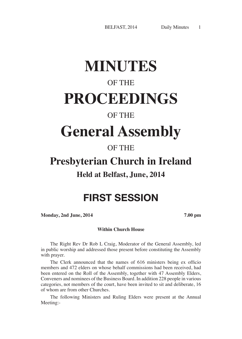# **MINUTES**

## OF THE

# **PROCEEDINGS**

### OF THE

# **General Assembly**

### OF THE

## **Presbyterian Church in Ireland**

### **Held at Belfast, June, 2014**

## FIRST SESSION

**Monday, 2nd June, 2014 7.00 pm**

### **Within Church House**

The Right Rev Dr Rob L Craig, Moderator of the General Assembly, led in public worship and addressed those present before constituting the Assembly with prayer.

The Clerk announced that the names of 616 ministers being ex officio members and 472 elders on whose behalf commissions had been received, had been entered on the Roll of the Assembly, together with 47 Assembly Elders, Conveners and nominees of the Business Board. In addition 228 people in various categories, not members of the court, have been invited to sit and deliberate, 16 of whom are from other Churches.

The following Ministers and Ruling Elders were present at the Annual Meeting:-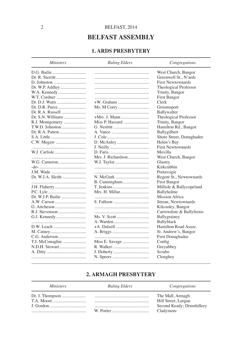### **BELFAST ASSEMBLY**

### **1. ARDS PRESRYTERY**

Ministers **Ruling Elders** Congregations West Church, Bangor Greenwell St., N'ards **First Newtownards** Dr. W.P. Addley........................ Theological Professor Trinity, Bangor **First Bangor** Dr. D.J. Watts ............................ Clerk Groomsport Ballywalter Dr. S.N. Williams .................... Theological Professor R.J. Montgomery .................... Trinity, Bangor Hamilton Rd., Bangor T.W.D. Johnston ....................... Ballvgilbert Shore Street, Donaghadee C.W. Megaw ................................. Helen's Bay **First Newtownards** W.J. Carlisle .............................. Movilla Mrs. J. Richardson.................... West Church, Bangor Glastry Kirkcubbin Portavogie Regent St., Newtownards B. Cunningham........................... **First Bangor** Millisle & Ballycopeland Ballyholme Dr. W.I.P. Bailie Mission Africa Strean, Newtownards Kilcooley, Bangor Carrowdore & Ballyfrenis Ballvgrainev **Ballyblack** Hamilton Road Assoc. St. Andrew's, Bangor First Donaghadee Conlig N.D.H. Stewart......................... Greyabbey Scrabo Cloughey

### **2. ARMAGH PRESBYTERY**

#### **Ministers Ruling Elders** Congregations Dr. J. Thompson ...................... The Mall, Armagh Hill Street, Lurgan Second Keady; Drumhillery Cladymore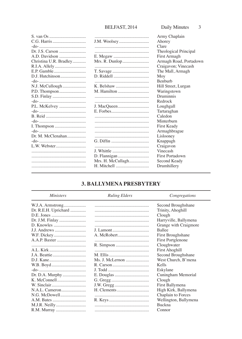|                        |                   | Army Chaplain          |
|------------------------|-------------------|------------------------|
|                        |                   | Ahorey                 |
|                        |                   | Clare                  |
|                        |                   | Theological Principal  |
|                        |                   | First Armagh           |
| Christina U.R. Bradley |                   | Armagh Road, Portadown |
| R.I.A. Allely          |                   | Craigavon; Vinecash    |
|                        |                   | The Mall, Armagh       |
| D.J. Hutchinson        |                   | Moy                    |
|                        |                   | <b>Benburb</b>         |
| N.J. McCullough        |                   | Hill Street, Lurgan    |
|                        | M. Hamilton       | Waringstown            |
|                        |                   | Druminnis              |
|                        |                   | Redrock                |
| P.L. McKelvey          |                   | Loughgall              |
|                        |                   | Tartaraghan            |
|                        |                   | Caledon                |
|                        |                   | Minterburn             |
|                        |                   | First Keady            |
|                        |                   | Armaghbrague           |
| Dr. M. McClenahan      |                   | Lislooney              |
|                        |                   | Knappagh               |
| L.W. Webster           |                   | Craigavon              |
|                        |                   | Vinecash               |
|                        |                   | First Portadown        |
|                        | Mrs. H. McCullagh | Second Keady           |
|                        | H. Mitchell       | Drumhillery            |
|                        |                   |                        |

### **3. BALLYMENA PRESBYTERY**

| <i>Ministers</i>     | <b>Ruling Elders</b> | Congregations         |
|----------------------|----------------------|-----------------------|
| W.J.A. Armstrong     |                      | Second Broughshane    |
| Dr. R.E.H. Uprichard |                      | Trinity, Ahoghill     |
|                      |                      | Clough                |
| Dr. J.M. Finlay      |                      | Harryville, Ballymena |
|                      |                      | Grange with Craigmore |
|                      |                      | <b>Ballee</b>         |
| W.F. Dickey          |                      | First Broughshane     |
|                      |                      | First Portglenone     |
|                      |                      | Cloughwater           |
| A.L. Kirk            |                      | <b>First Ahoghill</b> |
|                      |                      | Second Broughshane    |
|                      |                      | West Church, B'mena   |
| W.B. Boyd            |                      | Kells                 |
|                      |                      | Eskylane              |
|                      |                      | Cuningham Memorial    |
| K. McConnell         |                      | Clough                |
|                      |                      | First Ballymena       |
| N.A.L. Cameron       |                      | High Kirk, Ballymena  |
| N.G. McDowell        |                      | Chaplain to Forces    |
|                      |                      | Wellington, Ballymena |
|                      |                      | <b>Buckna</b>         |
| R.M. Murray          |                      | Connor                |
|                      |                      |                       |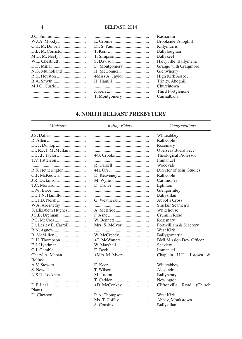|                  | Rasharkin             |
|------------------|-----------------------|
| W.J.A. Moody     | Brookside, Ahoghill   |
|                  | Killymurris           |
| D.B. McCorriston | Ballyloughan          |
| M.D. McNeely     | Ballykeel             |
| W.E. Chestnutt   | Harryville, Ballymena |
| D.C. Millar      | Grange with Craigmore |
| N.G. Mulholland  | Glenwherry            |
| R.H. Houston     | High Kirk Assoc.      |
|                  | Trinity, Ahoghill     |
| M.J.O. Currie    | Churchtown            |
|                  | Third Portglenone     |
|                  | Cairnalbana           |
|                  |                       |

### **4. NORTH BELFAST PRESBYTERY**

### $Ministers$

### **Ruling Elders**

 $Congregations$ 

|                       | Whiteabbey                       |
|-----------------------|----------------------------------|
|                       | Rathcoole                        |
|                       | Rosemary                         |
|                       | Overseas Board Sec.              |
| Dr. J.P. Taylor       | Theological Professor            |
|                       | Immanuel                         |
|                       | Woodvale                         |
|                       | Director of Min. Studies         |
|                       | Rathcoole                        |
| J.R. Dickinson        | Carnmoney                        |
| T.C. Morrison         | Eglinton                         |
|                       | Glengormley                      |
| Dr. T.N. Hamilton     | Ballysillan                      |
| Dr. I.D. Neish        | Abbot's Cross                    |
|                       | Sinclair Seamen's                |
| S. Elizabeth Hughes   | Whitehouse                       |
|                       | Crumlin Road                     |
|                       | Rosemary                         |
| Dr. Lesley E. Carroll | Fortwilliam & Macrory            |
|                       | West Kirk                        |
|                       | Ballygomartin                    |
|                       | <b>BMI Mission Dev. Officer</b>  |
| E.J. Hyndman          | Seaview                          |
|                       | Immanuel                         |
| Cheryl A. Meban       | Chaplain U.U. J'stown &          |
| <b>Belfast</b>        |                                  |
|                       | Whiteabbey                       |
|                       | Alexandra                        |
| N.S.R. Lockhart       | Ballyhenry                       |
|                       | Newington                        |
|                       | Cliftonville<br>Road<br>(Church) |
| Plant)                |                                  |
|                       | West Kirk                        |
|                       | Abbey, Monkstown                 |
|                       | Ballysillan                      |
|                       |                                  |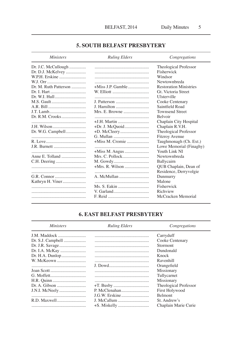### **5. SOUTH BELFAST PRESBYTERY**

| <b>Ministers</b>      | <b>Ruling Elders</b> | Congregations                 |
|-----------------------|----------------------|-------------------------------|
| Dr. J.C. McCullough   |                      | Theological Professor         |
| Dr. D.J. McKelvey     |                      | Fisherwick                    |
| W.P.H. Erskine        |                      | Windsor                       |
|                       |                      | Newtownbreda                  |
| Dr. M. Ruth Patterson |                      | <b>Restoration Ministries</b> |
|                       |                      | Gt. Victoria Street           |
|                       |                      | Ulsterville                   |
|                       |                      | Cooke Centenary               |
|                       | J. Hamilton          | Saintfield Road               |
|                       | Mrs. E. Browne       | <b>Townsend Street</b>        |
|                       |                      | <b>Belvoir</b>                |
|                       |                      | Chaplain City Hospital        |
|                       |                      | Chaplain R.V.H.               |
| Dr. W.G. Campbell     |                      | Theological Professor         |
|                       |                      | <b>Fitzroy Avenue</b>         |
|                       |                      | Taughmonagh (Ch. Ext.)        |
|                       |                      | Lowe Memorial (Finaghy)       |
|                       |                      | Youth Link NI                 |
|                       | Mrs. C. Pollock      | Newtownbreda                  |
|                       |                      | Ballycairn                    |
|                       |                      | QUB Chaplain, Dean of         |
|                       |                      | Residence, Derryvolgie        |
|                       |                      | Dunmurry                      |
| Kathryn H. Viner      |                      | Malone                        |
|                       |                      | Fisherwick                    |
|                       |                      | Richview                      |
|                       |                      | McCracken Memorial            |

### **6. EAST BELFAST PRESBYTERY**

| <i>Ministers</i> | <b>Ruling Elders</b> | Congregations         |
|------------------|----------------------|-----------------------|
| J.M. Maddock     |                      | Carryduff             |
|                  |                      | Cooke Centenary       |
|                  |                      | <b>Stormont</b>       |
|                  |                      | Dundonald             |
| Dr. H.A. Dunlop  |                      | Knock                 |
|                  |                      | Ravenhill             |
|                  |                      | Orangefield           |
|                  |                      | Missionary            |
|                  |                      | Tullycarnet           |
|                  |                      | Missionary            |
|                  |                      | Theological Professor |
| J.N.I. McNeely   |                      | <b>First Holywood</b> |
|                  |                      | <b>Belmont</b>        |
|                  |                      | St. Andrew's          |
|                  |                      | Chaplain Marie Curie  |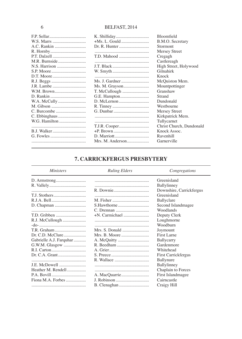|               |                  | Bloomfield               |
|---------------|------------------|--------------------------|
| W.S. Marrs    |                  | B.M.O. Secretary         |
| A.C. Rankin   |                  | <b>Stormont</b>          |
|               |                  | Mersey Street            |
| P.T. Dalzell  |                  | Cregagh                  |
| M.R. Burnside |                  | Castlereagh              |
| N.S. Harrison |                  | High Street, Holywood    |
| S.P. Moore    |                  | Gilnahirk                |
| D.T. Moore    |                  | Knock                    |
|               |                  | McQuiston Mem.           |
| J.R. Lambe    |                  | Mountpottinger           |
| W.M. Brown    | T. McCullough    | Granshaw                 |
| D. Rankin     |                  | Strand                   |
| W.A. McCully  |                  | Dundonald                |
| M. Gibson     |                  | Westbourne               |
| C. Burcombe   |                  | Mersey Street            |
| C. Ebbinghaus |                  | Kirkpatrick Mem.         |
| W.G. Hamilton |                  | Tullycarnet              |
|               |                  | Christ Church, Dundonald |
| B.J. Walker   |                  | Knock Assoc.             |
| G. Fowles     |                  | Ravenhill                |
|               | Mrs. M. Anderson | Garnerville              |
|               |                  |                          |

### **7. CARRICKFERGUS PRESBYTERY**

| <i>Ministers</i>        | <b>Ruling Elders</b> | Congregations            |
|-------------------------|----------------------|--------------------------|
|                         |                      | Greenisland              |
|                         |                      | Ballylinney              |
|                         |                      | Downshire, Carrickfergus |
|                         |                      | Greenisland              |
|                         |                      | Ballyclare               |
|                         |                      | Second Islandmagee       |
|                         |                      | Woodlands                |
|                         | +N. Carmichael       | Deputy Clerk             |
| R.J. McCullough         |                      | Loughmorne               |
|                         |                      | Woodburn                 |
| T.R. Graham             | Mrs. S. Donald       | Joymount                 |
|                         |                      | First Larne              |
| Gabrielle A.J. Farquhar |                      | Ballycarry               |
| G.W.M. Glasgow          |                      | Gardenmore               |
|                         |                      | Whitehead                |
|                         |                      | First Carrickfergus      |
|                         |                      | Ballynure                |
| <b>J.E. McDowell</b>    |                      | Ballylinney              |
| Heather M. Rendell      |                      | Chaplain to Forces       |
|                         | A. MacQuarrie        | First Islandmagee        |
|                         |                      | Cairncastle              |
|                         |                      | Craigy Hill              |

### $\sqrt{6}$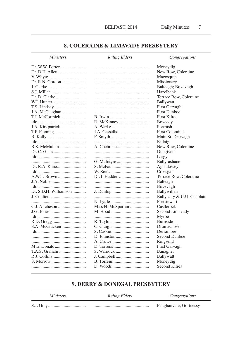### **8. COLERAINE & LIMAVADY PRESBYTERY**

| <i>Ministers</i>      | <b>Ruling Elders</b> | Congregations              |
|-----------------------|----------------------|----------------------------|
| Dr. W.W. Porter       |                      | Moneydig                   |
|                       |                      | New Row, Coleraine         |
|                       |                      | Macosquin                  |
| Dr. R.N. Gordon       |                      | Missionary                 |
| J. Clarke             |                      | Balteagh; Bovevagh         |
| S.J. Millar           |                      | Hazelbank                  |
| Dr. D. Clarke         |                      | Terrace Row, Coleraine     |
| W.I. Hunter           |                      | Ballywatt                  |
|                       |                      | First Garvagh              |
| J.A. McCaughan        |                      | <b>First Dunboe</b>        |
| T.J. McCormick        |                      | First Kilrea               |
|                       |                      | Boveedy                    |
| J.A. Kirkpatrick      |                      | Portrush                   |
|                       | J.A. Cassells        | <b>First Coleraine</b>     |
|                       |                      | Main St., Garvagh          |
|                       |                      | Killaig                    |
| R.S. McMullan         |                      | New Row, Coleraine         |
| Dr. C. Glass          |                      | Dungiven                   |
|                       |                      | Largy                      |
|                       |                      | Ballyrashane               |
|                       |                      | Aghadowey                  |
|                       |                      | Crossgar                   |
| A.W.T. Brown          | Dr. I. Hadden        | Terrace Row, Coleraine     |
| J.A. Noble            |                      | Balteagh                   |
|                       |                      | Bovevagh                   |
| Dr. S.D.H. Williamson |                      | Ballywillan                |
| J. Coulter            |                      | Ballysally & U.U. Chaplain |
|                       |                      | Portstewart                |
| C.J. Aitcheson        | Miss H. McSparran    | Castlerock                 |
|                       |                      | Second Limavady            |
|                       |                      | Myroe                      |
|                       |                      | Burnside                   |
| S.A. McCracken        |                      | Drumachose                 |
|                       |                      | Derramore                  |
|                       |                      | Second Dunboe              |
|                       | A. Crowe             | Ringsend                   |
| M.E. Donald           |                      | First Garvagh              |
| T.A.S. Graham         |                      | Banagher                   |
| R.J. Collins          |                      | Ballywatt                  |
| S. Morrow             |                      | Moneydig                   |
|                       | D. Woods             | Second Kilrea              |
|                       |                      |                            |

### 9. DERRY & DONEGAL PRESBYTERY

| <i>Ministers</i> | <b>Ruling Elders</b> | Congregations          |
|------------------|----------------------|------------------------|
|                  |                      | Faughanyale; Gortnessy |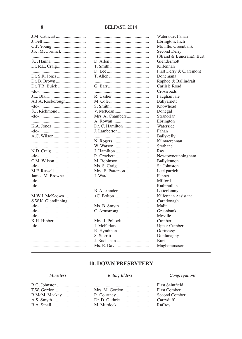|                    |                   | Waterside; Fahan          |
|--------------------|-------------------|---------------------------|
|                    |                   | Ebrington; Inch           |
|                    |                   | Moville; Greenbank        |
| J.K. McCormick     |                   | Second Derry              |
|                    |                   | (Strand & Buncrana); Burt |
|                    |                   | Glendermott               |
|                    |                   | Kilfennan                 |
|                    |                   | First Derry & Claremont   |
|                    |                   | Donemana                  |
| Dr. B. Brown       |                   | Raphoe & Ballindrait      |
| Dr. T.R. Buick     |                   | Carlisle Road             |
|                    |                   | Crossroads                |
| J.L. Blair         | R. Ussher         | Faughanvale               |
| A.J.A. Rosborough  |                   | Ballyarnett               |
|                    |                   | Knowhead                  |
| S.J. Richmond      | V. McKean         | Donegal                   |
|                    | Mrs. A. Chambers  | Stranorlar                |
|                    | A. Rowan          | Ebrington                 |
|                    | Dr. C. Hamilton   | Waterside                 |
|                    | J. Lamberton      | Fahan                     |
|                    |                   | Ballykelly                |
|                    | N. Rogers         | Kilmacrennan              |
|                    | W. Watson         | Strabane                  |
|                    | J. Hamilton       | Ray                       |
|                    | R. Crockett       | Newtowncunningham         |
|                    | M. Robinson       | Ballylennon               |
|                    |                   | St. Johnston              |
| M.F. Russell       | Mrs. E. Patterson | Leckpatrick               |
| Janice M. Browne   |                   | Fannet                    |
|                    |                   | Milford                   |
|                    |                   | Rathmullan                |
|                    |                   | Letterkenny               |
| M.W.J. McKeown     |                   | Kilfennan Assistant       |
| S.W.K. Glendinning |                   | Carndonagh                |
|                    |                   | Malin                     |
|                    |                   | Greenbank                 |
|                    |                   | Moville                   |
| K.H. Hibbert       | Mrs. J. Pollock   | Cumber                    |
|                    | J. McFarland      | Upper Cumber              |
|                    |                   | Gortnessy                 |
|                    |                   | Dunfanaghy                |
|                    | J. Buchanan       | Burt                      |
|                    | Ms. E. Davis      | Magheramason              |
|                    |                   |                           |

### **10. DOWN PRESBYTERY**

| <i>Ministers</i>            | <b>Ruling Elders</b> | Congregations                                                                           |
|-----------------------------|----------------------|-----------------------------------------------------------------------------------------|
| R.McM. Mackay<br>B.A. Small |                      | <b>First Saintfield</b><br><b>First Comber</b><br>Second Comber<br>Carryduff<br>Raffrey |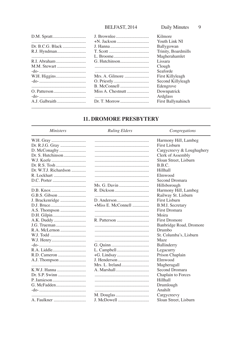| D.M. Spratt      |               | Kilmore             |
|------------------|---------------|---------------------|
|                  |               | Youth Link NI       |
| Dr. B.C.G. Black |               | Ballygowan          |
| R.J. Hyndman     |               | Trinity, Boardmills |
|                  |               | Magherahamlet       |
| R.I. Abraham     |               | Lissara             |
|                  |               | Clough              |
|                  |               | Seaforde            |
| W.H. Higgins     |               | First Killyleagh    |
|                  |               | Second Killyleagh   |
|                  |               | Edengrove           |
|                  |               | Downpatrick         |
|                  |               | Ardglass            |
|                  | Dr. T. Morrow | First Ballynahinch  |
|                  |               |                     |

### **11. DROMORE PRESBYTERY**

**Ministers** 

**Ruling Elders** 

 $Congregations$ 

|                       |             | Harmony Hill, Lambeg      |
|-----------------------|-------------|---------------------------|
|                       |             | First Lisburn             |
|                       |             | Cargycreevy & Loughaghery |
|                       |             | Clerk of Assembly         |
|                       |             | Sloan Street, Lisburn     |
|                       |             | B.B.C.                    |
| Dr. W.T.J. Richardson |             | Hillhall                  |
|                       |             | Elmwood                   |
|                       |             | Second Dromara            |
|                       |             | Hillsborough              |
|                       |             | Harmony Hill, Lambeg      |
|                       |             | Railway St. Lisburn       |
|                       |             | First Lisburn             |
|                       |             | <b>B.M.I.</b> Secretary   |
|                       |             | <b>First Dromara</b>      |
|                       |             | Moira                     |
|                       |             | <b>First Dromore</b>      |
|                       |             | Banbridge Road, Dromore   |
|                       |             | Drumbo                    |
|                       |             | St. Columba's, Lisburn    |
|                       |             | Maze                      |
|                       |             | Ballinderry               |
|                       |             | Legacurry                 |
|                       |             | Prison Chaplain           |
|                       |             | Elmwood                   |
|                       |             | Magheragall               |
|                       |             | Second Dromara            |
|                       |             | Chaplain to Forces        |
|                       |             | Hillhall                  |
|                       |             | Drumlough                 |
|                       |             | Anahilt                   |
|                       | M. Douglas  | Cargycreevy               |
|                       | J. McDowell | Sloan Street, Lisburn     |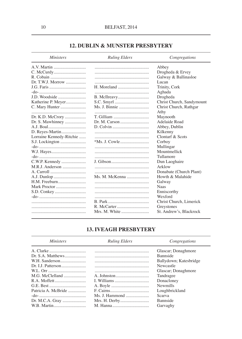### **12. DUBLIN & MUNSTER PRESBYTERY**

| <i>Ministers</i>         | <b>Ruling Elders</b> | Congregations             |
|--------------------------|----------------------|---------------------------|
|                          |                      | Abbey                     |
|                          |                      | Drogheda & Ervey          |
|                          |                      | Galway & Ballinasloe      |
|                          |                      | Lucan                     |
|                          | H. Moreland          | Trinity, Cork             |
|                          |                      | Aghada                    |
| J.D. Woodside            |                      | Drogheda                  |
|                          |                      | Christ Church, Sandymount |
| C. Mary Hunter           | Ms. J. Binnie        | Christ Church, Rathgar    |
|                          |                      | Athy                      |
|                          | T. Gilliam           | Maynooth                  |
| Dr. S. Mawhinney         | Dr. M. Carson        | Adelaide Road             |
|                          |                      | Abbey, Dublin             |
|                          |                      | Kilkenny                  |
| Lorraine Kennedy-Ritchie |                      | Clontarf & Scots          |
|                          |                      | Corboy                    |
|                          |                      | Mullingar                 |
|                          |                      | Mountmellick              |
|                          |                      | Tullamore                 |
|                          |                      | Dun Laoghaire             |
|                          |                      | Arklow                    |
|                          |                      | Donabate (Church Plant)   |
|                          | Ms. M. McKenna       | Howth & Malahide          |
|                          |                      | Galway                    |
| Mark Proctor             |                      | <b>Naas</b>               |
|                          |                      | Enniscorthy               |
|                          |                      | Wexford                   |
|                          |                      | Christ Church, Limerick   |
|                          |                      | Greystones                |
|                          |                      | St. Andrew's, Blackrock   |

### **13. IVEAGH PRESBYTERY**

| Ruling Elders | Congregations          |
|---------------|------------------------|
|               | Glascar; Donaghmore    |
|               | Bannside               |
|               | Ballydown; Katesbridge |
|               | Newcastle              |
|               | Glascar; Donaghmore    |
|               | Tandragee              |
|               | Donacloney             |
|               | <b>Newmills</b>        |
|               | Loughbrickland         |
|               | Scarva                 |
|               | <b>Bannside</b>        |
|               | Garvaghy               |
|               |                        |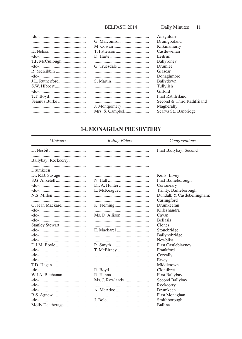### BELFAST, 2014 Daily Minutes 11

|                 | Anaghlone                  |
|-----------------|----------------------------|
|                 | Drumgooland                |
|                 | Kilkinamurry               |
|                 | Castlewellan               |
|                 | Leitrim                    |
| T.P. McCullough | Ballyroney                 |
|                 | Drumlee                    |
| R. McKibbin     | Glascar                    |
|                 | Donaghmore                 |
| J.L. Rutherford | Ballydown                  |
|                 | Tullylish                  |
|                 | Gilford                    |
| T.T. Boyd       | <b>First Rathfriland</b>   |
| Seamus Burke    | Second & Third Rathfriland |
|                 | Magherally                 |
|                 | Scarva St., Banbridge      |
|                 |                            |

### **14. MONAGHAN PRESBYTERY**

| <i>Ministers</i>     | <b>Ruling Elders</b> | Congregations               |
|----------------------|----------------------|-----------------------------|
|                      |                      | First Ballybay; Second      |
|                      |                      |                             |
| Ballybay; Rockcorry; |                      |                             |
| Drumkeen             |                      |                             |
|                      |                      |                             |
| Dr. R.B. Savage      |                      | Kells; Ervey                |
|                      |                      | First Bailieborough         |
|                      |                      | Corraneary                  |
|                      |                      | Trinity, Bailieborough      |
|                      |                      | Dundalk & Castlebellingham; |
|                      |                      | Carlingford                 |
| G. Jean Mackarel     |                      | Drumkeeran                  |
|                      |                      | Killeshandra                |
|                      | Ms. D. Allison       | Cavan                       |
|                      |                      | <b>Bellasis</b>             |
|                      |                      | Clones                      |
|                      | E. Mackarel          | Stonebridge                 |
|                      |                      | Ballyhobridge               |
|                      |                      | <b>Newbliss</b>             |
|                      |                      | <b>First Castleblayney</b>  |
|                      |                      | Frankford                   |
|                      |                      | Corvally                    |
|                      |                      | Ervey                       |
| T.D. Hagan           |                      | Middletown                  |
|                      |                      | <b>Clontibret</b>           |
| W.J.A. Buchanan      |                      |                             |
|                      |                      | First Ballybay              |
|                      | Ms. J. Rowlands      | Second Ballybay             |
|                      |                      | Rockcorry                   |
|                      |                      | Drumkeen                    |
|                      |                      | First Monaghan              |
|                      |                      | Smithborough                |
| Molly Deatherage     |                      | Ballina                     |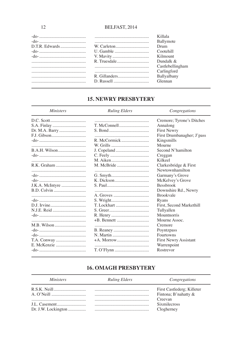|                                                        | Killala          |
|--------------------------------------------------------|------------------|
|                                                        | Ballymote        |
|                                                        | Drum             |
|                                                        | Cootehill        |
|                                                        | Kilmount         |
|                                                        | Dundalk &        |
|                                                        | Castlebellingham |
|                                                        | Carlingford      |
|                                                        | Ballyalbany      |
| $D.$ Russell $\ldots$ . $\ldots$ . $\ldots$ . $\ldots$ | Glennan          |
|                                                        |                  |

### **15. NEWRY PRESBYTERY**

| <i>Ministers</i> | <b>Ruling Elders</b> | Congregations                |
|------------------|----------------------|------------------------------|
|                  |                      | Cremore; Tyrone's Ditches    |
|                  |                      | Annalong                     |
|                  |                      | <b>First Newry</b>           |
|                  |                      | First Drumbanagher; J'pass   |
|                  |                      | Kingsmills                   |
|                  |                      | Mourne                       |
|                  |                      | Second N'hamilton            |
|                  |                      | Creggan                      |
|                  |                      | Kilkeel                      |
|                  |                      | Clarkesbridge & First        |
|                  |                      | Newtownhamilton              |
|                  |                      | Garmany's Grove              |
|                  |                      | McKelvey's Grove             |
| J.K.A. McIntyre  |                      | <b>Bessbrook</b>             |
|                  |                      | Downshire Rd., Newry         |
|                  |                      | <b>Brookvale</b>             |
|                  |                      | Ryans                        |
|                  | T. Lockhart          | First, Second Markethill     |
|                  |                      | Tullyallen                   |
|                  |                      | Mountnorris                  |
|                  |                      | Mourne Assoc.                |
|                  |                      | Cremore                      |
|                  |                      | Poyntzpass                   |
|                  |                      | Fourtowns                    |
|                  |                      | <b>First Newry Assistant</b> |
|                  |                      | Warrenpoint                  |
|                  |                      | Rostrevor                    |

### **16. OMAGH PRESBYTERY**

### **Ministers**

### **Ruling Elders**

Congregations

|  | First Castlederg; Killeter |
|--|----------------------------|
|  | Fintona; B'nahatty &       |
|  | Creevan                    |
|  | <b>Sixmilecross</b>        |
|  | Clogherney                 |
|  |                            |

12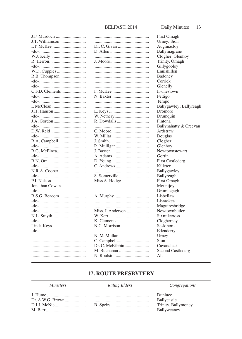| J.F. Murdoch    | .      |
|-----------------|--------|
| J.T. Williamson | .      |
| I.T. McKee      | Dr. C. |
|                 | D. All |
|                 | .      |
|                 | J. Moo |
|                 | .      |
| W.D. Cupples    | .      |
| R.B. Thompson   | .      |
|                 | .      |
|                 | .      |
| C.F.D. Clements | F. Mcl |
|                 | N. Ba: |
|                 | .      |
|                 | .      |
| J.H. Hanson     | L. Key |
|                 | W. Ne  |
|                 | R. Do  |
|                 | .      |
|                 | C. Mo  |
|                 | W. Mi  |
| R.A. Campbell   | J. Smi |
|                 | R. Mu  |
|                 | J. Bax |
|                 |        |
|                 | A. Ad  |
|                 | D. You |
|                 | C. Ano |
| N.R.A. Cooper   | .      |
|                 | S. Son |
|                 | Miss A |
| Jonathan Cowan  | .      |
|                 | .      |
| R.S.G. Beacom   | A. Mu  |
|                 | .      |
|                 | .      |
|                 | Miss.  |
|                 | W. Ke  |
|                 | K. Cle |
| Linda Keys      | N.C. N |
|                 | .      |
|                 | N. Mc  |
|                 | C. Car |
|                 | Dr.C.  |
|                 | M. Bu  |
|                 | N. Roi |

|                   | fiifst U       |
|-------------------|----------------|
|                   | Urney;         |
|                   | Aughn          |
|                   | Ballyn         |
|                   | Cloghe         |
|                   | Trinity        |
|                   | Gillyge        |
|                   | Ennisk         |
|                   | Badon          |
|                   | Corricl        |
|                   | Glenel         |
|                   | Irvines        |
|                   | Pettigo        |
|                   | Tempo          |
|                   | Ballyg         |
|                   | Drome          |
| W. Nethery        | Drumq          |
|                   | Finton         |
|                   | Ballyn         |
|                   | Ardstra        |
| W. Millar         | Dougla         |
|                   | Cloghe         |
| R. Mulligan       | Glenho         |
|                   | Newto          |
|                   | Gortin         |
|                   | First C        |
|                   | Killete        |
|                   | Ballyg         |
| S. Somerville     | Ballyre        |
|                   | First O        |
|                   | Mount          |
|                   | Druml          |
|                   | Lisbell        |
|                   | Lisnas         |
|                   |                |
|                   | Magui<br>Newto |
| Miss. I. Anderson |                |
|                   | Sixmil         |
|                   | Cloghe         |
|                   | Seskin         |
|                   | Edend          |
| N. McMullan       | Urney          |
|                   | Sion           |
| Dr. C. McKibbin   | Cavan:         |
| M. Buchanan       | Second         |
|                   | Alt            |

First Omagh Sion acloy nagrane er; Glenhoy , Omagh ooley cillen ey k lly stown awley; Ballyreagh <sub>re</sub> uin a ahatty & Creevan aw as er  $\overline{\text{OV}}$ .<br>wnstewart astlederg  $\mathbf{r}$ awley eagh magh joy egagh law kea resbridge wnbutler ecross erney ore erry aleck d Castlederg

### **17. ROUTE PRESBYTERY**

#### **Ministers Ruling Elders** Congregations Dunluce Dr. A.W.G. Brown................... Ballycastle Trinity, Ballymoney Ballyweaney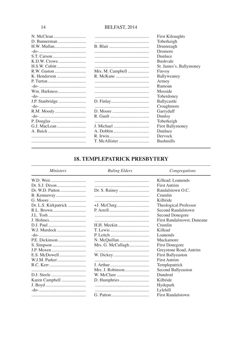|               |                  | <b>First Kilraughts</b> |
|---------------|------------------|-------------------------|
| D. Bannerman  |                  | Toberkeigh              |
| H.W. Mullan   |                  | Drumreagh               |
|               |                  | Dromore                 |
|               |                  | Dunluce                 |
| K.D.W. Crowe  |                  | <b>Bushvale</b>         |
| H.S.W. Cubitt |                  | St. James's, Ballymoney |
| R.W. Gaston   | Mrs. M. Campbell | Finvoy                  |
| K. Henderson  |                  | Ballyweaney             |
|               |                  | Armoy                   |
|               |                  | Ramoan                  |
| Wm. Harkness  |                  | Mosside                 |
|               |                  | Toberdoney              |
|               |                  | Ballycastle             |
|               |                  | Croaghmore              |
|               |                  | Garryduff               |
|               |                  | Dunloy                  |
| P. Douglas    |                  | Toberkeigh              |
| G.J. MacLean  |                  | <b>First Ballymoney</b> |
|               |                  | Dunluce                 |
|               |                  | Dervock                 |
|               |                  | <b>Bushmills</b>        |
|               |                  |                         |

### **18. TEMPLEPATRICK PRESBYTERY**

| <i>Ministers</i>     | <b>Ruling Elders</b> | Congregations              |
|----------------------|----------------------|----------------------------|
| W.D. Weir            |                      | Killead; Loanends          |
|                      |                      | <b>First Antrim</b>        |
|                      |                      | Randalstown O.C.           |
|                      |                      | Crumlin                    |
|                      |                      | Kilbride                   |
| Dr. L.S. Kirkpatrick |                      | Theological Professor      |
|                      |                      | Second Randalstown         |
|                      |                      | Second Donegore            |
|                      |                      | First Randalstown; Duneane |
|                      |                      | Crumlin                    |
| W.J. Murdock         |                      | Killead                    |
|                      |                      | Loanends                   |
| P.E. Dickinson       |                      | Muckamore                  |
|                      | Mrs. G. McCullagh    | <b>First Donegore</b>      |
|                      |                      | Greystone Road, Antrim     |
|                      |                      | <b>First Ballyeaston</b>   |
|                      |                      | <b>First Antrim</b>        |
|                      |                      | Templepatrick              |
|                      | Mrs. J. Robinson     | Second Ballyeaston         |
|                      |                      | Dundrod                    |
| Karen Campbell       |                      | Kilbride                   |
|                      |                      | Hydepark                   |
|                      |                      | Lylehill                   |
|                      |                      | <b>First Randalstown</b>   |

14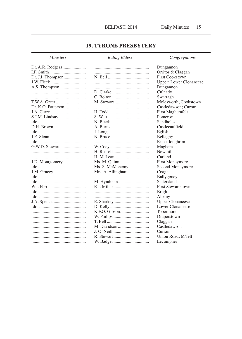### **19. TYRONE PRESBYTERY**

| <b>Ministers</b>   | <b>Ruling Elders</b> | Congregations             |
|--------------------|----------------------|---------------------------|
| Dr. A.R. Rodgers   |                      | Dungannon                 |
|                    |                      | Orritor & Claggan         |
| Dr. J.I. Thompson  |                      | <b>First Cookstown</b>    |
| J.W. Fleck         |                      | Upper; Lower Clonaneese   |
|                    |                      | Dungannon                 |
|                    |                      | Culnady                   |
|                    |                      | Swatragh                  |
| T.W.A. Greer       |                      | Molesworth, Cookstown     |
| Dr. K.O. Patterson |                      | Castledawson; Curran      |
|                    |                      | First Magherafelt         |
|                    |                      | Pomeroy                   |
|                    |                      | Sandholes                 |
| D.H. Brown         |                      | Castlecaulfield           |
|                    |                      | Eglish                    |
| J.E. Sloan         |                      | Bellaghy                  |
|                    |                      | Knockloughrim             |
| G.W.D. Stewart     |                      | Maghera                   |
|                    |                      | <b>Newmills</b>           |
|                    |                      | Carland                   |
| J.D. Montgomery    |                      | First Moneymore           |
|                    | Ms. S. McMenemy      | Second Moneymore          |
|                    | Mrs. A. Allingham    | Coagh                     |
|                    |                      | Ballygoney                |
|                    | M. Hyndman           | Saltersland               |
| W.I. Ferris        |                      | <b>First Stewartstown</b> |
|                    |                      | <b>Brigh</b>              |
|                    |                      | Albany                    |
|                    |                      | <b>Upper Clonaneese</b>   |
|                    |                      | Lower Clonaneese          |
|                    |                      | Tobermore                 |
|                    |                      | Draperstown               |
|                    |                      | Claggan                   |
|                    |                      | Castledawson              |
|                    |                      | Curran                    |
|                    |                      | Union Road, M'felt        |
|                    |                      | Lecumpher                 |
|                    |                      |                           |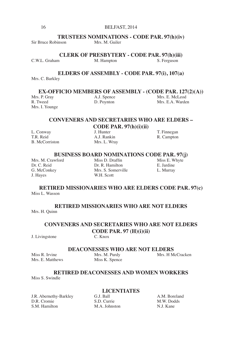### **TRUSTEES NOMINATIONS - CODE PAR. 97(h)(iv)**<br>linson Mrs M Guiler

Sir Bruce Robinson

**CLERK OF PRESBYTERY - CODE PAR. 97(h)(iii)**<br>M. Hampton S. Ferguson C.W.L. Graham

### **ELDERS OF ASSEMBLY - CODE PAR. 97(i), 107(a)**

Mrs. C. Barkley

**EX-OFFICIO MEMBERS OF ASSEMBLY - (CODE PAR. 127(2)(A))**<br>Mrs. P. Gray A.J. Spence Mrs. E. McLeod

Mrs. I. Younge

Mrs. P. Gray A.J. Spence Mrs. E. McLeod<br>
R. Tweed D. Povnton Mrs. E.A. Warder Mrs. E.A. Warden

### **CONVENERS AND SECRETARIES WHO ARE ELDERS –**

**CODE PAR. 97(h)(i)(ii)**

B. McCorriston

### L. Conway J. Hunter T. Finnegan<br>
T. R. Reid A. I. Rankin R. Campton A.J. Rankin R. Campton<br>Mrs. L. Wrav

**BUSINESS BOARD NOMINATIONS CODE PAR. 97(j)**<br>wford Miss D. Draffin Miss E. Whyte

Mrs. M. Crawford Miss D. Draffin Miss E. W<br>
Dr. C. Reid Dr. R. Hamilton E. Jardine

Dr. C. Reid Dr. R. Hamilton E. Jardine E. Jardine G. McConkey Mrs. S. Somerville L. Murray G. McConkey Mrs. S. Somerville<br>
J. Hayes W.H. Scott W.H. Scott

### **RETIRED MISSIONARIES WHO ARE ELDERS CODE PAR. 97(c)** Miss L. Wasson

### **RETIRED MISSIONARIES WHO ARE NOT ELDERS** Mrs. H. Quinn

### **CONVENERS AND SECRETARIES WHO ARE NOT ELDERS CODE PAR. 97 (H)(i)(ii)**<br>C. Knox

J. Livingstone

**DEACONESSES WHO ARE NOT ELDERS**<br>Mrs. M. Purdy Mrs. H M

Miss R. Irvine Mrs. M. Purdy Mrs. H McCracken<br>Mrs. E. Matthews Miss K. Spence Mrs. E. Matthews

### **RETIRED DEACONESSES AND WOMEN WORKERS**

Miss S. Swindle

## **LICENTIATES**

J.R. Abernethy-Barkley G.J. Ball A.M. Boreland D.R. Cromie S.D. Currie M.W. Dodds D.R. Cromie S.D. Currie M.W. Dod<br>S.M. Hamilton M.A. Johnston N.J. Kane

M.A. Johnston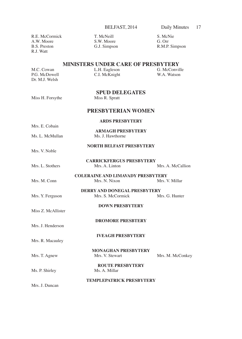R.M.P. Simpson

### **MINISTERS UNDER CARE OF PRESBYTERY**

| M.C. Cowan     | L.H. Eagleson | G. McConville |
|----------------|---------------|---------------|
| P.G. McDowell  | C.I. McKnight | W.A. Watson   |
| Dr. M.J. Welsh |               |               |

## **SPUD DELEGATES**<br>Miss R. Spratt

### Miss H. Forsythe

### **PRESBYTERIAN WOMEN**

### **ARDS PRESBYTERY**

Mrs. E. Cobain Ms. L. McMullan

**ARMAGH PRESBYTERY**<br>Ms I Hawthorne

### **NORTH BELFAST PRESBYTERY**

Mrs. V. Noble

- **CARRICKFERGUS PRESBYTERY** Mrs. L. Stothers Mrs. A. Linton Mrs. A. McCallion
- **COLERAINE AND LIMAVADY PRESBYTERY** Mrs. M. Conn Mrs. N. Nixon
- **DERRY AND DONEGAL PRESBYTERY**<br>Mrs. S. McCormick Mrs. G. Hunter Mrs. Y. Ferguson Mrs. S. McCormick

**DOWN PRESBYTERY**

Miss Z. McAllister

Mrs. J. Henderson

Mrs. R. Macauley

**DROMORE PRESBTERY**

**IVEAGH PRESBYTERY**

**MONAGHAN PRESBYTERY** Mrs. T. Agnew Mrs. V. Stewart Mrs. M. McConkey

**ROUTE PRESBYTERY** Ms. P. Shirley Ms. A. Millar

**TEMPLEPATRICK PRESBYTERY**

Mrs. J. Duncan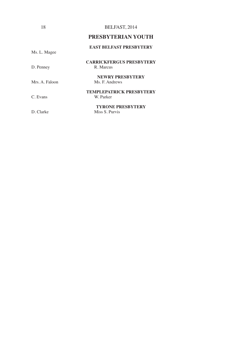### **PRESBYTERIAN YOUTH**

### **EAST BELFAST PRESBYTERY**

Ms. L. Magee

D. Penney

## **CARRICKFERGUS PRESBYTERY**

**NEWRY PRESBYTERY** Mrs. A. Faloon Ms. F. Andrews

### **TEMPLEPATRICK PRESBYTERY** C. Evans W. Parker

**TYRONE PRESBYTERY** D. Clarke Miss S. Purvis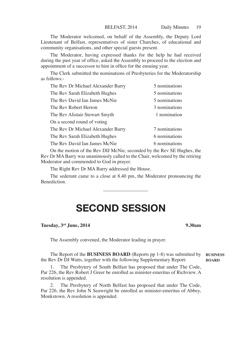The Moderator welcomed, on behalf of the Assembly, the Deputy Lord Lieutenant of Belfast, representatives of sister Churches, of educational and community organisations, and other special guests present.

The Moderator, having expressed thanks for the help he had received during the past year of office, asked the Assembly to proceed to the election and appointment of a successor to him in office for the ensuing year.

The Clerk submitted the nominations of Presbyteries for the Moderatorship as follows:-

| The Rev Dr Michael Alexander Barry | 5 nominations |
|------------------------------------|---------------|
| The Rev Sarah Elizabeth Hughes     | 5 nominations |
| The Rev David Ian James McNie      | 5 nominations |
| The Rev Robert Herron              | 3 nominations |
| The Rev Alistair Stewart Smyth     | 1 nomination  |
| On a second round of voting        |               |
| The Rev Dr Michael Alexander Barry | 7 nominations |
| The Rev Sarah Elizabeth Hughes     | 6 nominations |
| The Rev David Ian James McNie      | 6 nominations |

On the motion of the Rev DIJ McNie, seconded by the Rev SE Hughes, the Rev Dr MA Barry was unanimously called to the Chair, welcomed by the retiring Moderator and commended to God in prayer.

The Right Rev Dr MA Barry addressed the House.

The sederunt came to a close at 8.40 pm, the Moderator pronouncing the Benediction.

\_\_\_\_\_\_\_\_\_\_\_\_\_\_\_\_\_\_

## SECOND SESSION

### **Tuesday, 3rd June, 2014 9.30am**

The Assembly convened, the Moderator leading in prayer.

The Report of the **BUSINESS BOARD** (Reports pp 1-8) was submitted by the Rev Dr DJ Watts, together with the following Supplementary Report: **BUSINESS BOARD**

1. The Presbytery of South Belfast has proposed that under The Code, Par 226, the Rev Robert J Greer be enrolled as minister-emeritus of Richview. A resolution is appended.

2. The Presbytery of North Belfast has proposed that under The Code, Par 226, the Rev John N Seawright be enrolled as minister-emeritus of Abbey, Monkstown. A resolution is appended.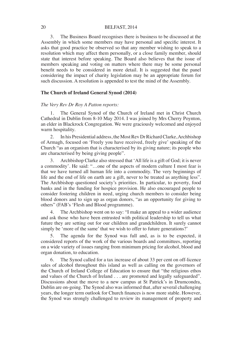3. The Business Board recognises there is business to be discussed at the Assembly in which some members may have personal and specific interest. It asks that good practice be observed so that any member wishing to speak to a resolution which may affect them personally, or a close family member, should state that interest before speaking. The Board also believes that the issue of members speaking and voting on matters where there may be some personal benefit needs to be considered in more detail. It is suggested that the panel considering the impact of charity legislation may be an appropriate forum for such discussion. A resolution is appended to test the mind of the Assembly.

### **The Church of Ireland General Synod (2014)**

### *The Very Rev Dr Roy A Patton reports:*

1. The General Synod of the Church of Ireland met in Christ Church Cathedral in Dublin from 8-10 May 2014. I was joined by Mrs Cherry Poynton, an elder in Blackrock Congregation. We were graciously welcomed and enjoyed warm hospitality.

2. In his Presidential address, the Most Rev Dr Richard Clarke, Archbishop of Armagh, focused on 'Freely you have received, freely give' speaking of the Church "as an organism that is characterised by its giving nature; its people who are characterised by being giving people".

3. Archbishop Clarke also stressed that 'All life is a gift of God; it is never a commodity'. He said: "…one of the aspects of modern culture I most fear is that we have turned all human life into a commodity. The very beginnings of life and the end of life on earth are a gift, never to be treated as anything less". The Archbishop questioned society's priorities. In particular, to poverty, food banks and in the funding for hospice provision. He also encouraged people to consider fostering children in need, urging church members to consider being blood donors and to sign up as organ donors, "as an opportunity for giving to others" (FAB's 'Flesh and Blood programme).

4. The Archbishop went on to say: "I make an appeal to a wider audience and ask those who have been entrusted with political leadership to tell us what future they are setting out for our children and grandchildren. It surely cannot simply be 'more of the same' that we wish to offer to future generations?'

5. The agenda for the Synod was full and, as is to be expected, it considered reports of the work of the various boards and committees, reporting on a wide variety of issues ranging from minimum pricing for alcohol, blood and organ donation, to education.

6. The Synod called for a tax increase of about 33 per cent on off-licence sales of alcohol throughout this island as well as calling on the governors of the Church of Ireland College of Education to ensure that "the religious ethos and values of the Church of Ireland . . . are promoted and legally safeguarded". Discussions about the move to a new campus at St Patrick's in Drumcondra, Dublin are on-going. The Synod also was informed that, after several challenging years, the longer term outlook for Church finances is now more stable. However, the Synod was strongly challenged to review its management of property and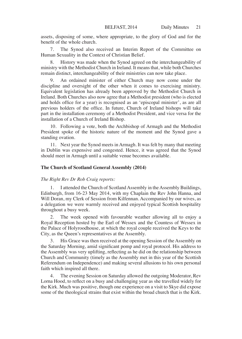assets, disposing of some, where appropriate, to the glory of God and for the benefit of the whole church.

7. The Synod also received an Interim Report of the Committee on Human Sexuality in the Context of Christian Belief.

History was made when the Synod agreed on the interchangeability of ministry with the Methodist Church in Ireland. It means that, while both Churches remain distinct, interchangeability of their ministries can now take place.

An ordained minister of either Church may now come under the discipline and oversight of the other when it comes to exercising ministry. Equivalent legislation has already been approved by the Methodist Church in Ireland. Both Churches also now agree that a Methodist president (who is elected and holds office for a year) is recognised as an 'episcopal minister', as are all previous holders of the office. In future, Church of Ireland bishops will take part in the installation ceremony of a Methodist President, and vice versa for the installation of a Church of Ireland Bishop.

10. Following a vote, both the Archbishop of Armagh and the Methodist President spoke of the historic nature of the moment and the Synod gave a standing ovation.

11. Next year the Synod meets in Armagh. It was felt by many that meeting in Dublin was expensive and congested. Hence, it was agreed that the Synod should meet in Armagh until a suitable venue becomes available.

### **The Church of Scotland General Assembly (2014)**

### *The Right Rev Dr Rob Craig reports:*

1. I attended the Church of Scotland Assembly in the Assembly Buildings, Edinburgh, from 16-23 May 2014, with my Chaplain the Rev John Hanna, and Will Doran, my Clerk of Session from Kilfennan. Accompanied by our wives, as a delegation we were warmly received and enjoyed typical Scottish hospitality throughout a busy week.

2. The week opened with favourable weather allowing all to enjoy a Royal Reception hosted by the Earl of Wessex and the Countess of Wessex in the Palace of Holyroodhouse, at which the royal couple received the Keys to the City, as the Queen's representatives at the Assembly.

3. His Grace was then received at the opening Session of the Assembly on the Saturday Morning, amid significant pomp and royal protocol. His address to the Assembly was very uplifting, reflecting as he did on the relationship between Church and Community (timely as the Assembly met in this year of the Scottish Referendum on Independence) and making several allusions to his own personal faith which inspired all there.

4. The evening Session on Saturday allowed the outgoing Moderator, Rev Lorna Hood, to reflect on a busy and challenging year as she travelled widely for the Kirk. Much was positive, though one experience on a visit to Skye did expose some of the theological strains that exist within the broad church that is the Kirk.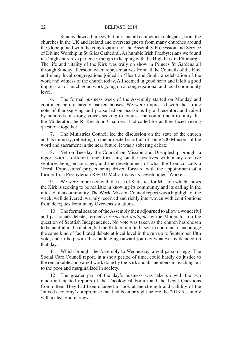5. Sunday dawned breezy but fair, and all ecumenical delegates, from the churches in the UK and Ireland and overseas guests from many churches around the globe joined with the congregation for the Assembly Procession and Service of Divine Worship in St Giles Cathedral. As humble Irish Presbyterians we found it a 'high church' experience, though in keeping with the High Kirk in Edinburgh. The life and vitality of the Kirk was truly on show in Princes St Gardens all through Sunday afternoon when representatives from all the Councils of the Kirk and many local congregations joined in 'Heart and Soul', a celebration of the work and witness of the church today. All seemed in good heart and it left a good impression of much good work going on at congregational and local community level.

6. The formal business week of the Assembly started on Monday and continued before largely packed houses. We were impressed with the strong note of thanksgiving and praise led on occasions by a Precentor, and raised by hundreds of strong voices seeking to express the commitment to unity that the Moderator, the Rt Rev John Chalmers, had called for as they faced vexing questions together.

7. The Ministries Council led the discussion on the state of the church and its ministry, reflecting on the projected shortfall of some 200 Minsters of the word and sacrament in the near future. It was a sobering debate.

Yet on Tuesday the Council on Mission and Discipleship brought a report with a different tone, focussing on the positives with many creative ventures being encouraged, and the development of what the Council calls a 'Fresh Expressions' project being driven forward with the appointment of a former Irish Presbyterian Rev DJ McCarthy as its Development Worker.

9. We were impressed with the use of Statistics for Mission which shows the Kirk is seeking to be realistic in knowing its community and its calling in the midst of that community. The World Mission Council report was a highlight of the week, well delivered, warmly received and richly interwoven with contributions from delegates from many Overseas situations.

10. The formal session of the Assembly then adjourned to allow a wonderful and passionate debate, termed *a respectful dialogue* by the Moderator, on the question of Scottish Independence. No vote was taken as the church has chosen to be neutral in the matter, but the Kirk committed itself to continue to encourage the same kind of facilitated debate at local level in the run up to September 18th vote, and to help with the challenging onward journey whatever is decided on that day.

11. Which brought the Assembly to Wednesday, a real parson's egg! The Social Care Council report, in a short period of time, could hardly do justice to the remarkable and varied work done by the Kirk and its members in reaching out to the poor and marginalised in society.

12. The greater part of the day's business was take up with the two much anticipated reports of the Theological Forum and the Legal Questions Committee. They had been charged to look at the strength and validity of the 'mixed economy' compromise that had been brought before the 2013 Assembly with a clear end in view: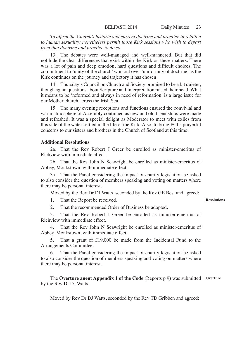*To affirm the Church's historic and current doctrine and practice in relation to human sexuality; nonetheless permit those Kirk sessions who wish to depart from that doctrine and practice to do so* 

13. The debates were well-managed and well-mannered. But that did not hide the clear differences that exist within the Kirk on these matters. There was a lot of pain and deep emotion, hard questions and difficult choices. The commitment to 'unity of the church' won out over 'uniformity of doctrine' as the Kirk continues on the journey and trajectory it has chosen.

14. Thursday's Council on Church and Society promised to be a bit quieter, though again questions about Scripture and Interpretation raised their head. What it means to be 'reformed and always in need of reformation' is a large issue for our Mother church across the Irish Sea.

15. The many evening receptions and functions ensured the convivial and warm atmosphere of Assembly continued as new and old friendships were made and refreshed. It was a special delight as Moderator to meet with exiles from this side of the water settled in the life of the Kirk. Also, to bring PCI's prayerful concerns to our sisters and brothers in the Church of Scotland at this time.

### **Additional Resolutions**

2a. That the Rev Robert J Greer be enrolled as minister-emeritus of Richview with immediate effect.

2b. That the Rev John N Seawright be enrolled as minister-emeritus of Abbey, Monkstown, with immediate effect.

3a. That the Panel considering the impact of charity legislation be asked to also consider the question of members speaking and voting on matters where there may be personal interest.

Moved by the Rev Dr DJ Watts, seconded by the Rev GE Best and agreed:

1. That the Report be received.

#### **Resolutions**

2. That the recommended Order of Business be adopted.

3. That the Rev Robert J Greer be enrolled as minister-emeritus of Richview with immediate effect.

4. That the Rev John N Seawright be enrolled as minister-emeritus of Abbey, Monkstown, with immediate effect.

5. That a grant of £19,000 be made from the Incidental Fund to the Arrangements Committee.

That the Panel considering the impact of charity legislation be asked to also consider the question of members speaking and voting on matters where there may be personal interest.

The **Overture anent Appendix 1 of the Code** (Reports p 9) was submitted **Overture**by the Rev Dr DJ Watts.

Moved by Rev Dr DJ Watts, seconded by the Rev TD Gribben and agreed: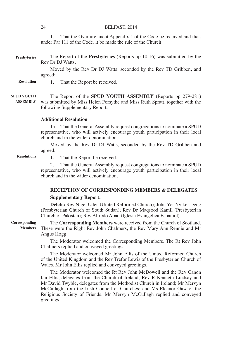1. That the Overture anent Appendix 1 of the Code be received and that, under Par 111 of the Code, it be made the rule of the Church.

The Report of the **Presbyteries** (Reports pp 10-16) was submitted by the Rev Dr DJ Watts. **Presbyteries**

> Moved by the Rev Dr DJ Watts, seconded by the Rev TD Gribben, and agreed:

1. That the Report be received. **Resolution**

The Report of the **SPUD YOUTH ASSEMBLY** (Reports pp 279-281) was submitted by Miss Helen Forsythe and Miss Ruth Spratt, together with the following Supplementary Report: **SPUD YOUTH ASSEMBLY**

### **Additional Resolution**

1a. That the General Assembly request congregations to nominate a SPUD representative, who will actively encourage youth participation in their local church and in the wider denomination.

Moved by the Rev Dr DJ Watts, seconded by the Rev TD Gribben and agreed:

**Resolutions**

1. That the Report be received.

2. That the General Assembly request congregations to nominate a SPUD representative, who will actively encourage youth participation in their local church and in the wider denomination.

### **RECEPTION OF CORRESPONDING MEMBERS & DELEGATES**

### **Supplementary Report:**

**Delete:** Rev Nigel Uden (United Reformed Church); John Yor Nyiker Deng (Presbyterian Church of South Sudan); Rev Dr Maqsood Kamil (Presbyterian Church of Pakistan); Rev Alfredo Abad (Iglesia Evangelica Espaniol).

**Corresponding** 

**Members**

The **Corresponding Members** were received from the Church of Scotland. These were the Right Rev John Chalmers, the Rev Mary Ann Rennie and Mr Angus Hogg.

The Moderator welcomed the Corresponding Members. The Rt Rev John Chalmers replied and conveyed greetings.

The Moderator welcomed Mr John Ellis of the United Reformed Church of the United Kingdom and the Rev Trefor Lewis of the Presbyterian Church of Wales. Mr John Ellis replied and conveyed greetings.

The Moderator welcomed the Rt Rev John McDowell and the Rev Canon Ian Ellis, delegates from the Church of Ireland; Rev R Kenneth Lindsay and Mr David Twyble, delegates from the Methodist Church in Ireland; Mr Mervyn McCullagh from the Irish Council of Churches; and Ms Eleanor Gaw of the Religious Society of Friends. Mr Mervyn McCullagh replied and conveyed greetings.

24 BELFAST, 2014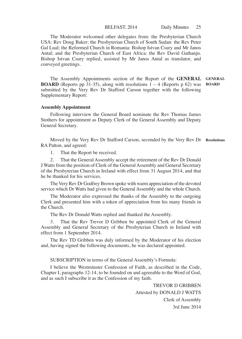### BELFAST, 2014 Daily Minutes 25

The Moderator welcomed other delegates from: the Presbyterian Church USA: Rev Doug Baker; the Presbyterian Church of South Sudan: the Rev Peter Gal Lual; the Reformed Church in Romania: Bishop Istvan Csury and Mr Janos Antal; and the Presbyterian Church of East Africa: the Rev David Gathanju. Bishop Istvan Csury replied, assisted by Mr Janos Antal as translator, and conveyed greetings.

The Assembly Appointments section of the Report of the **GENERAL GENERAL BOARD** (Reports pp 31-35), along with resolutions 1 – 4 (Reports p 62) was **BOARD** submitted by the Very Rev Dr Stafford Carson together with the following Supplementary Report:

### **Assembly Appointment**

Following interview the General Board nominate the Rev Thomas James Stothers for appointment as Deputy Clerk of the General Assembly and Deputy General Secretary.

Moved by the Very Rev Dr Stafford Carson, seconded by the Very Rev Dr **Resolutions**RA Patton, and agreed:

1. That the Report be received.

2. That the General Assembly accept the retirement of the Rev Dr Donald J Watts from the position of Clerk of the General Assembly and General Secretary of the Presbyterian Church in Ireland with effect from 31 August 2014, and that he be thanked for his services.

The Very Rev Dr Godfrey Brown spoke with warm appreciation of the devoted service which Dr Watts had given to the General Assembly and the whole Church.

The Moderator also expressed the thanks of the Assembly to the outgoing Clerk and presented him with a token of appreciation from his many friends in the Church.

The Rev Dr Donald Watts replied and thanked the Assembly.

3. That the Rev Trevor D Gribben be appointed Clerk of the General Assembly and General Secretary of the Presbyterian Church in Ireland with effect from 1 September 2014.

The Rev TD Gribben was duly informed by the Moderator of his election and, having signed the following documents, he was declared appointed.

SUBSCRIPTION in terms of the General Assembly's Formula:

I believe the Westminster Confession of Faith, as described in the Code, Chapter I, paragraphs 12-14, to be founded on and agreeable to the Word of God, and as such I subscribe it as the Confession of my faith.

> TREVOR D GRIBBEN Attested by DONALD J WATTS Clerk of Assembly 3rd June 2014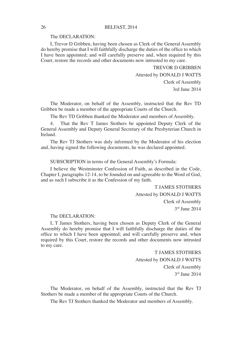### The DECLARATION:

I, Trevor D Gribben, having been chosen as Clerk of the General Assembly do hereby promise that I will faithfully discharge the duties of the office to which I have been appointed; and will carefully preserve and, when required by this Court, restore the records and other documents now intrusted to my care.

> TREVOR D GRIBBEN Attested by DONALD J WATTS Clerk of Assembly 3rd June 2014

The Moderator, on behalf of the Assembly, instructed that the Rev TD Gribben be made a member of the appropriate Courts of the Church.

The Rev TD Gribben thanked the Moderator and members of Assembly.

4. That the Rev T James Stothers be appointed Deputy Clerk of the General Assembly and Deputy General Secretary of the Presbyterian Church in Ireland.

The Rev TJ Stothers was duly informed by the Moderator of his election and, having signed the following documents, he was declared appointed.

SUBSCRIPTION in terms of the General Assembly's Formula:

I believe the Westminster Confession of Faith, as described in the Code, Chapter I, paragraphs 12-14, to be founded on and agreeable to the Word of God, and as such I subscribe it as the Confession of my faith.

> T JAMES STOTHERS Attested by DONALD J WATTS Clerk of Assembly 3rd June 2014

#### The DECLARATION:

I, T James Stothers, having been chosen as Deputy Clerk of the General Assembly do hereby promise that I will faithfully discharge the duties of the office to which I have been appointed; and will carefully preserve and, when required by this Court, restore the records and other documents now intrusted to my care.

> T JAMES STOTHERS Attested by DONALD J WATTS Clerk of Assembly 3rd June 2014

The Moderator, on behalf of the Assembly, instructed that the Rev TJ Stothers be made a member of the appropriate Courts of the Church.

The Rev TJ Stothers thanked the Moderator and members of Assembly.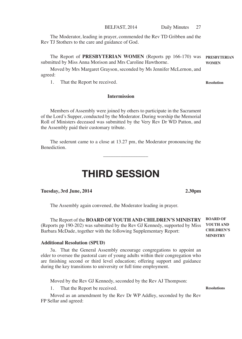The Moderator, leading in prayer, commended the Rev TD Gribben and the Rev TJ Stothers to the care and guidance of God.

The Report of **PRESBYTERIAN WOMEN** (Reports pp 166-170) was submitted by Miss Anna Morison and Mrs Caroline Hawthorne. **PRESBYTERIAN WOMEN**

Moved by Mrs Margaret Grayson, seconded by Ms Jennifer McLernon, and agreed:

1. That the Report be received.

### **Intermission**

Members of Assembly were joined by others to participate in the Sacrament of the Lord's Supper, conducted by the Moderator. During worship the Memorial Roll of Ministers deceased was submitted by the Very Rev Dr WD Patton, and the Assembly paid their customary tribute.

The sederunt came to a close at 13.27 pm, the Moderator pronouncing the **Benediction** 

\_\_\_\_\_\_\_\_\_\_\_\_\_\_\_\_\_\_

## THIRD SESSION

### **Tuesday, 3rd June, 2014 2.30pm**

The Assembly again convened, the Moderator leading in prayer.

The Report of the **BOARD OF YOUTH AND CHILDREN'S MINISTRY**  (Reports pp 190-202) was submitted by the Rev GJ Kennedy, supported by Miss Barbara McDade, together with the following Supplementary Report:

### **Additional Resolution (SPUD)**

3a. That the General Assembly encourage congregations to appoint an elder to oversee the pastoral care of young adults within their congregation who are finishing second or third level education; offering support and guidance during the key transitions to university or full time employment.

Moved by the Rev GJ Kennedy, seconded by the Rev AJ Thompson:

That the Report be received.

Moved as an amendment by the Rev Dr WP Addley, seconded by the Rev FP Sellar and agreed:

**Resolution**

**BOARD OF YOUTH AND CHILDREN'S MINISTRY**

**Resolutions**

BELFAST, 2014 Daily Minutes 27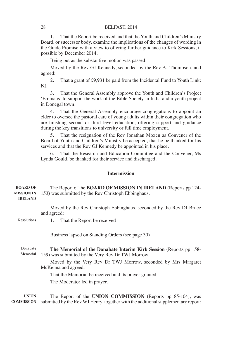1. That the Report be received and that the Youth and Children's Ministry Board, or successor body, examine the implications of the changes of wording in the Guide Promise with a view to offering further guidance to Kirk Sessions, if possible by December 2014.

Being put as the substantive motion was passed.

Moved by the Rev GJ Kennedy, seconded by the Rev AJ Thompson, and agreed:

2. That a grant of £9,931 be paid from the Incidental Fund to Youth Link: NI.

3. That the General Assembly approve the Youth and Children's Project 'Emmaus' to support the work of the Bible Society in India and a youth project in Donegal town.

4. That the General Assembly encourage congregations to appoint an elder to oversee the pastoral care of young adults within their congregation who are finishing second or third level education; offering support and guidance during the key transitions to university or full time employment.

5. That the resignation of the Rev Jonathan Moxen as Convener of the Board of Youth and Children's Ministry be accepted, that he be thanked for his services and that the Rev GJ Kennedy be appointed in his place.

6. That the Research and Education Committee and the Convener, Ms Lynda Gould, be thanked for their service and discharged.

### **Intermission**

#### The Report of the **BOARD OF MISSION IN IRELAND** (Reports pp 124- 153) was submitted by the Rev Christoph Ebbinghaus. **BOARD OF MISSION IN IRELAND**

Moved by the Rev Christoph Ebbinghaus, seconded by the Rev DJ Bruce and agreed:

1. That the Report be received **Resolutions**

Business lapsed on Standing Orders (see page 30)

**The Memorial of the Donabate Interim Kirk Session** (Reports pp 158- 159) was submitted by the Very Rev Dr TWJ Morrow. **Donabate Memorial**

Moved by the Very Rev Dr TWJ Morrow, seconded by Mrs Margaret McKenna and agreed:

That the Memorial be received and its prayer granted.

The Moderator led in prayer.

The Report of the **UNION COMMISSION** (Reports pp 85-104), was submitted by the Rev WJ Henry, together with the additional supplementary report: **COMMISSIONUNION**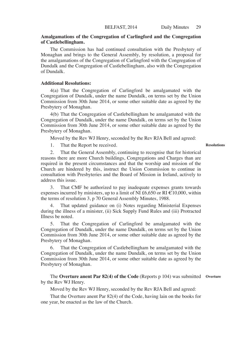### **Amalgamations of the Congregation of Carlingford and the Congregation of Castlebellingham.**

The Commission has had continued consultation with the Presbytery of Monaghan and brings to the General Assembly, by resolution, a proposal for the amalgamations of the Congregation of Carlingford with the Congregation of Dundalk and the Congregation of Castlebellingham, also with the Congregation of Dundalk.

### **Additional Resolutions:**

4(a) That the Congregation of Carlingford be amalgamated with the Congregation of Dundalk, under the name Dundalk, on terms set by the Union Commission from 30th June 2014, or some other suitable date as agreed by the Presbytery of Monaghan.

4(b) That the Congregation of Castlebellingham be amalgamated with the Congregation of Dundalk, under the name Dundalk, on terms set by the Union Commission from 30th June 2014, or some other suitable date as agreed by the Presbytery of Monaghan.

Moved by the Rev WJ Henry, seconded by the Rev RJA Bell and agreed:

1. That the Report be received.

#### **Resolutions**

2. That the General Assembly, continuing to recognise that for historical reasons there are more Church buildings, Congregations and Charges than are required in the present circumstances and that the worship and mission of the Church are hindered by this, instruct the Union Commission to continue in consultation with Presbyteries and the Board of Mission in Ireland, actively to address this issue.

3. That CMF be authorized to pay inadequate expenses grants towards expenses incurred by ministers, up to a limit of NI £6,650 or RI  $\epsilon$ 10,000, within the terms of resolution 3, p 70 General Assembly Minutes, 1988.

That updated guidance on (i) Notes regarding Ministerial Expenses during the illness of a minister, (ii) Sick Supply Fund Rules and (iii) Protracted Illness be noted.

5. That the Congregation of Carlingford be amalgamated with the Congregation of Dundalk, under the name Dundalk, on terms set by the Union Commission from 30th June 2014, or some other suitable date as agreed by the Presbytery of Monaghan.

That the Congregation of Castlebellingham be amalgamated with the Congregation of Dundalk, under the name Dundalk, on terms set by the Union Commission from 30th June 2014, or some other suitable date as agreed by the Presbytery of Monaghan.

The **Overture anent Par 82(4) of the Code** (Reports p 104) was submitted **Overture**by the Rev WJ Henry.

Moved by the Rev WJ Henry, seconded by the Rev RJA Bell and agreed:

That the Overture anent Par 82(4) of the Code, having lain on the books for one year, be enacted as the law of the Church.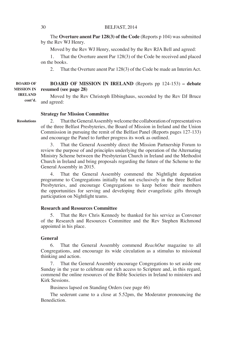The **Overture anent Par 128(3) of the Code** (Reports p 104) was submitted by the Rev WJ Henry.

Moved by the Rev WJ Henry, seconded by the Rev RJA Bell and agreed:

1. That the Overture anent Par 128(3) of the Code be received and placed on the books.

2. That the Overture anent Par 128(3) of the Code be made an Interim Act.

**BOARD OF MISSION IN IRELAND** (Reports pp 124-153) **– debate resumed (see page 28) BOARD OF MISSION IN IRELAND**

Moved by the Rev Christoph Ebbinghaus, seconded by the Rev DJ Bruce and agreed:  **cont'd.**

#### **Strategy for Mission Committee**

2. That the General Assembly welcome the collaboration of representatives of the three Belfast Presbyteries, the Board of Mission in Ireland and the Union Commission in pursuing the remit of the Belfast Panel (Reports pages 127-133) and encourage the Panel to further progress its work as outlined.

3. That the General Assembly direct the Mission Partnership Forum to review the purpose of and principles underlying the operation of the Alternating Ministry Scheme between the Presbyterian Church in Ireland and the Methodist Church in Ireland and bring proposals regarding the future of the Scheme to the General Assembly in 2015.

4. That the General Assembly commend the Nightlight deputation programme to Congregations initially but not exclusively in the three Belfast Presbyteries, and encourage Congregations to keep before their members the opportunities for serving and developing their evangelistic gifts through participation on Nightlight teams.

### **Research and Resources Committee**

5. That the Rev Chris Kennedy be thanked for his service as Convener of the Research and Resources Committee and the Rev Stephen Richmond appointed in his place.

### **General**

6. That the General Assembly commend *ReachOut* magazine to all Congregations, and encourage its wide circulation as a stimulus to missional thinking and action.

7. That the General Assembly encourage Congregations to set aside one Sunday in the year to celebrate our rich access to Scripture and, in this regard, commend the online resources of the Bible Societies in Ireland to ministers and Kirk Sessions.

Business lapsed on Standing Orders (see page 46)

The sederunt came to a close at 5.52pm, the Moderator pronouncing the Benediction.

**Resolutions**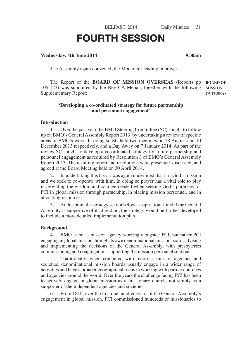BELFAST, 2014 Daily Minutes 31

# FOURTH SESSION

### **Wednesday, 4th June 2014 9.30am**

The Assembly again convened, the Moderator leading in prayer.

The Report of the **BOARD OF MISSION OVERSEAS** (Reports pp 105-123) was submitted by the Rev CA Meban, together with the following Supplementary Report: **BOARD OF MISSION OVERSEAS**

### **'Developing a co-ordinated strategy for future partnership and personnel engagement'**

### **Introduction**

1. Over the past year the BMO Steering Committee (SC) sought to follow up on BMO's General Assembly Report 2013, by undertaking a review of specific areas of BMO's work. In doing so SC held two meetings on 28 August and 10 December 2013 respectively, and a Day Away on 7 January 2014. As part of the review SC sought to develop a co-ordinated strategy for future partnership and personnel engagement as required by Resolution 3 of BMO's General Assembly Report 2013. The resulting report and resolutions were presented, discussed, and agreed at the Board Meeting held on 30 April 2014.

2. In undertaking this task it was again underlined that it is God's mission and we seek to co-operate with him. In doing so prayer has a vital role to play in providing the wisdom and courage needed when seeking God's purposes for PCI in global mission through partnership, in placing mission personnel, and in allocating resources.

3. At this point the strategy set out below is aspirational, and if the General Assembly is supportive of its direction, the strategy would be further developed to include a more detailed implementation plan.

### **Background**

4. BMO is not a mission agency working alongside PCI, but rather PCI engaging in global mission through its own denominational mission board, advising and implementing the decisions of the General Assembly, with presbyteries commissioning and congregations supporting the mission personnel sent out.

5. Traditionally, when compared with overseas mission agencies and societies, denominational mission boards usually engage in a wider range of activities and have a broader geographical focus in working with partner churches and agencies around the world. Over the years the challenge facing PCI has been to actively engage in global mission as a missionary church, not simply as a supporter of the independent agencies and societies.

6. From 1840, over the first one hundred years of the General Assembly's engagement in global mission, PCI commissioned hundreds of missionaries to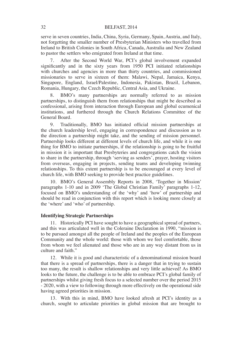serve in seven countries, India, China, Syria, Germany, Spain, Austria, and Italy, not forgetting the smaller number of Presbyterian Ministers who travelled from Ireland to British Colonies in South Africa, Canada, Australia and New Zealand to pastor the settlers who emigrated from Ireland at that time.

7. After the Second World War, PCI's global involvement expanded significantly and in the sixty years from 1950 PCI initiated relationships with churches and agencies in more than thirty countries, and commissioned missionaries to serve in sixteen of them: Malawi, Nepal, Jamaica, Kenya, Singapore, England, Israel/Palestine, Indonesia, Pakistan, Brazil, Lebanon, Romania, Hungary, the Czech Republic, Central Asia, and Ukraine.

8. BMO's many partnerships are normally referred to as mission partnerships, to distinguish them from relationships that might be described as confessional, arising from interaction through European and global ecumenical institutions, and furthered through the Church Relations Committee of the General Board.

9. Traditionally, BMO has initiated official mission partnerships at the church leadership level, engaging in correspondence and discussion as to the direction a partnership might take, and the sending of mission personnel. Partnership looks different at different levels of church life, and while it is one thing for BMO to initiate partnerships, if the relationship is going to be fruitful in mission it is important that Presbyteries and congregations catch the vision to share in the partnership, through 'serving as senders', prayer, hosting visitors from overseas, engaging in projects, sending teams and developing twinning relationships. To this extent partnership is to be encouraged at every level of church life, with BMO seeking to provide best practice guidelines.

10. BMO's General Assembly Reports in 2008, 'Together in Mission' paragraphs 1-10 and in 2009 'The Global Christian Family' paragraphs 1-12, focused on BMO's understanding of the 'why' and 'how' of partnership and should be read in conjunction with this report which is looking more closely at the 'where' and 'who' of partnership.

### **Identifying Strategic Partnerships**

11. Historically PCI have sought to have a geographical spread of partners, and this was articulated well in the Coleraine Declaration in 1990, "mission is to be pursued amongst all the people of Ireland and the peoples of the European Community and the whole world: those with whom we feel comfortable, those from whom we feel alienated and those who are in any way distant from us in culture and faith."

12. While it is good and characteristic of a denominational mission board that there is a spread of partnerships, there is a danger that in trying to sustain too many, the result is shallow relationships and very little achieved! As BMO looks to the future, the challenge is to be able to embrace PCI's global family of partnerships whilst giving fresh focus to a selected number over the period 2015 - 2020, with a view to following through more effectively on the operational side having agreed priorities in mission.

13. With this in mind, BMO have looked afresh at PCI's identity as a church, sought to articulate priorities in global mission that are brought to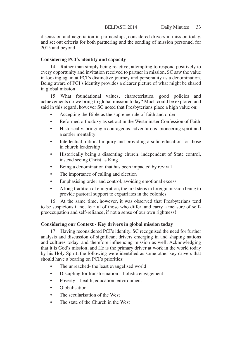discussion and negotiation in partnerships, considered drivers in mission today, and set out criteria for both partnering and the sending of mission personnel for 2015 and beyond.

# **Considering PCI's identity and capacity**

14. Rather than simply being reactive, attempting to respond positively to every opportunity and invitation received to partner in mission, SC saw the value in looking again at PCI's distinctive journey and personality as a denomination. Being aware of PCI's identity provides a clearer picture of what might be shared in global mission.

15. What foundational values, characteristics, good policies and achievements do we bring to global mission today? Much could be explored and said in this regard, however SC noted that Presbyterians place a high value on:

- Accepting the Bible as the supreme rule of faith and order
- Reformed orthodoxy as set out in the Westminster Confession of Faith
- Historically, bringing a courageous, adventurous, pioneering spirit and a settler mentality
- Intellectual, rational inquiry and providing a solid education for those in church leadership
- Historically being a dissenting church, independent of State control, instead seeing Christ as King
- Being a denomination that has been impacted by revival
- The importance of calling and election
- Emphasising order and control, avoiding emotional excess
- A long tradition of emigration, the first steps in foreign mission being to provide pastoral support to expatriates in the colonies

16. At the same time, however, it was observed that Presbyterians tend to be suspicious if not fearful of those who differ, and carry a measure of selfpreoccupation and self-reliance, if not a sense of our own rightness!

# **Considering our Context - Key drivers in global mission today**

17. Having reconsidered PCI's identity, SC recognised the need for further analysis and discussion of significant drivers emerging in and shaping nations and cultures today, and therefore influencing mission as well. Acknowledging that it is God's mission, and He is the primary driver at work in the world today by his Holy Spirit, the following were identified as some other key drivers that should have a bearing on PCI's priorities:

- The unreached- the least evangelised world
- Discipling for transformation holistic engagement
- Poverty health, education, environment
- Globalisation
- The secularisation of the West
- The state of the Church in the West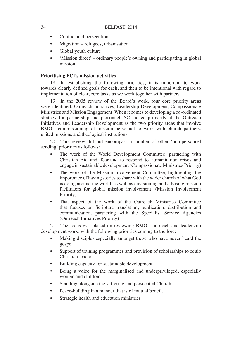- Conflict and persecution
- Migration refugees, urbanisation
- Global youth culture
- 'Mission direct' ordinary people's owning and participating in global mission

# **Prioritising PCI's mission activities**

18. In establishing the following priorities, it is important to work towards clearly defined goals for each, and then to be intentional with regard to implementation of clear, core tasks as we work together with partners.

19. In the 2005 review of the Board's work, four core priority areas were identified: Outreach Initiatives, Leadership Development, Compassionate Ministries and Mission Engagement. When it comes to developing a co-ordinated strategy for partnership and personnel, SC looked primarily at the Outreach Initiatives and Leadership Development as the two priority areas that involve BMO's commissioning of mission personnel to work with church partners, united missions and theological institutions.

20. This review did **not** encompass a number of other 'non-personnel sending' priorities as follows:

- The work of the World Development Committee, partnering with Christian Aid and Tearfund to respond to humanitarian crises and engage in sustainable development (Compassionate Ministries Priority)
- The work of the Mission Involvement Committee, highlighting the importance of having stories to share with the wider church of what God is doing around the world, as well as envisioning and advising mission facilitators for global mission involvement. (Mission Involvement Priority)
- That aspect of the work of the Outreach Ministries Committee that focuses on Scripture translation, publication, distribution and communication, partnering with the Specialist Service Agencies (Outreach Initiatives Priority)

21. The focus was placed on reviewing BMO's outreach and leadership development work, with the following priorities coming to the fore:

- Making disciples especially amongst those who have never heard the gospel
- Support of training programmes and provision of scholarships to equip Christian leaders
- Building capacity for sustainable development
- Being a voice for the marginalised and underprivileged, especially women and children
- Standing alongside the suffering and persecuted Church
- Peace-building in a manner that is of mutual benefit
- Strategic health and education ministries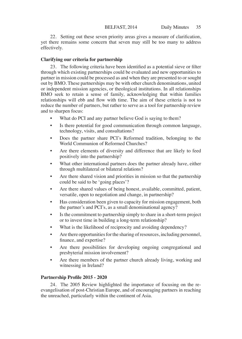22. Setting out these seven priority areas gives a measure of clarification, yet there remains some concern that seven may still be too many to address effectively.

# **Clarifying our criteria for partnership**

23. The following criteria have been identified as a potential sieve or filter through which existing partnerships could be evaluated and new opportunities to partner in mission could be processed as and when they are presented to or sought out by BMO. These partnerships may be with other church denominations, united or independent mission agencies, or theological institutions. In all relationships BMO seek to retain a sense of family, acknowledging that within families relationships will ebb and flow with time. The aim of these criteria is not to reduce the number of partners, but rather to serve as a tool for partnership review and to sharpen focus:

- What do PCI and any partner believe God is saying to them?
- Is there potential for good communication through common language, technology, visits, and consultations?
- Does the partner share PCI's Reformed tradition, belonging to the World Communion of Reformed Churches?
- Are there elements of diversity and difference that are likely to feed positively into the partnership?
- What other international partners does the partner already have, either through multilateral or bilateral relations?
- Are there shared vision and priorities in mission so that the partnership could be said to be 'going places'?
- Are there shared values of being honest, available, committed, patient, versatile, open to negotiation and change, in partnership?
- Has consideration been given to capacity for mission engagement, both the partner's and PCI's, as a small denominational agency?
- Is the commitment to partnership simply to share in a short-term project or to invest time in building a long-term relationship?
- What is the likelihood of reciprocity and avoiding dependency?
- Are there opportunities for the sharing of resources, including personnel, finance, and expertise?
- Are there possibilities for developing ongoing congregational and presbyterial mission involvement?
- Are there members of the partner church already living, working and witnessing in Ireland?

# **Partnership Profile 2015 - 2020**

24. The 2005 Review highlighted the importance of focusing on the reevangelisation of post-Christian Europe, and of encouraging partners in reaching the unreached, particularly within the continent of Asia.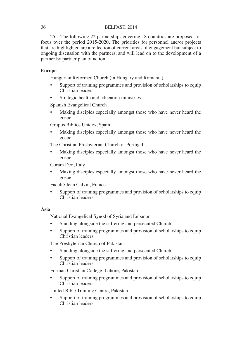25. The following 22 partnerships covering 18 countries are proposed for focus over the period 2015-2020. The priorities for personnel and/or projects that are highlighted are a reflection of current areas of engagement but subject to ongoing discussion with the partners, and will lead on to the development of a partner by partner plan of action:

# **Europe**

Hungarian Reformed Church (in Hungary and Romania)

- Support of training programmes and provision of scholarships to equip Christian leaders
- Strategic health and education ministries

Spanish Evangelical Church

Making disciples especially amongst those who have never heard the gospel

Grupos Biblios Unidos, Spain

Making disciples especially amongst those who have never heard the gospel

The Christian Presbyterian Church of Portugal

Making disciples especially amongst those who have never heard the gospel

Coram Deo, Italy

Making disciples especially amongst those who have never heard the gospel

Faculté Jean Calvin, France

• Support of training programmes and provision of scholarships to equip Christian leaders

# **Asia**

National Evangelical Synod of Syria and Lebanon

- Standing alongside the suffering and persecuted Church
- Support of training programmes and provision of scholarships to equip Christian leaders

The Presbyterian Church of Pakistan

- Standing alongside the suffering and persecuted Church
- Support of training programmes and provision of scholarships to equip Christian leaders

Forman Christian College, Lahore, Pakistan

Support of training programmes and provision of scholarships to equip Christian leaders

United Bible Training Centre, Pakistan

Support of training programmes and provision of scholarships to equip Christian leaders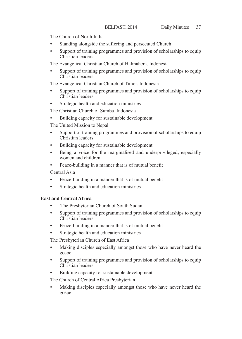The Church of North India

- Standing alongside the suffering and persecuted Church
- Support of training programmes and provision of scholarships to equip Christian leaders

The Evangelical Christian Church of Halmahera, Indonesia

Support of training programmes and provision of scholarships to equip Christian leaders

The Evangelical Christian Church of Timor, Indonesia

- Support of training programmes and provision of scholarships to equip Christian leaders
- Strategic health and education ministries

The Christian Church of Sumba, Indonesia

• Building capacity for sustainable development

The United Mission to Nepal

- Support of training programmes and provision of scholarships to equip Christian leaders
- Building capacity for sustainable development
- Being a voice for the marginalised and underprivileged, especially women and children
- Peace-building in a manner that is of mutual benefit

Central Asia

- Peace-building in a manner that is of mutual benefit
- Strategic health and education ministries

# **East and Central Africa**

- The Presbyterian Church of South Sudan
- Support of training programmes and provision of scholarships to equip Christian leaders
- Peace-building in a manner that is of mutual benefit
- Strategic health and education ministries

The Presbyterian Church of East Africa

- Making disciples especially amongst those who have never heard the gospel
- Support of training programmes and provision of scholarships to equip Christian leaders
- Building capacity for sustainable development

The Church of Central Africa Presbyterian

Making disciples especially amongst those who have never heard the gospel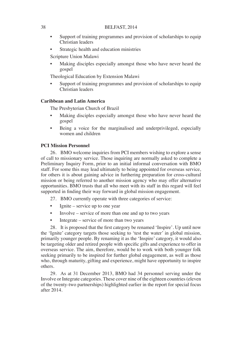- Support of training programmes and provision of scholarships to equip Christian leaders
- Strategic health and education ministries

Scripture Union Malawi

Making disciples especially amongst those who have never heard the gospel

Theological Education by Extension Malawi

Support of training programmes and provision of scholarships to equip Christian leaders

# **Caribbean and Latin America**

The Presbyterian Church of Brazil

- Making disciples especially amongst those who have never heard the gospel
- Being a voice for the marginalised and underprivileged, especially women and children

### **PCI Mission Personnel**

26. BMO welcome inquiries from PCI members wishing to explore a sense of call to missionary service. Those inquiring are normally asked to complete a Preliminary Inquiry Form, prior to an initial informal conversation with BMO staff. For some this may lead ultimately to being appointed for overseas service, for others it is about gaining advice in furthering preparation for cross-cultural mission or being referred to another mission agency who may offer alternative opportunities. BMO trusts that all who meet with its staff in this regard will feel supported in finding their way forward in global mission engagement.

- 27. BMO currently operate with three categories of service:
- Ignite service up to one year
- Involve service of more than one and up to two years
- Integrate service of more than two years

28. It is proposed that the first category be renamed 'Inspire'. Up until now the 'Ignite' category targets those seeking to 'test the water' in global mission, primarily younger people. By renaming it as the 'Inspire' category, it would also be targeting older and retired people with specific gifts and experience to offer in overseas service. The aim, therefore, would be to work with both younger folk seeking primarily to be inspired for further global engagement, as well as those who, through maturity, gifting and experience, might have opportunity to inspire others.

29. As at 31 December 2013, BMO had 34 personnel serving under the Involve or Integrate categories. These cover nine of the eighteen countries (eleven of the twenty-two partnerships) highlighted earlier in the report for special focus after 2014.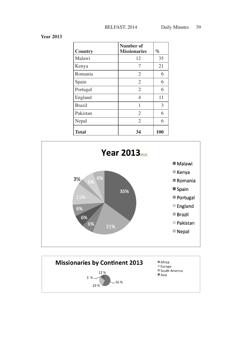**Year 2013**

| Country       | Number of<br><b>Missionaries</b> | $\%$ |
|---------------|----------------------------------|------|
| Malawi        | 12                               | 35   |
| Kenya         | 7                                | 21   |
| Romania       | $\overline{c}$                   | 6    |
| Spain         | $\overline{2}$                   | 6    |
| Portugal      | $\overline{2}$                   | 6    |
| England       | 4                                | 11   |
| <b>Brazil</b> | 1                                | 3    |
| Pakistan      | $\overline{2}$                   | 6    |
| Nepal         | $\overline{2}$                   | 6    |
| <b>Total</b>  | 34                               | 100  |



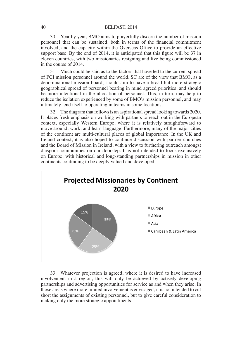30. Year by year, BMO aims to prayerfully discern the number of mission personnel that can be sustained, both in terms of the financial commitment involved, and the capacity within the Overseas Office to provide an effective support base. By the end of 2014, it is anticipated that this figure will be 37 in eleven countries, with two missionaries resigning and five being commissioned in the course of 2014.

31. Much could be said as to the factors that have led to the current spread of PCI mission personnel around the world. SC are of the view that BMO, as a denominational mission board, should aim to have a broad but more strategic geographical spread of personnel bearing in mind agreed priorities, and should be more intentional in the allocation of personnel. This, in turn, may help to reduce the isolation experienced by some of BMO's mission personnel, and may ultimately lend itself to operating in teams in some locations.

32. The diagram that follows is an aspirational spread looking towards 2020. It places fresh emphasis on working with partners to reach out in the European context, especially Western Europe, where it is relatively straightforward to move around, work, and learn language. Furthermore, many of the major cities of the continent are multi-cultural places of global importance. In the UK and Ireland context, it is also hoped to continue discussion with partner churches and the Board of Mission in Ireland, with a view to furthering outreach amongst diaspora communities on our doorstep. It is not intended to focus exclusively on Europe, with historical and long-standing partnerships in mission in other continents continuing to be deeply valued and developed.



33. Whatever projection is agreed, where it is desired to have increased involvement in a region, this will only be achieved by actively developing partnerships and advertising opportunities for service as and when they arise. In those areas where more limited involvement is envisaged, it is not intended to cut short the assignments of existing personnel, but to give careful consideration to making only the more strategic appointments.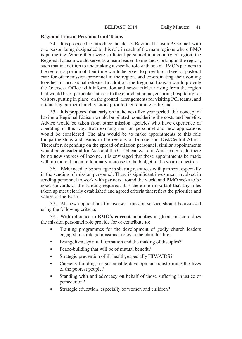#### **Regional Liaison Personnel and Teams**

34. It is proposed to introduce the idea of Regional Liaison Personnel, with one person being designated to this role in each of the main regions where BMO is partnering. Where there were sufficient personnel in a country or region, the Regional Liaison would serve as a team leader, living and working in the region, such that in addition to undertaking a specific role with one of BMO's partners in the region, a portion of their time would be given to providing a level of pastoral care for other mission personnel in the region, and co-ordinating their coming together for occasional retreats. In addition, the Regional Liaison would provide the Overseas Office with information and news articles arising from the region that would be of particular interest to the church at home, ensuring hospitality for visitors, putting in place 'on the ground' arrangements for visiting PCI teams, and orientating partner church visitors prior to their coming to Ireland.

35. It is proposed that early on in the next five year period, this concept of having a Regional Liaison would be piloted, considering the costs and benefits. Advice would be taken from other mission agencies who have experience of operating in this way. Both existing mission personnel and new applications would be considered. The aim would be to make appointments to this role for partnerships and teams in the regions of Europe and East/Central Africa. Thereafter, depending on the spread of mission personnel, similar appointments would be considered for Asia and the Caribbean & Latin America. Should there be no new sources of income, it is envisaged that these appointments be made with no more than an inflationary increase to the budget in the year in question.

36. BMO need to be strategic in sharing resources with partners, especially in the sending of mission personnel. There is significant investment involved in sending personnel to work with partners around the world and BMO seeks to be good stewards of the funding required. It is therefore important that any roles taken up meet clearly established and agreed criteria that reflect the priorities and values of the Board.

37. All new applications for overseas mission service should be assessed using the following criteria:

38. With reference to **BMO's current priorities** in global mission, does the mission personnel role provide for or contribute to:

- Training programmes for the development of godly church leaders engaged in strategic missional roles in the church's life?
- Evangelism, spiritual formation and the making of disciples?
- Peace-building that will be of mutual benefit?
- Strategic prevention of ill-health, especially HIV/AIDS?
- Capacity building for sustainable development transforming the lives of the poorest people?
- Standing with and advocacy on behalf of those suffering injustice or persecution?
- Strategic education, especially of women and children?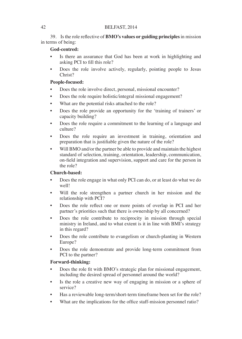39. Is the role reflective of **BMO's values or guiding principles** in mission in terms of being:

# **God-centred:**

- Is there an assurance that God has been at work in highlighting and asking PCI to fill this role?
- Does the role involve actively, regularly, pointing people to Jesus Christ?

# **People-focused:**

- Does the role involve direct, personal, missional encounter?
- Does the role require holistic/integral missional engagement?
- What are the potential risks attached to the role?
- Does the role provide an opportunity for the 'training of trainers' or capacity building?
- Does the role require a commitment to the learning of a language and culture?
- Does the role require an investment in training, orientation and preparation that is justifiable given the nature of the role?
- Will BMO and/or the partner be able to provide and maintain the highest standard of selection, training, orientation, leadership, communication, on-field integration and supervision, support and care for the person in the role?

# **Church-based:**

- Does the role engage in what only PCI can do, or at least do what we do well!
- Will the role strengthen a partner church in her mission and the relationship with PCI?
- Does the role reflect one or more points of overlap in PCI and her partner's priorities such that there is ownership by all concerned?
- Does the role contribute to reciprocity in mission through special ministry in Ireland, and to what extent is it in line with BMI's strategy in this regard?
- Does the role contribute to evangelism or church-planting in Western Europe?
- Does the role demonstrate and provide long-term commitment from PCI to the partner?

# **Forward-thinking:**

- Does the role fit with BMO's strategic plan for missional engagement, including the desired spread of personnel around the world?
- Is the role a creative new way of engaging in mission or a sphere of service?
- Has a reviewable long-term/short-term timeframe been set for the role?
- What are the implications for the office staff-mission personnel ratio?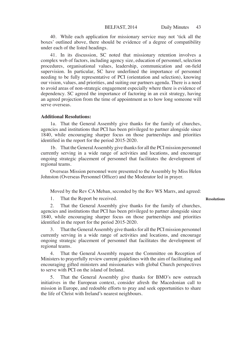40. While each application for missionary service may not 'tick all the boxes' outlined above, there should be evidence of a degree of compatibility under each of the listed headings.

41. In its discussion, SC noted that missionary retention involves a complex web of factors, including agency size, education of personnel, selection procedures, organisational values, leadership, communication and on-field supervision. In particular, SC have underlined the importance of personnel needing to be fully representative of PCI (orientation and selection), knowing our vision, values, and priorities, and suiting our partners agenda. There is a need to avoid areas of non-strategic engagement especially where there is evidence of dependency. SC agreed the importance of factoring in an exit strategy, having an agreed projection from the time of appointment as to how long someone will serve overseas.

#### **Additional Resolutions:**

1a. That the General Assembly give thanks for the family of churches, agencies and institutions that PCI has been privileged to partner alongside since 1840, while encouraging sharper focus on those partnerships and priorities identified in the report for the period 2015-2020.

1b. That the General Assembly give thanks for all the PCI mission personnel currently serving in a wide range of activities and locations, and encourage ongoing strategic placement of personnel that facilitates the development of regional teams.

Overseas Mission personnel were presented to the Assembly by Miss Helen Johnston (Overseas Personnel Officer) and the Moderator led in prayer.

Moved by the Rev CA Meban, seconded by the Rev WS Marrs, and agreed:

1. That the Report be received.

2. That the General Assembly give thanks for the family of churches, agencies and institutions that PCI has been privileged to partner alongside since 1840, while encouraging sharper focus on those partnerships and priorities identified in the report for the period 2015-2020.

That the General Assembly give thanks for all the PCI mission personnel currently serving in a wide range of activities and locations, and encourage ongoing strategic placement of personnel that facilitates the development of regional teams.

4. That the General Assembly request the Committee on Reception of Ministers to prayerfully review current guidelines with the aim of facilitating and encouraging gifted ministers and missionaries with global Church perspectives to serve with PCI on the island of Ireland.

5. That the General Assembly give thanks for BMO's new outreach initiatives in the European context, consider afresh the Macedonian call to mission in Europe, and redouble efforts to pray and seek opportunities to share the life of Christ with Ireland's nearest neighbours.

**Resolutions**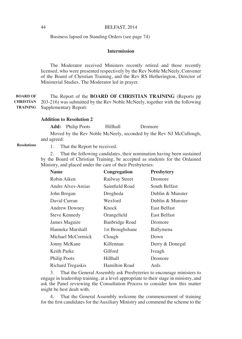Business lapsed on Standing Orders (see page 74)

# **Intermission**

The Moderator received Ministers recently retired and those recently licensed, who were presented respectively by the Rev Noble McNeely, Convener of the Board of Christian Training, and the Rev RS Hetherington, Director of Ministerial Studies. The Moderator led in prayer.

The Report of the **BOARD OF CHRISTIAN TRAINING** (Reports pp 203-216) was submitted by the Rev Noble McNeely, together with the following Supplementary Report: **BOARD OF CHRISTIAN TRAINING**

#### **Addition to Resolution 2**

Add: Philip Poots Hillhall Dromore

Moved by the Rev Noble McNeely, seconded by the Rev NJ McCullough, and agreed:

**Resolutions**

1. That the Report be received.

2. That the following candidates, their nomination having been sustained by the Board of Christian Training, be accepted as students for the Ordained Ministry, and placed under the care of their Presbyteries:

| <b>Name</b>         | Congregation    | <b>Presbytery</b>   |
|---------------------|-----------------|---------------------|
| Robin Aiken         | Railway Street  | Dromore             |
| Andre Alves-Areias  | Saintfield Road | South Belfast       |
| John Brogan         | Drogheda        | Dublin & Munster    |
| David Curran        | Wexford         | Dublin & Munster    |
| Andrew Downey       | Knock           | <b>East Belfast</b> |
| Steve Kennedy       | Orangefield     | <b>East Belfast</b> |
| James Maguire       | Banbridge Road  | Dromore             |
| Hanneke Marshall    | 1st Broughshane | Ballymena           |
| Michael McCormick   | Clough          | Down                |
| Jonny McKane        | Kilfennan       | Derry & Donegal     |
| Keith Parke         | Gilford         | Iveagh              |
| <b>Philip Poots</b> | Hillhall        | Dromore             |
| Richard Tregaskis   | Hamilton Road   | Ards                |

3. That the General Assembly ask Presbyteries to encourage ministers to engage in leadership training, at a level appropriate to their stage in ministry, and ask the Panel reviewing the Consultation Process to consider how this matter might be best dealt with.

4. That the General Assembly welcome the commencement of training for the first candidates for the Auxiliary Ministry and commend the scheme to the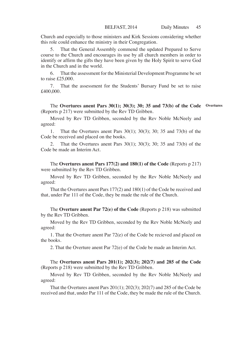Church and especially to those ministers and Kirk Sessions considering whether this role could enhance the ministry in their Congregation.

5. That the General Assembly commend the updated Prepared to Serve course to the Church and encourages its use by all church members in order to identify or affirm the gifts they have been given by the Holy Spirit to serve God in the Church and in the world.

6. That the assessment for the Ministerial Development Programme be set to raise £25,000.

7. That the assessment for the Students' Bursary Fund be set to raise £400,000.

#### The **Overtures anent Pars 30(1); 30(3); 30; 35 and 73(b) of the Code Overtures**(Reports p 217) were submitted by the Rev TD Gribben.

Moved by Rev TD Gribben, seconded by the Rev Noble McNeely and agreed:

1. That the Overtures anent Pars 30(1); 30(3); 30; 35 and 73(b) of the Code be received and placed on the books.

2. That the Overtures anent Pars 30(1); 30(3); 30; 35 and 73(b) of the Code be made an Interim Act.

The **Overtures anent Pars 177(2) and 180(1) of the Code** (Reports p 217) were submitted by the Rev TD Gribben.

Moved by Rev TD Gribben, seconded by the Rev Noble McNeely and agreed:

That the Overtures anent Pars 177(2) and 180(1) of the Code be received and that, under Par 111 of the Code, they be made the rule of the Church.

The **Overture anent Par 72(e) of the Code** (Reports p 218) was submitted by the Rev TD Gribben.

Moved by the Rev TD Gribben, seconded by the Rev Noble McNeely and agreed:

1. That the Overture anent Par 72(e) of the Code be recieved and placed on the books.

2. That the Overture anent Par 72(e) of the Code be made an Interim Act.

The **Overtures anent Pars 201(1); 202(3); 202(7) and 285 of the Code**  (Reports p 218) were submitted by the Rev TD Gribben.

Moved by Rev TD Gribben, seconded by the Rev Noble McNeely and agreed:

That the Overtures anent Pars 201(1); 202(3); 202(7) and 285 of the Code be received and that, under Par 111 of the Code, they be made the rule of the Church.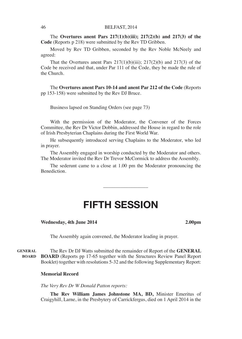The **Overtures anent Pars 217(1)(b)(iii); 217(2)(b) and 217(3) of the Code** (Reports p 218) were submitted by the Rev TD Gribben.

Moved by Rev TD Gribben, seconded by the Rev Noble McNeely and agreed:

That the Overtures anent Pars  $217(1)(b)(iii)$ ;  $217(2)(b)$  and  $217(3)$  of the Code be received and that, under Par 111 of the Code, they be made the rule of the Church.

The **Overtures anent Pars 10-14 and anent Par 212 of the Code** (Reports pp 153-158) were submitted by the Rev DJ Bruce.

Business lapsed on Standing Orders (see page 73)

With the permission of the Moderator, the Convener of the Forces Committee, the Rev Dr Victor Dobbin, addressed the House in regard to the role of Irish Presbyterian Chaplains during the First World War.

He subsequently introduced serving Chaplains to the Moderator, who led in prayer.

The Assembly engaged in worship conducted by the Moderator and others. The Moderator invited the Rev Dr Trevor McCormick to address the Assembly.

The sederunt came to a close at 1.00 pm the Moderator pronouncing the **Benediction** 

\_\_\_\_\_\_\_\_\_\_\_\_\_\_\_\_\_\_

# FIFTH SESSION

**Wednesday, 4th June 2014 2.00pm**

The Assembly again convened, the Moderator leading in prayer.

The Rev Dr DJ Watts submitted the remainder of Report of the **GENERAL BOARD** (Reports pp 17-65 together with the Structures Review Panel Report Booklet) together with resolutions 5-32 and the following Supplementary Report: **GENERAL BOARD**

# **Memorial Record**

*The Very Rev Dr W Donald Patton reports:*

**The Rev William James Johnstone MA, BD,** Minister Emeritus of Craigyhill, Larne, in the Presbytery of Carrickfergus, died on 1 April 2014 in the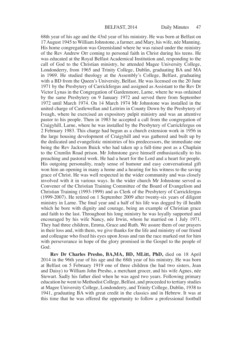68th year of his age and the 43rd year of his ministry. He was born at Belfast on 17 August 1945 to William Johnstone, a farmer, and Mary, his wife, née Manning. His home congregation was Greenisland where he was raised under the ministry of the Rev Andrew Orr coming to personal faith in Christ during his teens. He was educated at the Royal Belfast Academical Institution and, responding to the call of God to the Christian ministry, he attended Magee University College, Londonderry, from 1965 and Trinity College, Dublin, graduating BA and MA in 1969. He studied theology at the Assembly's College, Belfast, graduating with a BD from the Queen's University, Belfast. He was licensed on the 20 June 1971 by the Presbytery of Carrickfergus and assigned as Assistant to the Rev Dr Victor Lynas in the Congregation of Gardenmore, Larne, where he was ordained by the same Presbytery on 9 January 1972 and served there from September 1972 until March 1974. On 14 March 1974 Mr Johnstone was installed in the united charge of Castlewellan and Leitrim in County Down by the Presbytery of Iveagh, where he exercised an expository pulpit ministry and was an attentive pastor to his people. Then in 1983 he accepted a call from the congregation of Craigyhill, Larne, where he was installed by the Presbytery of Carrickfergus on 2 February 1983. This charge had begun as a church extension work in 1956 in the large housing development of Craigyhill and was gathered and built up by the dedicated and evangelistic ministries of his predecessors, the immediate one being the Rev Jackson Buick who had taken up a full-time post as a Chaplain to the Crumlin Road prison. Mr Johnstone gave himself enthusiastically to his preaching and pastoral work. He had a heart for the Lord and a heart for people. His outgoing personality, ready sense of humour and easy conversational gift won him an opening in many a home and a hearing for his witness to the saving grace of Christ. He was well respected in the wider community and was closely involved with it in various ways. In the wider church Mr Johnstone served as Convener of the Christian Training Committee of the Board of Evangelism and Christian Training (1993-1999) and as Clerk of the Presbytery of Carrickfergus (1999-2007). He retired on 1 September 2009 after twenty-six years of diligent ministry in Larne. The final year and a half of his life was dogged by ill health which he bore with dignity and courage, being an example of Christian grace and faith to the last. Throughout his long ministry he was loyally supported and encouraged by his wife Nancy, née Irwin, whom he married on 1 July 1971. They had three children, Emma, Grace and Ruth. We assure them of our prayers in their loss and, with them, we give thanks for the life and ministry of our friend and colleague who fixed his eyes upon Jesus and ran the race marked out for him with perseverance in hope of the glory promised in the Gospel to the people of God.

**Rev Dr Charles Presho, BA,MA, BD, MLitt, PhD,** died on 18 April 2014 in the 96th year of his age and the 68th year of his ministry. He was born at Belfast on 5 February 1919 one of three children (he had two sisters, Jean and Daisy) to William John Presho, a merchant grocer, and his wife Agnes, née Stewart. Sadly his father died when he was aged two years. Following primary education he went to Methodist College, Belfast, and proceeded to tertiary studies at Magee University College, Londonderry, and Trinity College, Dublin, 1938 to 1941, graduating BA with great credit in the classics and in Hebrew. It was at this time that he was offered the opportunity to follow a professional football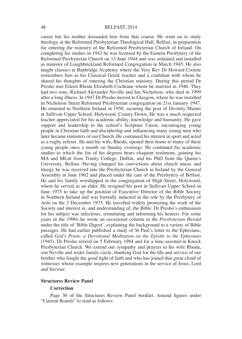career but his mother dissuaded him from that course. He went on to study theology at the Reformed Presbyterian Theological Hall, Belfast, in preparation for entering the ministry of the Reformed Presbyterian Church of Ireland. On completing his studies in 1943 he was licensed by the Eastern Presbytery of the Reformed Presbyterian Church on 13 June 1944 and was ordained and installed as minister of Loughbrickland Reformed Congregation in March 1945. He also taught classics at Banbridge Academy where the Very Rev Dr Howard Cromie remembers him as his Classical Greek teacher and a confidant with whom he shared his thoughts of entering the Christian ministry. During this period Dr Presho met Eileen Rhoda Elizabeth Cochrane whom he married in 1946. They had two sons, Richard Alexander Neville and Ian Nicholson, who died in 1999 after a long illness. In 1947 Dr Presho moved to Glasgow, where he was installed in Nicholson Street Reformed Presbyterian congregation on 21st January 1947. He returned to Northern Ireland in 1958, securing the post of Divinity Master at Sullivan Upper School, Holywood, County Down. He was a much respected teacher appreciated for his academic ability, knowledge and humanity. He gave support and leadership to the school's Scripture Union, encouraging young people in Christian faith and discipleship and influencing many young men who later became ministers of our Church. He continued his interest in sport and acted as a rugby referee. He and his wife, Rhoda, opened their home to many of these young people once a month on Sunday evenings. He continued his academic studies to which the list of his degrees bears eloquent testimony, gaining his MA and MLitt from Trinity College, Dublin, and his PhD from the Queen's University, Belfast. Having changed his convictions about church music and liturgy he was received into the Presbyterian Church in Ireland by the General Assembly in June 1962 and placed under the care of the Presbytery of Belfast. He and his family worshipped in the congregation of High Street, Holywood, where he served as an elder. He resigned his post in Sullivan Upper School in June 1975 to take up the position of Executive Director of the Bible Society in Northern Ireland and was formally inducted in the role by the Presbytery of Ards on the 2 December 1975. He travelled widely promoting the work of the Society and interest in, and understanding of, the Bible. Dr Presho's enthusiasm for his subject was infectious, stimulating and informing his hearers. For some years in the 1990s he wrote an occasional column in the *Presbyterian Herald* under the title of 'Bible Digest', explaining the background to a variety of Bible passages. He had earlier published a study of St Paul's letter to the Ephesians, called *God's Poem: a Devotional Meditation on the Epistle to the Ephesians*  (1945). Dr Presho retired on 5 February 1984 and for a time assisted in Knock Presbyterian Church. We extend our sympathy and prayers to his wife Rhoda, son Neville and wider family circle, thanking God for the life and service of our brother who fought the good fight of faith and who has joined that great cloud of witnesses whose example inspires new generations in the service of Jesus, Lord and Saviour.

# **Structures Review Panel**

#### **Correction**

Page 30 of the Structures Review Panel booklet. Amend figures under "Current Boards" to read as follows: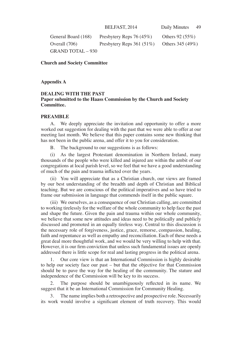General Board (168) Presbytery Reps 76 (45%) Others 92 (55%) Overall (706) Presbytery Reps 361 (51%) Others 345 (49%)  $GRAND TOTAI = 930$ 

**Church and Society Committee**

**Appendix A**

# **DEALING WITH THE PAST Paper submitted to the Haass Commission by the Church and Society Committee.**

#### **PREAMBLE**

A. We deeply appreciate the invitation and opportunity to offer a more worked out suggestion for dealing with the past that we were able to offer at our meeting last month. We believe that this paper contains some new thinking that has not been in the public arena, and offer it to you for consideration.

B. The background to our suggestions is as follows:

(i) As the largest Protestant denomination in Northern Ireland, many thousands of the people who were killed and injured are within the ambit of our congregations at local parish level, so we feel that we have a good understanding of much of the pain and trauma inflicted over the years.

(ii) You will appreciate that as a Christian church, our views are framed by our best understanding of the breadth and depth of Christian and Biblical teaching. But we are conscious of the political imperatives and so have tried to frame our submission in language that commends itself in the public square.

(iii) We ourselves, as a consequence of our Christian calling, are committed to working tirelessly for the welfare of the whole community to help face the past and shape the future. Given the pain and trauma within our whole community, we believe that some new attitudes and ideas need to be politically and publicly discussed and promoted in an equally tireless way. Central to this discussion is the necessary role of forgiveness, justice, grace, remorse, compassion, healing, faith and repentance as well as empathy and reconciliation. Each of these needs a great deal more thoughtful work, and we would be very willing to help with that. However, it is our firm conviction that unless such fundamental issues are openly addressed there is little scope for real and lasting progress in the political arena.

1. Our core view is that an International Commission is highly desirable to help our society face our past – but that the objective for that Commission should be to pave the way for the healing of the community. The stature and independence of the Commission will be key to its success.

2. The purpose should be unambiguously reflected in its name. We suggest that it be an International Commission for Community Healing.

3. The name implies both a retrospective and prospective role. Necessarily its work would involve a significant element of truth recovery. This would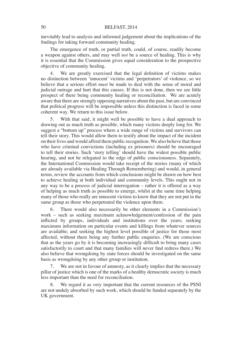inevitably lead to analysis and informed judgement about the implications of the findings for taking forward community healing.

The emergence of truth, or partial truth, could, of course, readily become a weapon against others, and may well *not* be a source of healing. This is why it is essential that the Commission gives equal consideration to the prospective objective of community healing.

4. We are greatly exercised that the legal definition of victims makes no distinction between 'innocent' victims and 'perpetrators' of violence, so we believe that a serious effort *must* be made to deal with the sense of moral and judicial outrage and hurt that this causes. If this is not done, then we see little prospect of there being community healing or reconciliation. We are acutely aware that there are strongly opposing narratives about the past, but are convinced that political progress will be impossible unless this distinction is faced in some coherent way. We return to this issue below.

5. With that said, it might well be possible to have a dual approach to drawing out as much truth as possible, which many victims deeply long for. We suggest a "bottom up" process where a wide range of victims and survivors can tell their story. This would allow them to testify about the impact of the incident on their lives and would afford them public recognition. We also believe that those who have criminal convictions (including ex prisoners) should be encouraged to tell their stories. Such 'story telling' should have the widest possible public hearing, and not be relegated to the edge of public consciousness. Separately, the International Commission would take receipt of the stories (many of which are already available via Healing Through Remembering) and would, in general terms, review the accounts from which conclusions might be drawn on how best to achieve healing at both individual and community levels. This ought not in any way to be a process of judicial interrogation – rather it is offered as a way of helping as much truth as possible to emerge, whilst at the same time helping many of those who really are innocent victims to know that they are not put in the same group as those who perpetrated the violence upon them.

6. There would also necessarily be other elements in a Commission's work – such as seeking maximum acknowledgement/confession of the pain inflicted by groups, individuals and institutions over the years; seeking maximum information on particular events and killings from whatever sources are available; and seeking the highest level possible of justice for those most affected, without there being any further public enquiries. (We are conscious that as the years go by it is becoming increasingly difficult to bring many cases satisfactorily to court and that many families will never find redress there.) We also believe that wrongdoing by state forces should be investigated on the same basis as wrongdoing by any other group or institution.

7. We are not in favour of amnesty, as it clearly implies that the necessary pillar of justice which is one of the marks of a healthy democratic society is much less important than the need for reconciliation.

We regard it as very important that the current resources of the PSNI are not unduly absorbed by such work, which should be funded separately by the UK government.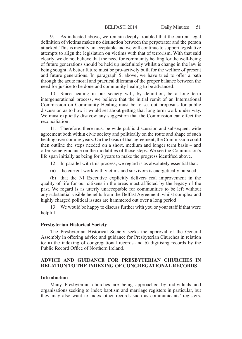9. As indicated above, we remain deeply troubled that the current legal definition of victims makes no distinction between the perpetrator and the person attacked. This is morally unacceptable and we will continue to support legislative attempts to align the legislation on victims with that of terrorism. With that said clearly, we do not believe that the need for community healing for the well-being of future generations should be held up indefinitely whilst a change in the law is being sought. A better future must be pro-actively built for the welfare of present and future generations. In paragraph 5, above, we have tried to offer a path through the acute moral and practical dilemma of the proper balance between the need for justice to be done and community healing to be advanced.

10. Since healing in our society will, by definition, be a long term intergenerational process, we believe that the initial remit of an International Commission on Community Healing must be to set out proposals for public discussion as to how it would set about getting that long term work under way. We must explicitly disavow any suggestion that the Commission can effect the reconciliation.

11. Therefore, there must be wide public discussion and subsequent wide agreement both within civic society and politically on the route and shape of such healing over coming years. On the basis of that agreement, the Commission could then outline the steps needed on a short, medium and longer term basis – and offer some guidance on the modalities of those steps. We see the Commission's life span initially as being for 3 years to make the progress identified above.

12. In parallel with this process, we regard is as absolutely essential that:

(a) the current work with victims and survivors is energetically pursued;

(b) that the NI Executive explicitly delivers real improvement in the quality of life for our citizens in the areas most afflicted by the legacy of the past. We regard is as utterly unacceptable for communities to be left without any substantial visible benefits from the Belfast Agreement, whilst complex and highly charged political issues are hammered out over a long period.

13. We would be happy to discuss further with you or your staff if that were helpful.

#### **Presbyterian Historical Society**

The Presbyterian Historical Society seeks the approval of the General Assembly in offering advice and guidance for Presbyterian Churches in relation to: a) the indexing of congregational records and b) digitising records by the Public Record Office of Northern Ireland.

# **ADVICE AND GUIDANCE FOR PRESBYTERIAN CHURCHES IN RELATION TO THE INDEXING OF CONGREGATIONAL RECORDS**

#### **Introduction**

Many Presbyterian churches are being approached by individuals and organisations seeking to index baptism and marriage registers in particular, but they may also want to index other records such as communicants' registers,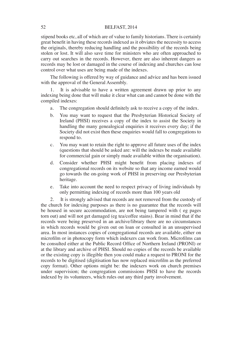stipend books etc, all of which are of value to family historians. There is certainly great benefit in having these records indexed as it obviates the necessity to access the originals, thereby reducing handling and the possibility of the records being stolen or lost. It will also save time for ministers who are often approached to carry out searches in the records. However, there are also inherent dangers as records may be lost or damaged in the course of indexing and churches can lose control over what uses are being made of the indexes.

The following is offered by way of guidance and advice and has been issued with the approval of the General Assembly.

1. It is advisable to have a written agreement drawn up prior to any indexing being done that will make it clear what can and cannot be done with the compiled indexes:

- a. The congregation should definitely ask to receive a copy of the index.
- b. You may want to request that the Presbyterian Historical Society of Ireland (PHSI) receives a copy of the index to assist the Society in handling the many genealogical enquiries it receives every day; if the Society did not exist then these enquiries would fall to congregations to respond to.
- c. You may want to retain the right to approve all future uses of the index (questions that should be asked are: will the indexes be made available for commercial gain or simply made available within the organisation).
- d. Consider whether PHSI might benefit from placing indexes of congregational records on its website so that any income earned would go towards the on-going work of PHSI in preserving our Presbyterian heritage.
- e. Take into account the need to respect privacy of living individuals by only permitting indexing of records more than 100 years old

2. It is strongly advised that records are not removed from the custody of the church for indexing purposes as there is no guarantee that the records will be housed in secure accommodation, are not being tampered with ( eg pages torn out) and will not get damaged (eg tea/coffee stains). Bear in mind that if the records were being preserved in an archive/library there are no circumstances in which records would be given out on loan or consulted in an unsupervised area. In most instances copies of congregational records are available, either on microfilm or in photocopy form which indexers can work from. Microfilms can be consulted either at the Public Record Office of Northern Ireland (PRONI) or at the library and archive of PHSI. Should no copies of the records be available or the existing copy is illegible then you could make a request to PRONI for the records to be digitised (digitisation has now replaced microfilm as the preferred copy format). Other options might be: the indexers work on church premises under supervision; the congregation commissions PHSI to have the records indexed by its volunteers, which rules out any third party involvement.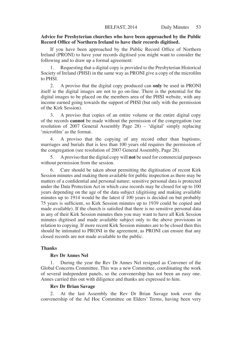# **Advice for Presbyterian churches who have been approached by the Public Record Office of Northern Ireland to have their records digitised.**

If you have been approached by the Public Record Office of Northern Ireland (PRONI) to have your records digitised you might want to consider the following and to draw up a formal agreement:

Requesting that a digital copy is provided to the Presbyterian Historical Society of Ireland (PHSI) in the same way as PRONI give a copy of the microfilm to PHSI.

2. A proviso that the digital copy produced can **only** be used in PRONI itself ie the digital images are not to go on-line. There is the potential for the digital images to be placed on the members area of the PHSI website, with any income earned going towards the support of PHSI (but only with the permission of the Kirk Session).

3. A proviso that copies of an entire volume or the entire digital copy of the records **cannot** be made without the permission of the congregation (see resolution of 2007 General Assembly Page 28) – 'digital' simply replacing 'microfilm' as the format.

4. A proviso that the copying of any record other than baptisms, marriages and burials that is less than 100 years old requires the permission of the congregation (see resolution of 2007 General Assembly, Page 28).

5. A proviso that the digital copy will **not** be used for commercial purposes without permission from the session.

6. Care should be taken about permitting the digitisation of recent Kirk Session minutes and making them available for public inspection as there may be matters of a confidential and personal nature; sensitive personal data is protected under the Data Protection Act in which case records may be closed for up to 100 years depending on the age of the data subject (digitising and making available minutes up to 1914 would be the latest if 100 years is decided on but probably 75 years is sufficient, so Kirk Session minutes up to 1939 could be copied and made available). If the church is satisfied that there is no sensitive personal data in any of their Kirk Session minutes then you may want to have all Kirk Session minutes digitised and made available subject only to the above provisions in relation to copying. If more recent Kirk Session minutes are to be closed then this should be intimated to PRONI in the agreement, as PRONI can ensure that any closed records are not made available to the public.

### **Thanks**

### **Rev Dr Annes Nel**

1. During the year the Rev Dr Annes Nel resigned as Convener of the Global Concerns Committee. This was a new Committee, coordinating the work of several independent panels, so the convenership has not been an easy one. Annes carried this out with diligence and thanks are expressed to him.

### **Rev Dr Brian Savage**

2. At the last Assembly the Rev Dr Brian Savage took over the convenership of the Ad Hoc Committee on Elders' Terms, having been very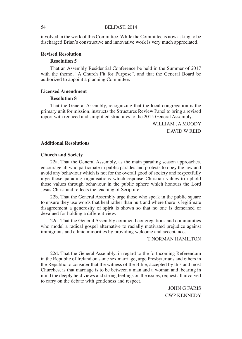involved in the work of this Committee. While the Committee is now asking to be discharged Brian's constructive and innovative work is very much appreciated.

#### **Revised Resolution**

#### **Resolution 5**

That an Assembly Residential Conference be held in the Summer of 2017 with the theme, "A Church Fit for Purpose", and that the General Board be authorized to appoint a planning Committee.

#### **Licensed Amendment**

#### **Resolution 8**

That the General Assembly, recognizing that the local congregation is the primary unit for mission, instructs the Structures Review Panel to bring a revised report with reduced and simplified structures to the 2015 General Assembly.

> WILLIAM JA MOODY DAVID W REID

#### **Additional Resolutions**

#### **Church and Society**

22a. That the General Assembly, as the main parading season approaches, encourage all who participate in public parades and protests to obey the law and avoid any behaviour which is not for the overall good of society and respectfully urge those parading organisations which espouse Christian values to uphold those values through behaviour in the public sphere which honours the Lord Jesus Christ and reflects the teaching of Scripture.

22b. That the General Assembly urge those who speak in the public square to ensure they use words that heal rather than hurt and where there is legitimate disagreement a generosity of spirit is shown so that no one is demeaned or devalued for holding a different view.

22c. That the General Assembly commend congregations and communities who model a radical gospel alternative to racially motivated prejudice against immigrants and ethnic minorities by providing welcome and acceptance.

#### T NORMAN HAMILTON

22d. That the General Assembly, in regard to the forthcoming Referendum in the Republic of Ireland on same sex marriage, urge Presbyterians and others in the Republic to consider that the witness of the Bible, accepted by this and most Churches, is that marriage is to be between a man and a woman and, bearing in mind the deeply held views and strong feelings on the issues, request all involved to carry on the debate with gentleness and respect.

> JOHN G FARIS CWP KENNEDY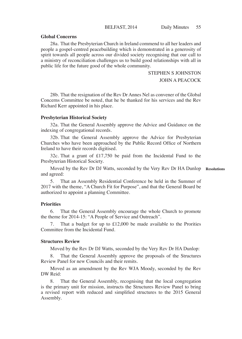# **Global Concerns**

28a. That the Presbyterian Church in Ireland commend to all her leaders and people a gospel-centred peacebuilding which is demonstrated in a generosity of spirit towards all people across our divided society recognising that our call to a ministry of reconciliation challenges us to build good relationships with all in public life for the future good of the whole community.

> STEPHEN S JOHNSTON JOHN A PEACOCK

28b. That the resignation of the Rev Dr Annes Nel as convener of the Global Concerns Committee be noted, that he be thanked for his services and the Rev Richard Kerr appointed in his place.

#### **Presbyterian Historical Society**

32a. That the General Assembly approve the Advice and Guidance on the indexing of congregational records.

32b. That the General Assembly approve the Advice for Presbyterian Churches who have been approached by the Public Record Office of Northern Ireland to have their records digitised.

32c. That a grant of £17,750 be paid from the Incidental Fund to the Presbyterian Historical Society.

Moved by the Rev Dr DJ Watts, seconded by the Very Rev Dr HA Dunlop **Resolutions**and agreed:

5. That an Assembly Residential Conference be held in the Summer of 2017 with the theme, "A Church Fit for Purpose", and that the General Board be authorized to appoint a planning Committee.

# **Priorities**

6. That the General Assembly encourage the whole Church to promote the theme for 2014-15: "A People of Service and Outreach".

That a budget for up to  $£12,000$  be made available to the Prorities Committee from the Incidental Fund.

### **Structures Review**

Moved by the Rev Dr DJ Watts, seconded by the Very Rev Dr HA Dunlop:

8. That the General Assembly approve the proposals of the Structures Review Panel for new Councils and their remits.

Moved as an amendment by the Rev WJA Moody, seconded by the Rev DW Reid:

That the General Assembly, recognising that the local congregation is the primary unit for mission, instructs the Structures Review Panel to bring a revised report with reduced and simplified structures to the 2015 General Assembly.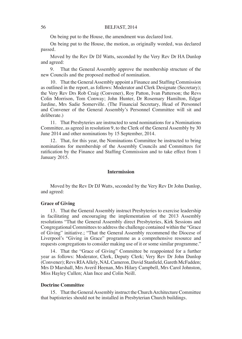On being put to the House, the amendment was declared lost.

On being put to the House, the motion, as originally worded, was declared passed.

Moved by the Rev Dr DJ Watts, seconded by the Very Rev Dr HA Dunlop and agreed:

9. That the General Assembly approve the membership structure of the new Councils and the proposed method of nomination.

10. That the General Assembly appoint a Finance and Staffing Commission as outlined in the report, as follows: Moderator and Clerk Designate (Secretary); the Very Rev Drs Rob Craig (Convener), Roy Patton, Ivan Patterson; the Revs Colin Morrison, Tom Conway; John Hunter, Dr Rosemary Hamilton, Edgar Jardine, Mrs Sadie Somerville. (The Financial Secretary, Head of Personnel and Convener of the General Assembly's Personnel Committee will sit and deliberate.)

11. That Presbyteries are instructed to send nominations for a Nominations Committee, as agreed in resolution 9, to the Clerk of the General Assembly by 30 June 2014 and other nominations by 15 September, 2014.

12. That, for this year, the Nominations Committee be instructed to bring nominations for membership of the Assembly Councils and Committees for ratification by the Finance and Staffing Commission and to take effect from 1 January 2015.

#### **Intermission**

Moved by the Rev Dr DJ Watts, seconded by the Very Rev Dr John Dunlop, and agreed:

#### **Grace of Giving**

13. That the General Assembly instruct Presbyteries to exercise leadership in facilitating and encouraging the implementation of the 2013 Assembly resolutions "That the General Assembly direct Presbyteries, Kirk Sessions and Congregational Committees to address the challenge contained within the "Grace of Giving" initiative.; "That the General Assembly recommend the Diocese of Liverpool's "Giving in Grace" programme as a comprehensive resource and requests congregations to consider making use of it or some similar programme."

14. That the "Grace of Giving" Committee be reappointed for a further year as follows: Moderator, Clerk, Deputy Clerk; Very Rev Dr John Dunlop (Convener); Revs RIA Allely, NAL Cameron, David Stanfield, Gareth McFadden; Mrs D Marshall, Mrs Averil Heenan, Mrs Hilary Campbell, Mrs Carol Johnston, Miss Hayley Cullen; Alan Ince and Colin Neill.

#### **Doctrine Committee**

15. That the General Assembly instruct the Church Architecture Committee that baptisteries should not be installed in Presbyterian Church buildings.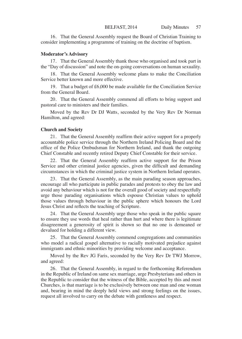16. That the General Assembly request the Board of Christian Training to consider implementing a programme of training on the doctrine of baptism.

#### **Moderator's Advisory**

17. That the General Assembly thank those who organised and took part in the "Day of discussion" and note the on-going conversations on human sexuality.

18. That the General Assembly welcome plans to make the Conciliation Service better known and more effective.

19. That a budget of £6,000 be made available for the Conciliation Service from the General Board.

20. That the General Assembly commend all efforts to bring support and pastoral care to ministers and their families.

Moved by the Rev Dr DJ Watts, seconded by the Very Rev Dr Norman Hamilton, and agreed:

#### **Church and Society**

21. That the General Assembly reaffirm their active support for a properly accountable police service through the Northern Ireland Policing Board and the office of the Police Ombudsman for Northern Ireland, and thank the outgoing Chief Constable and recently retired Deputy Chief Constable for their service.

22. That the General Assembly reaffirm active support for the Prison Service and other criminal justice agencies, given the difficult and demanding circumstances in which the criminal justice system in Northern Ireland operates.

23. That the General Assembly, as the main parading season approaches, encourage all who participate in public parades and protests to obey the law and avoid any behaviour which is not for the overall good of society and respectfully urge those parading organisations which espouse Christian values to uphold those values through behaviour in the public sphere which honours the Lord Jesus Christ and reflects the teaching of Scripture.

24. That the General Assembly urge those who speak in the public square to ensure they use words that heal rather than hurt and where there is legitimate disagreement a generosity of spirit is shown so that no one is demeaned or devalued for holding a different view.

25. That the General Assembly commend congregations and communities who model a radical gospel alternative to racially motivated prejudice against immigrants and ethnic minorities by providing welcome and acceptance.

Moved by the Rev JG Faris, seconded by the Very Rev Dr TWJ Morrow, and agreed:

26. That the General Assembly, in regard to the forthcoming Referendum in the Republic of Ireland on same sex marriage, urge Presbyterians and others in the Republic to consider that the witness of the Bible, accepted by this and most Churches, is that marriage is to be exclusively between one man and one woman and, bearing in mind the deeply held views and strong feelings on the issues, request all involved to carry on the debate with gentleness and respect.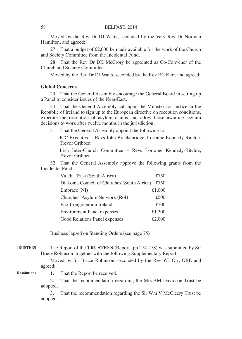Moved by the Rev Dr DJ Watts, seconded by the Very Rev Dr Norman Hamilton, and agreed:

27. That a budget of £2,000 be made available for the work of the Church and Society Committee from the Incidental Fund.

28. That the Rev Dr DK McCrory be appointed as Co-Convener of the Church and Society Committee.

Moved by the Rev Dr DJ Watts, seconded by the Rev RC Kerr, and agreed:

#### **Global Concerns**

29. That the General Assembly encourage the General Board in setting up a Panel to consider issues of the Near-East.

30. That the General Assembly call upon the Minister for Justice in the Republic of Ireland to sign up to the European directive on reception conditions, expedite the resolution of asylum claims and allow those awaiting asylum decisions to work after twelve months in the jurisdiction.

31. That the General Assembly appoint the following to:

ICC Executive – Revs John Brackenridge, Lorraine Kennedy-Ritchie, Trevor Gribben

Irish Inter-Church Committee – Revs Lorraine Kennedy-Ritchie, Trevor Gribben

32. That the General Assembly approve the following grants from the Incidental Fund:

| Vuleka Trust (South Africa)                 | £750   |
|---------------------------------------------|--------|
| Diakonia Council of Churches (South Africa) | £750   |
| Embrace (NI)                                | £1,000 |
| Churches' Asylum Network (RoI)              | £500   |
| Eco-Congregation Ireland                    | £500   |
| <b>Environment Panel expenses</b>           | £1,300 |
| Good Relations Panel expenses               | £2,000 |

Business lapsed on Standing Orders (see page 75)

The Report of the **TRUSTEES** (Reports pp 274-278) was submitted by Sir Bruce Robinson, together with the following Supplementary Report: **TRUSTEES**

> Moved by Sir Bruce Robinson, seconded by the Rev WJ Orr, OBE and agreed:

#### **Resolutions**

1. That the Report be received.

2. That the recommendation regarding the Mrs AM Davidson Trust be adopted.

3. That the recommendation regarding the Sir Wm V McCleery Trust be adopted.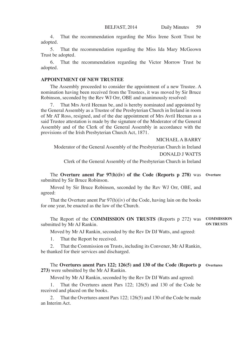4. That the recommendation regarding the Miss Irene Scott Trust be adopted.

5. That the recommendation regarding the Miss Ida Mary McGeown Trust be adopted.

6. That the recommendation regarding the Victor Morrow Trust be adopted.

#### **APPOINTMENT OF NEW TRUSTEE**

The Assembly proceeded to consider the appointment of a new Trustee. A nomination having been received from the Trustees, it was moved by Sir Bruce Robinson, seconded by the Rev WJ Orr, OBE and unanimously resolved:

That Mrs Avril Heenan be, and is hereby nominated and appointed by the General Assembly as a Trustee of the Presbyterian Church in Ireland in room of Mr AT Ross, resigned, and of the due appointment of Mrs Avril Heenan as a said Trustee attestation is made by the signature of the Moderator of the General Assembly and of the Clerk of the General Assembly in accordance with the provisions of the Irish Presbyterian Church Act, 1871.

MICHAEL A BARRY

Moderator of the General Assembly of the Presbyterian Church in Ireland DONALD J WATTS

Clerk of the General Assembly of the Presbyterian Church in Ireland

The **Overture anent Par 97(h)(iv) of the Code (Reports p 278)** was **Overture** submitted by Sir Bruce Robinson.

Moved by Sir Bruce Robinson, seconded by the Rev WJ Orr, OBE, and agreed:

That the Overture anent Par 97(h)(iv) of the Code, having lain on the books for one year, be enacted as the law of the Church.

The Report of the **COMMISSION ON TRUSTS** (Reports p 272) was **COMMISSION**  submitted by Mr AJ Rankin. **ON TRUSTS**

Moved by Mr AJ Rankin, seconded by the Rev Dr DJ Watts, and agreed:

1. That the Report be received.

2. That the Commission on Trusts, including its Convener, Mr AJ Rankin, be thanked for their services and discharged.

The **Overtures anent Pars 122; 126(5) and 130 of the Code (Reports p Overtures273)** were submitted by the Mr AJ Rankin.

Moved by Mr AJ Rankin, seconded by the Rev Dr DJ Watts and agreed:

That the Overtures anent Pars 122; 126(5) and 130 of the Code be received and placed on the books.

2. That the Overtures anent Pars 122; 126(5) and 130 of the Code be made an Interim Act.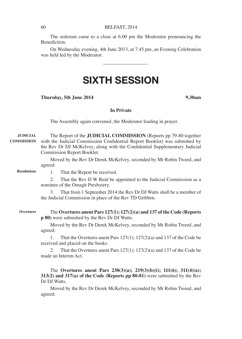The sederunt came to a close at 6.00 pm the Moderator pronouncing the Benediction.

On Wednesday evening, 4th June 2013, at 7.45 pm, an Evening Celebration was held led by the Moderator.

\_\_\_\_\_\_\_\_\_\_\_\_\_\_\_\_\_\_

# SIXTH SESSION

#### **Thursday, 5th June 2014 9.30am**

# **In Private**

The Assembly again convened, the Moderator leading in prayer.

The Report of the **JUDICIAL COMMISSION** (Reports pp 79-80 together **COMMISSION** with the Judicial Commission Confidential Report Booklet) was submitted by the Rev Dr DJ McKelvey, along with the Confidential Supplementary Judicial Commission Report Booklet. **JUDICIAL** 

> Moved by the Rev Dr Derek McKelvey, seconded by Mr Robin Tweed, and agreed:

**Resolutions**

**Overtures**

1. That the Report be received.

2. That the Rev D W Reid be appointed to the Judicial Commission as a nominee of the Omagh Presbytery.

3. That from 1 September 2014 the Rev Dr DJ Watts shall be a member of the Judicial Commission in place of the Rev TD Gribben.

The **Overtures anent Pars 127(1); 127(2)(a) and 137 of the Code (Reports p 80)** were submitted by the Rev Dr DJ Watts.

Moved by the Rev Dr Derek McKelvey, seconded by Mr Robin Tweed, and agreed:

1. That the Overtures anent Pars 127(1); 127(2)(a) and 137 of the Code be received and placed on the books.

2. That the Overtures anent Pars 127(1); 127(2)(a) and 137 of the Code be made an Interim Act.

The **Overtures anent Pars 230(3)(a); 219(3)(b)(i); 111(6); 311(4)(a); 313(2) and 317(a) of the Code (Reports pp 80-81)** were submitted by the Rev Dr DJ Watts.

Moved by the Rev Dr Derek McKelvey, seconded by Mr Robin Tweed, and agreed: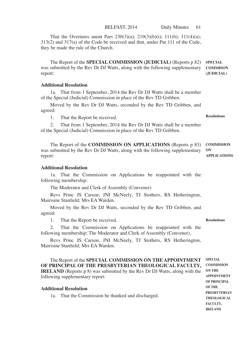BELFAST, 2014 Daily Minutes 61

That the Overtures anent Pars 230(3)(a); 219(3)(b)(i); 111(6); 311(4)(a); 313(2) and 317(a) of the Code be received and that, under Par 111 of the Code, they be made the rule of the Church.

The Report of the **SPECIAL COMMISSION (JUDICIAL)** (Reports p 82) was submitted by the Rev Dr DJ Watts, along with the following supplementary report: **SPECIAL COMMISON (JUDICIAL)**

#### **Additional Resolution**

1a. That from 1 September, 2014 the Rev Dr DJ Watts shall be a member of the Special (Judicial) Commission in place of the Rev TD Gribben.

Moved by the Rev Dr DJ Watts, seconded by the Rev TD Gribben, and agreed:

1. That the Report be received.

2. That from 1 September, 2014 the Rev Dr DJ Watts shall be a member of the Special (Judicial) Commission in place of the Rev TD Gribben.

The Report of the **COMMISSION ON APPLICATIONS** (Reports p 83) was submitted by the Rev Dr DJ Watts, along with the following supplementary report: **COMMISSION ON APPLICATIONS**

#### **Additional Resolution**

**Additional Resolution**

1a. That the Commission on Applications be reappointed with the following membership:

The Moderator and Clerk of Assembly (Convener)

Revs Princ JS Carson, JNI McNeely, TJ Stothers, RS Hetherington, Mairisine Stanfield; Mrs EA Warden.

Moved by the Rev Dr DJ Watts, seconded by the Rev TD Gribben, and agreed:

1. That the Report be received.

2. That the Commission on Applications be reappointed with the following membership: The Moderator and Clerk of Assembly (Convener),

Revs Princ JS Carson, JNI McNeely, TJ Stothers, RS Hetherington, Mairisine Stanfield; Mrs EA Warden.

The Report of the **SPECIAL COMMISSION ON THE APPOINTMENT OF PRINCIPAL OF THE PRESBYTERIAN THEOLOGICAL FACULTY, IRELAND** (Reports p 8) was submitted by the Rev Dr DJ Watts, along with the following supplementary report: **SPECIAL** 

1a. That the Commission be thanked and discharged.

**COMMISSION ON THE APPOINTMENT OF PRINCIPAL OF THE PRESBYTERIAN THEOLOGICAL FACULTY, IRELAND**

**Resolutions**

**Resolutions**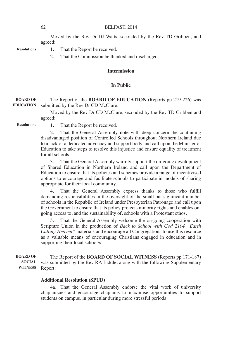Moved by the Rev Dr DJ Watts, seconded by the Rev TD Gribben, and agreed:

**Resolutions**

- 1. That the Report be received.
- 2. That the Commission be thanked and discharged.

#### **Intermission**

# **In Public**

The Report of the **BOARD OF EDUCATION** (Reports pp 219-226) was submitted by the Rev Dr CD McClure. **BOARD OF EDUCATION**

> Moved by the Rev Dr CD McClure, seconded by the Rev TD Gribben and agreed:

**Resolutions**

1. That the Report be received.

2. That the General Assembly note with deep concern the continuing disadvantaged position of Controlled Schools throughout Northern Ireland due to a lack of a dedicated advocacy and support body and call upon the Minister of Education to take steps to resolve this injustice and ensure equality of treatment for all schools.

3. That the General Assembly warmly support the on-going development of Shared Education in Northern Ireland and call upon the Department of Education to ensure that its policies and schemes provide a range of incentivised options to encourage and facilitate schools to participate in models of sharing appropriate for their local community.

4. That the General Assembly express thanks to those who fulfill demanding responsibilities in the oversight of the small but significant number of schools in the Republic of Ireland under Presbyterian Patronage and call upon the Government to ensure that its policy protects minority rights and enables ongoing access to, and the sustainability of, schools with a Protestant ethos.

5. That the General Assembly welcome the on-going cooperation with Scripture Union in the production of *Back to School with God 2104 "Earth Calling Heaven"* materials and encourage all Congregations to use this resource as a valuable means of encouraging Christians engaged in education and in supporting their local school/s.

The Report of the **BOARD OF SOCIAL WITNESS** (Reports pp 171-187) was submitted by the Rev RA Liddle, along with the following Supplementary Report: **BOARD OF SOCIAL WITNESS**

#### **Additional Resolution (SPUD)**

4a. That the General Assembly endorse the vital work of university chaplaincies and encourage chaplains to maximise opportunities to support students on campus, in particular during more stressful periods.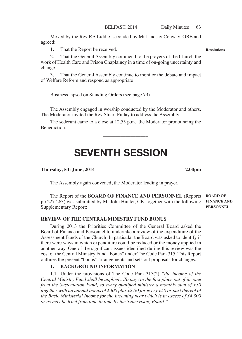Moved by the Rev RA Liddle, seconded by Mr Lindsay Conway, OBE and agreed:

1. That the Report be received.

2. That the General Assembly commend to the prayers of the Church the work of Health Care and Prison Chaplaincy in a time of on-going uncertainty and change.

3. That the General Assembly continue to monitor the debate and impact of Welfare Reform and respond as appropriate.

Business lapsed on Standing Orders (see page 79)

The Assembly engaged in worship conducted by the Moderator and others. The Moderator invited the Rev Stuart Finlay to address the Assembly.

The sederunt came to a close at 12.55 p.m., the Moderator pronouncing the Benediction.

\_\_\_\_\_\_\_\_\_\_\_\_\_\_\_\_\_\_

# SEVENTH SESSION

#### **Thursday, 5th June, 2014 2.00pm**

The Assembly again convened, the Moderator leading in prayer.

The Report of the **BOARD OF FINANCE AND PERSONNEL** (Reports pp 227-263) was submitted by Mr John Hunter, CB, together with the following Supplementary Report:

#### **REVIEW OF THE CENTRAL MINISTRY FUND BONUS**

During 2013 the Priorities Committee of the General Board asked the Board of Finance and Personnel to undertake a review of the expenditure of the Assessment Funds of the Church. In particular the Board was asked to identify if there were ways in which expenditure could be reduced or the money applied in another way. One of the significant issues identified during this review was the cost of the Central Ministry Fund "bonus" under The Code Para 315. This Report outlines the present "bonus" arrangements and sets out proposals for changes.

# **1. BACKGROUND INFORMATION**

1.1 Under the provisions of The Code Para 315(2) *"the income of the Central Ministry Fund shall be applied…To pay (in the first place out of income from the Sustentation Fund) to every qualified minister a monthly sum of £30 together with an annual bonus of £300 plus £2.50 for every £50 or part thereof of the Basic Ministerial Income for the Incoming year which is in excess of £4,300 or as may be fixed from time to time by the Supervising Board."*

**BOARD OF FINANCE AND PERSONNEL**

**Resolutions**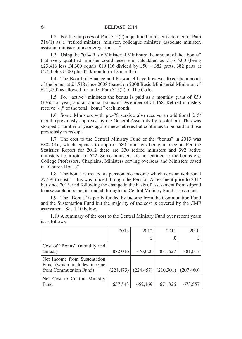1.2 For the purposes of Para 315(2) a qualified minister is defined in Para 316(1) as a "retired minister, minister, colleague minister, associate minister, assistant minister of a congregation …."

1.3 Using the 2014 Basic Ministerial Minimum the amount of the "bonus" that every qualified minister could receive is calculated as £1,615.00 (being £23,416 less £4,300 equals £19,116 divided by £50 = 382 parts, 382 parts at £2.50 plus £300 plus £30/month for 12 months).

1.4 The Board of Finance and Personnel have however fixed the amount of the bonus at £1,518 since 2008 (based on 2008 Basic Ministerial Minimum of £21,450) as allowed for under Para 315(2) of The Code.

1.5 For "active" ministers the bonus is paid as a monthly grant of £30 (£360 for year) and an annual bonus in December of £1,158. Retired ministers receive  $\frac{1}{12}$ <sup>th</sup> of the total "bonus" each month.

1.6 Some Ministers with pre-78 service also receive an additional £15/ month (previously approved by the General Assembly by resolution). This was stopped a number of years ago for new retirees but continues to be paid to those previously in receipt.

1.7 The cost to the Central Ministry Fund of the "bonus" in 2013 was £882,016, which equates to approx. 580 ministers being in receipt. Per the Statistics Report for 2012 there are 230 retired ministers and 392 active ministers i.e. a total of 622. Some ministers are not entitled to the bonus e.g. College Professors, Chaplains, Ministers serving overseas and Ministers based in "Church House".

1.8 The bonus is treated as pensionable income which adds an additional 27.5% to costs – this was funded through the Pension Assessment prior to 2012 but since 2013, and following the change in the basis of assessment from stipend to assessable income, is funded through the Central Ministry Fund assessment.

1.9 The "Bonus" is partly funded by income from the Commutation Fund and the Sustentation Fund but the majority of the cost is covered by the CMF assessment. See 1.10 below.

|                                                              | 2013    | 2012                                            | 2011    | 2010    |
|--------------------------------------------------------------|---------|-------------------------------------------------|---------|---------|
|                                                              |         |                                                 | £       |         |
| Cost of "Bonus" (monthly and                                 |         |                                                 |         |         |
| annual)                                                      | 882.016 | 876,626                                         | 881,627 | 881,017 |
| Net Income from Sustentation<br>Fund (which includes income) |         |                                                 |         |         |
| from Commutation Fund)                                       |         | $(224,473)$ $(224,457)$ $(210,301)$ $(207,460)$ |         |         |
| Net Cost to Central Ministry                                 |         |                                                 |         |         |
| Fund                                                         | 657.543 | 652,169                                         | 671,326 | 673,557 |

1.10 A summary of the cost to the Central Ministry Fund over recent years is as follows: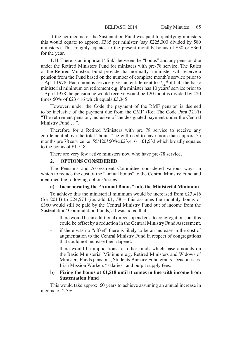If the net income of the Sustentation Fund was paid to qualifying ministers this would equate to approx. £385 per minister (say £225,000 divided by 580 ministers). This roughly equates to the present monthly bonus of £30 or £360 for the year.

1.11 There is an important "link" between the "bonus" and any pension due under the Retired Ministers Fund for ministers with pre-78 service. The Rules of the Retired Ministers Fund provide that normally a minister will receive a pension from the Fund based on the number of complete month's service prior to 1 April 1978. Each months service gives an entitlement to  $\frac{1}{420}$  thof half the basic ministerial minimum on retirement e.g. if a minister has 10 years' service prior to 1 April 1978 the pension he would receive would be 120 months divided by 420 times 50% of £23,416 which equals £3,345.

However, under the Code the payment of the RMF pension is deemed to be inclusive of the payment due from the CMF. (Ref The Code Para 321(i) "The retirement pension, inclusive of the designated payment under the Central Ministry Fund …".

Therefore for a Retired Ministers with pre 78 service to receive any entitlement above the total "bonus" he will need to have more than approx. 55 months pre 78 service i.e.  $55/420*50\%x£23,416 = £1,533$  which broadly equates to the bonus of £1,518.

There are very few active ministers now who have pre-78 service.

#### **2. OPTIONS CONSIDERED**

The Pensions and Assessment Committee considered various ways in which to reduce the cost of the "annual bonus" to the Central Ministry Fund and identified the following options/issues

#### **a) Incorporating the "Annual Bonus" into the Ministerial Minimum**

To achieve this the ministerial minimum would be increased from £23,416 (for 2014) to £24,574 (i.e. add £1,158 – this assumes the monthly bonus of £360 would still be paid by the Central Ministry Fund out of income from the Sustentation/ Commutation Funds). It was noted that:

- there would be an additional direct stipend cost to congregations but this could be offset by a reduction in the Central Ministry Fund Assessment.
- if there was no "offset" there is likely to be an increase in the cost of augmentation to the Central Ministry Fund in respect of congregations that could not increase their stipend.
- there would be implications for other funds which base amounts on the Basic Ministerial Minimum e.g. Retired Ministers and Widows of Ministers Funds pensions, Students Bursary Fund grants, Deaconesses, Irish Mission Workers "salaries" and pulpit supply fees.

#### **b) Fixing the bonus at £1,518 until it comes in line with income from Sustentation Fund**

This would take approx. 60 years to achieve assuming an annual increase in income of 2.5%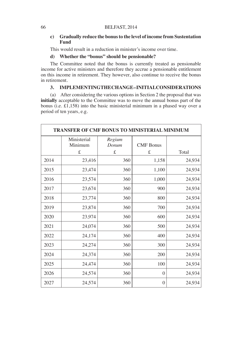# **c) Gradually reduce the bonus to the level of income from Sustentation Fund**

This would result in a reduction in minister's income over time.

# **d) Whether the "bonus" should be pensionable?**

The Committee noted that the bonus is currently treated as pensionable income for active ministers and therefore they accrue a pensionable entitlement on this income in retirement. They however, also continue to receive the bonus in retirement.

# **3. IMPLEMENTING THE CHANGE – INITIAL CONSIDERATIONS**

(a) After considering the various options in Section 2 the proposal that was **initially** acceptable to the Committee was to move the annual bonus part of the bonus (i.e.  $\hat{t}$ 1,158) into the basic ministerial minimum in a phased way over a period of ten years, e.g.

| <b>TRANSFER OF CMF BONUS TO MINISTERIAL MINIMUM</b> |                             |                      |                       |        |
|-----------------------------------------------------|-----------------------------|----------------------|-----------------------|--------|
|                                                     | Ministerial<br>Minimum<br>£ | Regium<br>Donum<br>£ | <b>CMF</b> Bonus<br>£ | Total  |
| 2014                                                | 23,416                      | 360                  | 1,158                 | 24,934 |
| 2015                                                | 23,474                      | 360                  | 1,100                 | 24,934 |
| 2016                                                | 23,574                      | 360                  | 1,000                 | 24,934 |
| 2017                                                | 23,674                      | 360                  | 900                   | 24,934 |
| 2018                                                | 23,774                      | 360                  | 800                   | 24,934 |
| 2019                                                | 23,874                      | 360                  | 700                   | 24,934 |
| 2020                                                | 23,974                      | 360                  | 600                   | 24,934 |
| 2021                                                | 24,074                      | 360                  | 500                   | 24,934 |
| 2022                                                | 24,174                      | 360                  | 400                   | 24,934 |
| 2023                                                | 24,274                      | 360                  | 300                   | 24,934 |
| 2024                                                | 24,374                      | 360                  | 200                   | 24,934 |
| 2025                                                | 24,474                      | 360                  | 100                   | 24,934 |
| 2026                                                | 24,574                      | 360                  | $\theta$              | 24,934 |
| 2027                                                | 24,574                      | 360                  | $\overline{0}$        | 24,934 |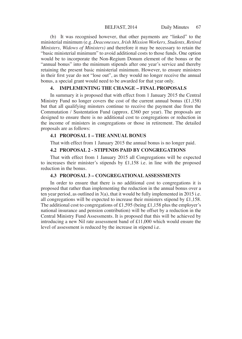(b) It was recognised however, that other payments are "linked" to the ministerial minimum (e.g. *Deaconesses, Irish Mission Workers, Students, Retired Ministers, Widows of Ministers)* and therefore it may be necessary to retain the "basic ministerial minimum" to avoid additional costs to those funds. One option would be to incorporate the Non-Regium Donum element of the bonus or the "annual bonus" into the minimum stipends after one year's service and thereby retaining the present basic ministerial minimum. However, to ensure ministers in their first year do not "lose out", as they would no longer receive the annual bonus, a special grant would need to be awarded for that year only.

# **4. IMPLEMENTING THE CHANGE – FINAL PROPOSALS**

In summary it is proposed that with effect from 1 January 2015 the Central Ministry Fund no longer covers the cost of the current annual bonus  $(£1,158)$ but that all qualifying minsters continue to receive the payment due from the Commutation / Sustentation Fund (approx. £360 per year). The proposals are designed to ensure there is no additional cost to congregations or reduction in the income of ministers in congregations or those in retirement. The detailed proposals are as follows:

#### **4.1 PROPOSAL 1 – THE ANNUAL BONUS**

That with effect from 1 January 2015 the annual bonus is no longer paid.

# **4.2 PROPOSAL 2 - STIPENDS PAID BY CONGREGATIONS**

That with effect from 1 January 2015 all Congregations will be expected to increases their minister's stipends by £1,158 i.e. in line with the proposed reduction in the bonus.

#### **4.3 PROPOSAL 3 – CONGREGATIONAL ASSESSMENTS**

In order to ensure that there is no additional cost to congregations it is proposed that rather than implementing the reduction in the annual bonus over a ten year period, as outlined in 3(a), that it would be fully implemented in 2015 i.e. all congregations will be expected to increase their ministers stipend by £1,158. The additional cost to congregations of £1,595 (being £1,158 plus the employer's national insurance and pension contribution) will be offset by a reduction in the Central Ministry Fund Assessments. It is proposed that this will be achieved by introducing a new Nil rate assessment band of £11,000 which would ensure the level of assessment is reduced by the increase in stipend i.e.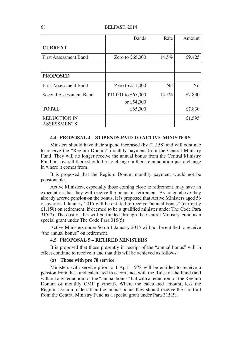|                                           | <b>Bands</b>       | Rate  | Amount |
|-------------------------------------------|--------------------|-------|--------|
| <b>CURRENT</b>                            |                    |       |        |
| <b>First Assessment Band</b>              | Zero to $£65,000$  | 14.5% | £9,425 |
|                                           |                    |       |        |
| <b>PROPOSED</b>                           |                    |       |        |
| <b>First Assessment Band</b>              | Zero to $£11,000$  | Nil   | Nil    |
| Second Assessment Band                    | £11,001 to £65,000 | 14.5% | £7,830 |
|                                           | or £54,000         |       |        |
| <b>TOTAL</b>                              | £65,000            |       | £7,830 |
| <b>REDUCTION IN</b><br><b>ASSESSMENTS</b> |                    |       | £1,595 |

#### **4.4 PROPOSAL 4 – STIPENDS PAID TO ACTIVE MINISTERS**

Minsters should have their stipend increased (by £1,158) and will continue to receive the "Regium Donum" monthly payment from the Central Ministry Fund. They will no longer receive the annual bonus from the Central Ministry Fund but overall there should be no change in their remuneration just a change in where it comes from.

It is proposed that the Regium Donum monthly payment would not be pensionable.

Active Ministers, especially those coming close to retirement, may have an expectation that they will receive the bonus in retirement. As noted above they already accrue pension on the bonus. It is proposed that Active Ministers aged 56 or over on 1 January 2015 will be entitled to receive "annual bonus" (currently £1,158) on retirement, if deemed to be a qualified minister under The Code Para 315(2). The cost of this will be funded through the Central Ministry Fund as a special grant under The Code Para 315(5).

Active Ministers under 56 on 1 January 2015 will not be entitled to receive "the annual bonus" on retirement.

# **4.5 PROPOSAL 5 – RETIRED MINISTERS**

It is proposed that those presently in receipt of the "annual bonus" will in effect continue to receive it and that this will be achieved as follows:

#### **(a) Those with pre 78 service**

Ministers with service prior to 1 April 1978 will be entitled to receive a pension from that fund calculated in accordance with the Rules of the Fund (and without any reduction for the "annual bonus" but with a reduction for the Regium Donum or monthly CMF payment). Where the calculated amount, less the Regium Donum, is less than the annual bonus they should receive the shortfall from the Central Ministry Fund as a special grant under Para 315(5).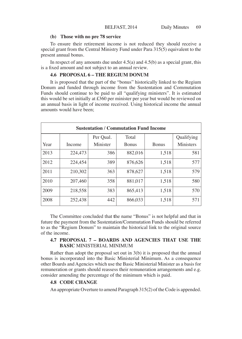#### **(b) Those with no pre 78 service**

To ensure their retirement income is not reduced they should receive a special grant from the Central Ministry Fund under Para 315(5) equivalent to the present annual bonus.

In respect of any amounts due under  $4.5(a)$  and  $4.5(b)$  as a special grant, this is a fixed amount and not subject to an annual review.

# **4.6 PROPOSAL 6 – THE REGIUM DONUM**

It is proposed that the part of the "bonus" historically linked to the Regium Donum and funded through income from the Sustentation and Commutation Funds should continue to be paid to all "qualifying ministers". It is estimated this would be set initially at £360 per minister per year but would be reviewed on an annual basis in light of income received. Using historical income the annual amounts would have been;

| <b>Sustentation / Commutation Fund Income</b> |         |           |              |              |                  |  |  |
|-----------------------------------------------|---------|-----------|--------------|--------------|------------------|--|--|
|                                               |         | Per Oual. | Total        |              | Qualifying       |  |  |
| Year                                          | Income  | Minister  | <b>Bonus</b> | <b>Bonus</b> | <b>Ministers</b> |  |  |
| 2013                                          | 224,473 | 386       | 882.016      | 1,518        | 581              |  |  |
| 2012                                          | 224.454 | 389       | 876,626      | 1,518        | 577              |  |  |
| 2011                                          | 210.302 | 363       | 878,627      | 1,518        | 579              |  |  |
| 2010                                          | 207.460 | 358       | 881.017      | 1,518        | 580              |  |  |
| 2009                                          | 218,558 | 383       | 865,413      | 1,518        | 570              |  |  |
| 2008                                          | 252,438 | 442       | 866,033      | 1,518        | 571              |  |  |

The Committee concluded that **t**he name "Bonus" is not helpful and that in future the payment from the Sustentation/Commutation Funds should be referred to as the "Regium Donum" to maintain the historical link to the original source of the income.

# **4.7 PROPOSAL 7 – BOARDS AND AGENCIES THAT USE THE BASIC** MINISTERIAL MINIMUM

Rather than adopt the proposal set out in 3(b) it is proposed that the annual bonus is incorporated into the Basic Ministerial Minimum. As a consequence other Boards and Agencies which use the Basic Ministerial Minister as a basis for remuneration or grants should reassess their remuneration arrangements and e.g. consider amending the percentage of the minimum which is paid.

# **4.8 CODE CHANGE**

An appropriate Overture to amend Paragraph 315(2) of the Code is appended.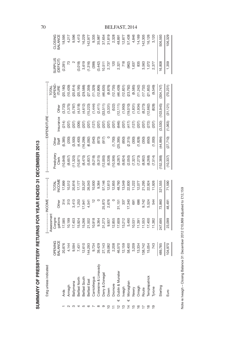| Estg unless indicated                                             |                                                                                                                                                                                                                                                                           |                                                                                                                                                                                                                                                                       |                                                       |                                                                                                                                                                                                                              |                                |                                             | - EXPENDITURE                    |                                                                                                  |                                                                                                                                                                                                                                                                                                                                                      |                                                                                                                                                                                                                                                                                                                                   |                    |
|-------------------------------------------------------------------|---------------------------------------------------------------------------------------------------------------------------------------------------------------------------------------------------------------------------------------------------------------------------|-----------------------------------------------------------------------------------------------------------------------------------------------------------------------------------------------------------------------------------------------------------------------|-------------------------------------------------------|------------------------------------------------------------------------------------------------------------------------------------------------------------------------------------------------------------------------------|--------------------------------|---------------------------------------------|----------------------------------|--------------------------------------------------------------------------------------------------|------------------------------------------------------------------------------------------------------------------------------------------------------------------------------------------------------------------------------------------------------------------------------------------------------------------------------------------------------|-----------------------------------------------------------------------------------------------------------------------------------------------------------------------------------------------------------------------------------------------------------------------------------------------------------------------------------|--------------------|
|                                                                   |                                                                                                                                                                                                                                                                           | ssessmen                                                                                                                                                                                                                                                              |                                                       |                                                                                                                                                                                                                              |                                |                                             |                                  |                                                                                                  |                                                                                                                                                                                                                                                                                                                                                      |                                                                                                                                                                                                                                                                                                                                   |                    |
|                                                                   | <b>DPENING</b><br>BALANCE                                                                                                                                                                                                                                                 | Congre-<br>gations                                                                                                                                                                                                                                                    |                                                       | TOTAL<br>NCOME                                                                                                                                                                                                               |                                | <b>Other</b>                                |                                  |                                                                                                  | TOTAL<br>SAPEND-<br>ITURE                                                                                                                                                                                                                                                                                                                            | SURPLUS<br>(DEFICIT)                                                                                                                                                                                                                                                                                                              | CLOSING<br>BALANCE |
|                                                                   |                                                                                                                                                                                                                                                                           |                                                                                                                                                                                                                                                                       | <b>Other</b>                                          |                                                                                                                                                                                                                              |                                | Staff                                       | nsurance                         | Other                                                                                            |                                                                                                                                                                                                                                                                                                                                                      |                                                                                                                                                                                                                                                                                                                                   |                    |
| Yds                                                               |                                                                                                                                                                                                                                                                           | 17,585                                                                                                                                                                                                                                                                | 31 <sup>2</sup>                                       | 17,899                                                                                                                                                                                                                       | resbytery<br>Clerk<br>(10,848) | (5,385)                                     | $(214)$<br>$(207)$               |                                                                                                  |                                                                                                                                                                                                                                                                                                                                                      | (2, 281)                                                                                                                                                                                                                                                                                                                          | 18,595             |
| Armagh                                                            |                                                                                                                                                                                                                                                                           | 10,199                                                                                                                                                                                                                                                                | 313                                                   | 10,512                                                                                                                                                                                                                       |                                |                                             |                                  | (3,733)<br>(1,375)                                                                               |                                                                                                                                                                                                                                                                                                                                                      |                                                                                                                                                                                                                                                                                                                                   | $4,217$<br>9,596   |
| <b>Ballymena</b>                                                  |                                                                                                                                                                                                                                                                           | 17,403                                                                                                                                                                                                                                                                | 3,413                                                 |                                                                                                                                                                                                                              |                                |                                             |                                  |                                                                                                  |                                                                                                                                                                                                                                                                                                                                                      |                                                                                                                                                                                                                                                                                                                                   |                    |
| <b>Belfast North</b>                                              |                                                                                                                                                                                                                                                                           |                                                                                                                                                                                                                                                                       | 1,253                                                 |                                                                                                                                                                                                                              |                                |                                             | (207)<br>(306)<br>(207)          |                                                                                                  |                                                                                                                                                                                                                                                                                                                                                      |                                                                                                                                                                                                                                                                                                                                   | 4,413              |
| Belfast South                                                     |                                                                                                                                                                                                                                                                           |                                                                                                                                                                                                                                                                       | 17,941                                                |                                                                                                                                                                                                                              |                                |                                             |                                  | $(5,787)$ $(4,518)$ $(4,612)$ $(15,223)$ $(16,444)$ $(1,444)$ $(2,411)$ $(2,411)$ $(2,331)$      |                                                                                                                                                                                                                                                                                                                                                      |                                                                                                                                                                                                                                                                                                                                   | 16,229             |
| Belfast East                                                      |                                                                                                                                                                                                                                                                           |                                                                                                                                                                                                                                                                       | 4,541                                                 |                                                                                                                                                                                                                              |                                |                                             | (207)                            |                                                                                                  |                                                                                                                                                                                                                                                                                                                                                      |                                                                                                                                                                                                                                                                                                                                   | 142,977            |
| Carrickfergus                                                     |                                                                                                                                                                                                                                                                           |                                                                                                                                                                                                                                                                       |                                                       |                                                                                                                                                                                                                              |                                |                                             | (127)                            |                                                                                                  |                                                                                                                                                                                                                                                                                                                                                      |                                                                                                                                                                                                                                                                                                                                   | 9,335              |
| Coleraine & Limavady                                              |                                                                                                                                                                                                                                                                           |                                                                                                                                                                                                                                                                       |                                                       |                                                                                                                                                                                                                              |                                |                                             |                                  |                                                                                                  |                                                                                                                                                                                                                                                                                                                                                      |                                                                                                                                                                                                                                                                                                                                   |                    |
| Derry & Donegal                                                   |                                                                                                                                                                                                                                                                           |                                                                                                                                                                                                                                                                       |                                                       |                                                                                                                                                                                                                              |                                |                                             |                                  |                                                                                                  |                                                                                                                                                                                                                                                                                                                                                      |                                                                                                                                                                                                                                                                                                                                   |                    |
| Down<br>Dromore                                                   |                                                                                                                                                                                                                                                                           |                                                                                                                                                                                                                                                                       |                                                       |                                                                                                                                                                                                                              |                                |                                             | 207<br>207<br>207                |                                                                                                  |                                                                                                                                                                                                                                                                                                                                                      |                                                                                                                                                                                                                                                                                                                                   |                    |
|                                                                   |                                                                                                                                                                                                                                                                           |                                                                                                                                                                                                                                                                       |                                                       |                                                                                                                                                                                                                              |                                |                                             |                                  | (522)                                                                                            |                                                                                                                                                                                                                                                                                                                                                      |                                                                                                                                                                                                                                                                                                                                   |                    |
| Dublin & Munster<br>Iweagh<br>Monaghan<br>Mewry<br>Omagh<br>Omagh | $\begin{array}{l} 62.4 & 0.00000 \\ 0.000000 & 0.00000 \\ 0.000000 & 0.00000 \\ 0.00000 & 0.00000 \\ 0.00000 & 0.00000 \\ 0.00000 & 0.00000 \\ 0.00000 & 0.00000 \\ 0.00000 & 0.00000 \\ 0.00000 & 0.00000 \\ 0.00000 & 0.00000 \\ 0.00000 & 0.00000 \\ 0.00000 & 0.0000$ | $\begin{array}{l} 15.924\\ 15.266\\ 21.502\\ 21.503\\ 23.33\\ 24.35\\ 25.33\\ 26.33\\ 27.33\\ 28.35\\ 29.35\\ 20.35\\ 21.39\\ 22.33\\ 23.35\\ 24.35\\ 25.35\\ 26.35\\ 27.35\\ 28.3\\ 29.35\\ 21.35\\ 22.35\\ 23.35\\ 24.35\\ 25.35\\ 26.35\\ 27.35\\ 28.35\\ 29.35\\$ | $72$<br>0<br>0<br>25,873<br>2,576<br>0<br>0<br>31,151 | $20.817$ $7.777$ $7.703$ $8.83$ $8.84$ $4.65$ $8.85$ $8.85$ $8.85$ $8.85$ $8.85$ $8.85$ $8.85$ $8.85$ $8.85$ $8.85$ $8.85$ $8.85$ $8.85$ $8.85$ $8.85$ $8.85$ $8.85$ $8.85$ $8.85$ $8.85$ $8.85$ $8.85$ $8.85$ $8.85$ $8.85$ |                                | 0<br>(1,700)<br>(850)<br>(2,315)<br>(2,315) |                                  |                                                                                                  | $[0.180] \setlength{\unitlength}{0.5cm} \begin{tabular}{l} \hline & $0.01$ & $0.01$ \\ \hline & $0.0439$ & $0.0143$ \\ \hline & $0.0149$ & $0.0143$ \\ \hline & $0.0149$ & $0.0143$ \\ \hline & $0.0143$ & $0.0143$ \\ \hline & $0.0143$ & $0.0143$ \\ \hline & $0.0143$ & $0.0143$ \\ \hline & $0.0143$ & $0.0143$ \\ \hline & $0.0143$ & $0.0143$$ | $\begin{array}{r} (3,018) \\ 3,619 \\ (1,316) \\ (3,64) \\ (3,44) \\ (3,44) \\ (3,44) \\ (3,44) \\ (3,44) \\ (3,44) \\ (3,44) \\ (3,51) \\ (3,73) \\ (3,74) \\ (3,81) \\ (3,62) \\ (3,74) \\ (3,75) \\ (3,77) \\ (3,78) \\ (3,79) \\ (3,70) \\ (3,71) \\ (3,72) \\ (3,73) \\ (3,74) \\ (3,75) \\ (3,75) \\ (3,77) \\ (3,78) \\ ($ |                    |
|                                                                   |                                                                                                                                                                                                                                                                           |                                                                                                                                                                                                                                                                       | 337                                                   |                                                                                                                                                                                                                              |                                |                                             |                                  |                                                                                                  |                                                                                                                                                                                                                                                                                                                                                      |                                                                                                                                                                                                                                                                                                                                   |                    |
|                                                                   |                                                                                                                                                                                                                                                                           |                                                                                                                                                                                                                                                                       | 17,340                                                |                                                                                                                                                                                                                              |                                |                                             | (646)<br>(207)<br>(417)<br>(207) | $(12, 111)$<br>$(1, 950)$<br>$(19, 010)$<br>$(1, 831)$<br>$(1, 934)$<br>$(8, 273)$<br>$(8, 273)$ |                                                                                                                                                                                                                                                                                                                                                      |                                                                                                                                                                                                                                                                                                                                   |                    |
|                                                                   |                                                                                                                                                                                                                                                                           |                                                                                                                                                                                                                                                                       | 691                                                   |                                                                                                                                                                                                                              |                                | (300)                                       |                                  |                                                                                                  |                                                                                                                                                                                                                                                                                                                                                      |                                                                                                                                                                                                                                                                                                                                   |                    |
|                                                                   |                                                                                                                                                                                                                                                                           |                                                                                                                                                                                                                                                                       | 686                                                   |                                                                                                                                                                                                                              |                                |                                             |                                  |                                                                                                  |                                                                                                                                                                                                                                                                                                                                                      |                                                                                                                                                                                                                                                                                                                                   |                    |
|                                                                   |                                                                                                                                                                                                                                                                           |                                                                                                                                                                                                                                                                       | 9,742                                                 |                                                                                                                                                                                                                              |                                | $(1,828)$<br>$(350)$                        | (207)                            |                                                                                                  |                                                                                                                                                                                                                                                                                                                                                      | 3,563<br>1,072                                                                                                                                                                                                                                                                                                                    |                    |
| <b>Templepatrick</b>                                              |                                                                                                                                                                                                                                                                           | 17,400                                                                                                                                                                                                                                                                | 5,524                                                 | 22,924                                                                                                                                                                                                                       |                                | (650)                                       | (272)                            |                                                                                                  |                                                                                                                                                                                                                                                                                                                                                      |                                                                                                                                                                                                                                                                                                                                   | 16,126             |
| <b>Tyrone</b>                                                     | 743                                                                                                                                                                                                                                                                       | 11,382                                                                                                                                                                                                                                                                | 544                                                   | 11,926                                                                                                                                                                                                                       | (7,514)                        | (1,000)                                     | (207)                            | (828)                                                                                            | (9,549)                                                                                                                                                                                                                                                                                                                                              | 2,377                                                                                                                                                                                                                                                                                                                             | 3,120              |
| Sterling                                                          | 489,785                                                                                                                                                                                                                                                                   | 47,695                                                                                                                                                                                                                                                                | 73,860                                                | 321,555                                                                                                                                                                                                                      | 152,388)                       | 44,884)                                     | (3,530)                          | (103, 945)                                                                                       | 304,747                                                                                                                                                                                                                                                                                                                                              | 16,808                                                                                                                                                                                                                                                                                                                            | 506,593            |
| our_                                                              | 104,970                                                                                                                                                                                                                                                                   | 23,099                                                                                                                                                                                                                                                                | 48,491                                                | 71,590                                                                                                                                                                                                                       | (10, 337)                      | (27, 710)                                   | (1,063)                          | (31, 121)                                                                                        | (70, 231)                                                                                                                                                                                                                                                                                                                                            | 1,359                                                                                                                                                                                                                                                                                                                             | 106,329            |
|                                                                   |                                                                                                                                                                                                                                                                           |                                                                                                                                                                                                                                                                       |                                                       |                                                                                                                                                                                                                              |                                |                                             |                                  |                                                                                                  |                                                                                                                                                                                                                                                                                                                                                      |                                                                                                                                                                                                                                                                                                                                   |                    |

SUMMARY OF PRESBYTERY RETURNS FOR YEAR ENDED 31 DECEMBER 2013 SUMMARY OF PRESBYTERY RETURNS FOR YEAR ENDED 31 DECEMBER 2013

# 70 BELFAST, 2014

Note re Iveagh - Closing Balance 31 December 2012 £10,869 adjusted to £12,159 Note re Iveagh – Closing Balance 31 December 2012 £10,869 adjusted to £12,159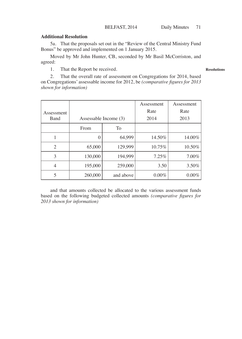#### **Additional Resolution**

5a. That the proposals set out in the "Review of the Central Ministry Fund Bonus" be approved and implemented on 1 January 2015.

Moved by Mr John Hunter, CB, seconded by Mr Basil McCorriston, and agreed:

1. That the Report be received.

**Resolutions**

2. That the overall rate of assessment on Congregations for 2014, based on Congregations' assessable income for 2012, be *(comparative figures for 2013 shown for information)*

|                |                       |           | Assessment | Assessment |
|----------------|-----------------------|-----------|------------|------------|
| Assessment     |                       |           | Rate       | Rate       |
| <b>Band</b>    | Assessable Income (3) |           | 2014       | 2013       |
|                | From                  | To        |            |            |
|                | 0                     | 64,999    | 14.50%     | 14.00%     |
| $\overline{c}$ | 65,000                | 129,999   | 10.75%     | 10.50%     |
| 3              | 130,000               | 194.999   | 7.25%      | $7.00\%$   |
| 4              | 195,000               | 259,000   | 3.50       | 3.50%      |
| 5              | 260,000               | and above | $0.00\%$   | $0.00\%$   |

and that amounts collected be allocated to the various assessment funds based on the following budgeted collected amounts *(comparative figures for 2013 shown for information)*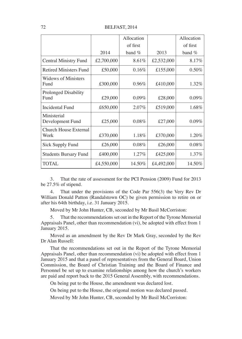72 BELFAST, 2014

|                                    |            | Allocation |            | Allocation |
|------------------------------------|------------|------------|------------|------------|
|                                    |            | of first   |            | of first   |
|                                    | 2014       | band $%$   | 2013       | band $%$   |
| Central Ministry Fund              | £2,700,000 | 8.61%      | £2,532,000 | 8.17%      |
| <b>Retired Ministers Fund</b>      | £50,000    | 0.16%      | £155,000   | 0.50%      |
| <b>Widows of Ministers</b><br>Fund | £300,000   | 0.96%      | £410,000   | 1.32%      |
| Prolonged Disability<br>Fund       | £29,000    | $0.09\%$   | £28,000    | 0.09%      |
| Incidental Fund                    | £650,000   | $2.07\%$   | £519,000   | 1.68%      |
| Ministerial<br>Development Fund    | £25,000    | 0.08%      | £27,000    | 0.09%      |
| Church House External<br>Work      | £370,000   | 1.18%      | £370,000   | 1.20%      |
| Sick Supply Fund                   | £26,000    | 0.08%      | £26,000    | 0.08%      |
| <b>Students Bursary Fund</b>       | £400,000   | $1.27\%$   | £425,000   | 1.37%      |
| <b>TOTAL</b>                       | £4,550,000 | 14.50%     | £4,492,000 | 14.50%     |

3. That the rate of assessment for the PCI Pension (2009) Fund for 2013 be 27.5% of stipend.

4. That under the provisions of the Code Par 556(3) the Very Rev Dr William Donald Patton (Randalstown OC) be given permission to retire on or after his 64th birthday, i.e. 31 January 2015.

Moved by Mr John Hunter, CB, seconded by Mr Basil McCorriston:

5. That the recommendations set out in the Report of the Tyrone Memorial Appraisals Panel, other than recommendation (vi), be adopted with effect from 1 January 2015.

Moved as an amendment by the Rev Dr Mark Gray, seconded by the Rev Dr Alan Russell:

That the recommendations set out in the Report of the Tyrone Memorial Appraisals Panel, other than recommendation (vi) be adopted with effect from 1 January 2015 and that a panel of representatives from the General Board, Union Commission, the Board of Christian Training and the Board of Finance and Personnel be set up to examine relationships among how the church's workers are paid and report back to the 2015 General Assembly, with recommendations.

On being put to the House, the amendment was declared lost.

On being put to the House, the origonal motion was declared passed.

Moved by Mr John Hunter, CB, seconded by Mr Basil McCorriston: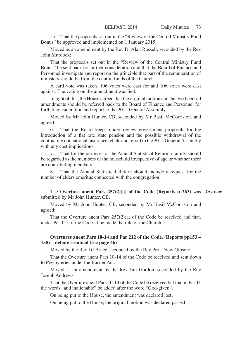5a. That the proposals set out in the "Review of the Central Ministry Fund Bonus" be approved and implemented on 1 January 2015.

Moved as an amendment by the Rev Dr Alan Russell, seconded by the Rev John Murdock:

That the proposals set out in the "Review of the Central Ministry Fund Bonus" be sent back for further consideration and that the Board of Finance and Personnel investigate and report on the principle that part of the remuneration of ministers should be from the central funds of the Church.

A card vote was taken, 106 votes were cast for and 106 votes were cast against. The voting on the amendment was tied.

In light of this, the House agreed that the original motion and the two licensed amendments should be referred back to the Board of Finance and Personnel for further consideration and report to the 2015 General Assembly.

Moved by Mr John Hunter, CB, seconded by Mr Basil McCorriston, and agreed:

6. That the Board keeps under review government proposals for the introduction of a flat rate state pension and the possible withdrawal of the contracting out national insurance rebate and report to the 2015 General Assembly with any cost implications.

7. That for the purposes of the Annual Statistical Return a family should be regarded as the members of the household irrespective of age or whether there are contributing members.

8. That the Annual Statistical Return should include a request for the number of elders emeritus connected with the congregation.

The **Overture anent Pars 257(2)(a) of the Code (Reports p 263)** was **Overtures**submitted by Mr John Hunter, CB.

Moved by Mr John Hunter, CB, seconded by Mr Basil McCorriston and agreed:

That the Overture anent Pars 257(2)(a) of the Code be received and that, under Par 111 of the Code, it be made the rule of the Church.

# **Overtures anent Pars 10-14 and Par 212 of the Code. (Reports pp153 – 158) – debate resumed (see page 46)**

Moved by the Rev DJ Bruce, seconded by the Rev Prof Drew Gibson:

That the Overture anent Pars 10-14 of the Code be received and sent down to Presbyteries under the Barrier Act.

Moved as an amendment by the Rev Jim Gordon, seconded by the Rev Joseph Andrews:

That the Overture anent Pars 10-14 of the Code be received but that in Par 11 the words "and inalienable" be added after the word "God-given".

On being put to the House, the amendment was declared lost.

On being put to the House, the original motion was declared passed.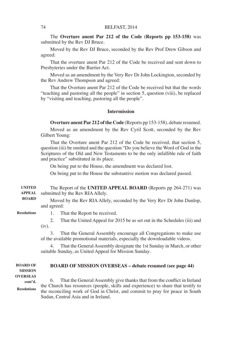The **Overture anent Par 212 of the Code (Reports pp 153-158)** was submitted by the Rev DJ Bruce.

Moved by the Rev DJ Bruce, seconded by the Rev Prof Drew Gibson and agreed:

That the overture anent Par 212 of the Code be received and sent down to Presbyteries under the Barrier Act.

Moved as an amendment by the Very Rev Dr John Lockington, seconded by the Rev Andrew Thompson and agreed:

That the Overture anent Par 212 of the Code be received but that the words "teaching and pastoring all the people" in section 5, question (viii), be replaced by "visiting and teaching, pastoring all the people".

# **Intermission**

**Overture anent Par 212 of the Code** (Reports pp 153-158), debate resumed.

Moved as an amendment by the Rev Cyril Scott, seconded by the Rev Gilbert Young:

That the Overture anent Par 212 of the Code be received, that section 5, question (iii) be omitted and the question "Do you believe the Word of God in the Scriptures of the Old and New Testaments to be the only infallible rule of faith and practice" substituted in its place.

On being put to the House, the amendment was declared lost.

On being put to the House the substantive motion was declared passed.

The Report of the **UNITED APPEAL BOARD** (Reports pp 264-271) was submitted by the Rev RIA Allely. **UNITED APPEAL** 

Moved by the Rev RIA Allely, seconded by the Very Rev Dr John Dunlop, and agreed: **BOARD**

**Resolutions**

- 1. That the Report be received.
- 2. That the United Appeal for 2015 be as set out in the Schedules (iii) and (iv).

3. That the General Assembly encourage all Congregations to make use of the available promotional materials, especially the downloadable videos.

4. That the General Assembly designate the 1st Sunday in March, or other suitable Sunday, as United Appeal for Mission Sunday.

#### **BOARD OF MISSION OVERSEAS – debate resumed (see page 44) BOARD OF MISSION**

**OVERSEAS** 

6. That the General Assembly give thanks that from the conflict in Ireland the Church has resources (people, skills and experience) to share that testify to the reconciling work of God in Christ, and commit to pray for peace in South Sudan, Central Asia and in Ireland. **cont'd. Resolutions**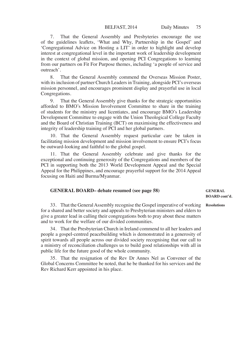7. That the General Assembly and Presbyteries encourage the use of the guidelines leaflets, 'What and Why, Partnership in the Gospel' and 'Congregational Advice on Hosting a LIT' in order to highlight and develop interest at congregational level in the important work of leadership development in the context of global mission, and opening PCI Congregations to learning from our partners on Fit For Purpose themes, including 'a people of service and outreach'.

8. That the General Assembly commend the Overseas Mission Poster, with its inclusion of partner Church Leaders in Training, alongside PCI's overseas mission personnel, and encourages prominent display and prayerful use in local Congregations.

9. That the General Assembly give thanks for the strategic opportunities afforded to BMO's Mission Involvement Committee to share in the training of students for the ministry and licentiates, and encourage BMO's Leadership Development Committee to engage with the Union Theological College Faculty and the Board of Christian Training (BCT) on maximising the effectiveness and integrity of leadership training of PCI and her global partners.

10. That the General Assembly request particular care be taken in facilitating mission development and mission involvement to ensure PCI's focus be outward-looking and faithful to the global gospel.

11. That the General Assembly celebrate and give thanks for the exceptional and continuing generosity of the Congregations and members of the PCI in supporting both the 2013 World Development Appeal and the Special Appeal for the Philippines, and encourage prayerful support for the 2014 Appeal focusing on Haiti and Burma/Myanmar.

| <b>GENERAL BOARD-</b> debate resumed (see page 58)                                  | <b>GENERAL</b> |
|-------------------------------------------------------------------------------------|----------------|
|                                                                                     | BOARD cont'd.  |
| 33 That the General Assembly recognise the Gospel imperative of working Resolutions |                |

33. That the General Assembly recognise the Gospel imperative of working for a shared and better society and appeals to Presbyterian ministers and elders to give a greater lead in calling their congregations both to pray about these matters and to work for the welfare of our divided communities.

34. That the Presbyterian Church in Ireland commend to all her leaders and people a gospel-centred peacebuilding which is demonstrated in a generosity of spirit towards all people across our divided society recognising that our call to a ministry of reconciliation challenges us to build good relationships with all in public life for the future good of the whole community.

35. That the resignation of the Rev Dr Annes Nel as Convener of the Global Concerns Committee be noted, that he be thanked for his services and the Rev Richard Kerr appointed in his place.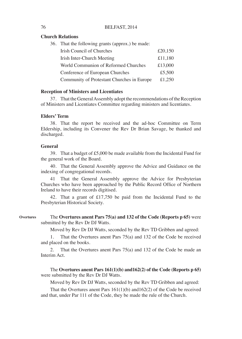# **Church Relations**

| 36. That the following grants (approx.) be made: |         |
|--------------------------------------------------|---------|
| Irish Council of Churches                        | £20,150 |
| Irish Inter-Church Meeting                       | £11,180 |
| World Communion of Reformed Churches             | £13,000 |
| Conference of European Churches                  | £5,500  |
| Community of Protestant Churches in Europe       | £1,250  |
|                                                  |         |

### **Reception of Ministers and Licentiates**

37. That the General Assembly adopt the recommendations of the Reception of Ministers and Licentiates Committee regarding ministers and licentiates.

#### **Elders' Term**

38. That the report be received and the ad-hoc Committee on Term Eldership, including its Convener the Rev Dr Brian Savage, be thanked and discharged.

#### **General**

39. That a budget of £5,000 be made available from the Incidental Fund for the general work of the Board.

40. That the General Assembly approve the Advice and Guidance on the indexing of congregational records.

That the General Assembly approve the Advice for Presbyterian Churches who have been approached by the Public Record Office of Northern Ireland to have their records digitised.

42. That a grant of £17,750 be paid from the Incidental Fund to the Presbyterian Historical Society.

The **Overtures anent Pars 75(a) and 132 of the Code (Reports p 65)** were submitted by the Rev Dr DJ Watts. **Overtures**

Moved by Rev Dr DJ Watts, seconded by the Rev TD Gribben and agreed:

1. That the Overtures anent Pars 75(a) and 132 of the Code be received and placed on the books.

2. That the Overtures anent Pars 75(a) and 132 of the Code be made an Interim Act.

The **Overtures anent Pars 161(1)(b) and162(2) of the Code (Reports p 65)**  were submitted by the Rev Dr DJ Watts.

Moved by Rev Dr DJ Watts, seconded by the Rev TD Gribben and agreed:

That the Overtures anent Pars 161(1)(b) and162(2) of the Code be received and that, under Par 111 of the Code, they be made the rule of the Church.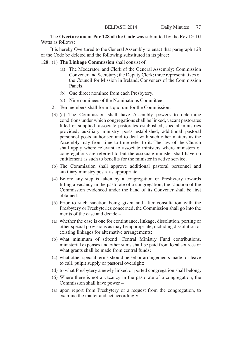The **Overture anent Par 128 of the Code** was submitted by the Rev Dr DJ Watts as follows:

It is hereby Overtured to the General Assembly to enact that paragraph 128 of the Code be deleted and the following substituted in its place:

- 128. (1) **The Linkage Commission** shall consist of:
	- (a) The Moderator, and Clerk of the General Assembly; Commission Convener and Secretary; the Deputy Clerk; three representatives of the Council for Mission in Ireland; Conveners of the Commission Panels.
	- (b) One direct nominee from each Presbytery.
	- (c) Nine nominees of the Nominations Committee.
	- 2. Ten members shall form a quorum for the Commission.
	- (3) (a) The Commission shall have Assembly powers to determine conditions under which congregations shall be linked, vacant pastorates filled or supplied, associate pastorates established, special ministries provided, auxiliary ministry posts established, additional pastoral personnel posts authorised and to deal with such other matters as the Assembly may from time to time refer to it. The law of the Church shall apply where relevant to associate ministers where ministers of congregations are referred to but the associate minister shall have no entitlement as such to benefits for the minister in active service.
	- (b) The Commission shall approve additional pastoral personnel and auxiliary ministry posts, as appropriate.
	- (4) Before any step is taken by a congregation or Presbytery towards filling a vacancy in the pastorate of a congregation, the sanction of the Commission evidenced under the hand of its Convener shall be first obtained.
	- (5) Prior to such sanction being given and after consultation with the Presbytery or Presbyteries concerned, the Commission shall go into the merits of the case and decide –
	- (a) whether the case is one for continuance, linkage, dissolution, porting or other special provisions as may be appropriate, including dissolution of existing linkages for alternative arrangements;
	- (b) what minimum of stipend, Central Ministry Fund contributions, ministerial expenses and other sums shall be paid from local sources or what grants shall be made from central funds;
	- (c) what other special terms should be set or arrangements made for leave to call, pulpit supply or pastoral oversight;
	- (d) to what Presbytery a newly linked or ported congregation shall belong.
	- (6) Where there is not a vacancy in the pastorate of a congregation, the Commission shall have power –
	- (a) upon report from Presbytery or a request from the congregation, to examine the matter and act accordingly;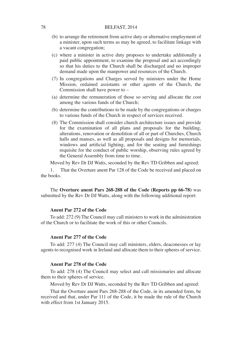- (b) to arrange the retirement from active duty or alternative employment of a minister, upon such terms as may be agreed, to facilitate linkage with a vacant congregation;
- (c) where a minister in active duty proposes to undertake additionally a paid public appointment, to examine the proposal and act accordingly so that his duties to the Church shall be discharged and no improper demand made upon the manpower and resources of the Church.
- (7) In congregations and Charges served by ministers under the Home Mission, ordained assistants or other agents of the Church, the Commission shall have power to –
- (a) determine the remuneration of those so serving and allocate the cost among the various funds of the Church;
- (b) determine the contributions to be made by the congregations or charges to various funds of the Church in respect of services received.
- (8) The Commission shall consider church architecture issues and provide for the examination of all plans and proposals for the building, alterations, renovation or demolition of all or part of Churches, Church halls and manses, as well as all proposals and designs for memorials, windows and artificial lighting, and for the seating and furnishings requisite for the conduct of public worship, observing rules agreed by the General Assembly from time to time.

Moved by Rev Dr DJ Watts, seconded by the Rev TD Gribben and agreed:

1. That the Overture anent Par 128 of the Code be received and placed on the books.

The **Overture anent Pars 268-288 of the Code (Reports pp 66-78)** was submitted by the Rev Dr DJ Watts, along with the following additional report:

#### **Anent Par 272 of the Code**

To add: 272 (9) The Council may call ministers to work in the administration of the Church or to facilitate the work of this or other Councils.

## **Anent Par 277 of the Code**

To add: 277 (4) The Council may call ministers, elders, deaconesses or lay agents to recognised work in Ireland and allocate them to their spheres of service.

#### **Anent Par 278 of the Code**

To add: 278 (4) The Council may select and call missionaries and allocate them to their spheres of service.

Moved by Rev Dr DJ Watts, seconded by the Rev TD Gribben and agreed:

That the Overture anent Pars 268-288 of the Code, in its amended form, be received and that, under Par 111 of the Code, it be made the rule of the Church with effect from 1st January 2015.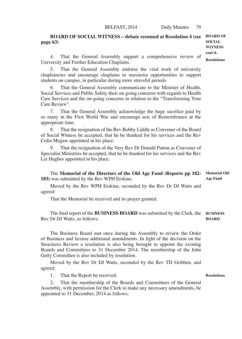**BOARD OF SOCIAL WITNESS – debate resumed at Resolution 4 (see page 63) SOCIAL WITNESS** 

4. That the General Assembly support a comprehensive review of University and Further Education Chaplains.

That the General Assembly endorse the vital work of university chaplaincies and encourage chaplains to maximise opportunities to support students on campus, in particular during more stressful periods

That the General Assembly communicate to the Minister of Health, Social Services and Public Safety their on-going concerns with regards to Health Care Services and the on-going concerns in relation to the "Transforming Your Care Review".

7. That the General Assembly acknowledge the huge sacrifice paid by so many in the First World War and encourage acts of Remembrance at the appropriate time.

8. That the resignation of the Rev Bobby Liddle as Convener of the Board of Social Witness be accepted, that he be thanked for his services and the Rev Colin Megaw appointed in his place.

9. That the resignation of the Very Rev Dr Donald Patton as Convener of Specialist Ministries be accepted, that he be thanked for his services and the Rev Liz Hughes appointed in his place.

The **Memorial of the Directors of the Old Age Fund (Reports pp 182- 183)** was submitted by the Rev WPH Erskine. **Memorial Old Age Fund**

Moved by the Rev WPH Erskine, seconded by the Rev Dr DJ Watts and agreed:

That the Memorial be received and its prayer granted.

The final report of the **BUSINESS BOARD** was submitted by the Clerk, the **BUSINESS**  Rev Dr DJ Watts, as follows: **BOARD**

The Business Board met once during the Assembly to review the Order of Business and license additional amendments. In light of the decision on the Structures Review a resolution is also being brought to appoint the existing Boards and Committees to 31 December 2014. The membership of the John Getty Committee is also included by resolution.

Moved by the Rev Dr DJ Watts, seconded by the Rev TD Gribben, and agreed:

1. That the Report be received.

That the membership of the Boards and Committees of the General Assembly, with permission for the Clerk to make any necessary amendments, be appointed to 31 December, 2014 as follows:

**Resolutions**

**BOARD OF cont'd. Resolutions**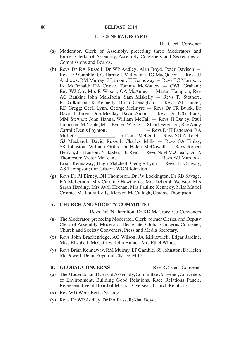#### **I.—GENERAL BOARD**

The Clerk, Convener

- (a) Moderator, Clerk of Assembly, preceding three Moderators and former Clerks of Assembly, Assembly Conveners and Secretaries of Commissions and Boards.
- (b) Revs Dr RA Russell, Dr WP Addley; Alan Boyd, Peter Davison Revs EP Gamble, CG Harris; J McIlwaine, JG MacQueen — Revs JJ Andrews, RM Murray; J Lamont, H Kenneway — Revs TC Morrison, IK McDonald; DA Crowe, Tommy McWatters — CWL Graham; Rev WJ Orr; Mrs R Wilson, OA McAuley — Martin Hampton; Rev AC Rankin; John McKibbin, Sam Miskelly — Revs TJ Stothers, RJ Gilkinson; R Kennedy, Brian Clenaghan — Revs WI Hunter, RD Gregg; Cecil Lynn, George McIntyre — Revs Dr TR Buick, Dr David Latimer; Don McClay, David Amour — Revs Dr BCG Black, MM Stewart; John Hanna, William McCall — Revs JI Davey, Paul Jamieson; M Noble, Miss Evelyn Whyte — Stuart Ferguson; Rev Andy Carroll; Denis Poynton,  $-$  Revs Dr IJ Patterson, RA  $-$  Revs Dr IJ Patterson, RA Moffett; Dr Denis McLeod — Revs SG Anketell, GJ Mackarel; David Russell, Charles Mills — Revs SA Finlay, SS Johnston; William Grills, Dr Helen McDowell — Revs Robert Herron, JH Hanson; N Baxter, TR Reid — Revs Noel McClean, Dr JA Thompson; Victor McLean, \_\_\_\_\_\_\_\_\_\_\_\_\_\_\_ — Revs WJ Murdock, Brian Kennaway; Hugh Matchett, George Lynn — Revs TJ Conway, AS Thompson; Orr Gibson, WGN Johnston.
- (g) Revs Dr RI Birney, DH Thompson, Dr JW Lockington, Dr RB Savage, RA McLernon; Mrs Caroline Hawthorne, Mrs Deborah Webster, Mrs Sarah Harding, Mrs Avril Heenan, Mrs Pauline Kennedy, Miss Muriel Cromie, Ms Laura Kelly, Mervyn McCullagh, Graeme Thompson.

# **A. CHURCH AND SOCIETY COMMITTEE**

Revs Dr TN Hamilton, Dr KD McCrory, Co-Conveners

- (a) The Moderator, preceding Moderator, Clerk, former Clerks, and Deputy Clerk of Assembly, Moderator-Designate, Global Concerns Convener, Church and Society Conveners, Press and Media Secretary.
- (x) Revs John Brackenridge, AC Wilson, JA Kirkpatrick; Edgar Jardine, Miss Elizabeth McCaffrey, John Hunter, Mrs Ethel White.
- (y) Revs Brian Kennaway, RM Murray, EP Gamble, SS Johnston; Dr Helen McDowell, Denis Poynton, Charles Mills.

#### **B. GLOBAL CONCERNS** Rev RC Kerr, Convener

- (a) The Moderator and Clerk of Assembly, Committee Convener, Conveners of Environment, Building Good Relations, Race Relations Panels, Representative of Board of Mission Overseas, Church Relations.
- (x) Rev WD Weir; Bertie Stirling.
- (y) Revs Dr WP Addley, Dr RA Russell;Alan Boyd.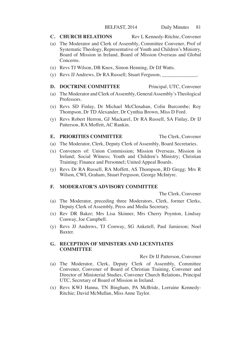#### **C. CHURCH RELATIONS** Rev L Kennedy-Ritchie, Convener

- (a) The Moderator and Clerk of Assembly, Committee Convener, Prof of Systematic Theology, Representative of Youth and Children's Ministry, Board of Mission in Ireland, Board of Mission Overseas and Global Concerns.
- (x) Revs TJ Wilson, DB Knox, Simon Henning, Dr DJ Watts.
- (y) Revs JJ Andrews, Dr RA Russell; Stuart Ferguson, \_\_\_\_\_\_\_\_\_\_\_\_\_\_.

### **D. DOCTRINE COMMITTEE** Principal, UTC, Convener

- (a) The Moderator and Clerk of Assembly, General Assembly's Theological Professors.
- (x) Revs SD Finlay, Dr Michael McClenahan, Colin Burcombe; Roy Thompson, Dr TD Alexander, Dr Cynthia Brown, Miss D Ford.
- (y) Revs Robert Herron, GJ Mackarel, Dr RA Russell, SA Finlay, Dr IJ Patterson, RA Moffett, AC Rankin.

# **E. PRIORITIES COMMITTEE** The Clerk, Convener

- (a) The Moderator, Clerk, Deputy Clerk of Assembly, Board Secretaries.
- (x) Conveners of: Union Commission; Mission Overseas, Mission in Ireland; Social Witness; Youth and Children's Ministry; Christian Training; Finance and Personnel; United Appeal Boards.
- (y) Revs Dr RA Russell, RA Moffett, AS Thompson, RD Gregg; Mrs R Wilson, CWL Graham, Stuart Ferguson, George McIntyre.

#### **F. MODERATOR'S ADVISORY COMMITTEE**

The Clerk, Convener

- (a) The Moderator, preceding three Moderators, Clerk, former Clerks, Deputy Clerk of Assembly, Press and Media Secretary.
- (x) Rev DR Baker; Mrs Lisa Skinner, Mrs Cherry Poynton, Lindsay Conway, Joe Campbell.
- (y) Revs JJ Andrews, TJ Conway, SG Anketell, Paul Jamieson; Noel Baxter.

#### **G. RECEPTION OF MINISTERS AND LICENTIATES COMMITTEE**

Rev Dr IJ Patterson, Convener

- (a) The Moderator, Clerk, Deputy Clerk of Assembly, Committee Convener, Convener of Board of Christian Training, Convener and Director of Ministerial Studies, Convener Church Relations, Principal UTC, Secretary of Board of Mission in Ireland.
- (x) Revs KWJ Hanna, TN Bingham, PA McBride, Lorraine Kennedy-Ritchie; David McMullan, Miss Anne Taylor.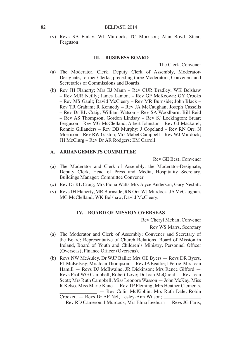(y) Revs SA Finlay, WJ Murdock, TC Morrison; Alan Boyd, Stuart Ferguson.

#### **III.—BUSINESS BOARD**

The Clerk, Convener

- (a) The Moderator, Clerk, Deputy Clerk of Assembly, Moderator-Designate, former Clerks, preceding three Moderators, Conveners and Secretaries of Commissions and Boards.
- (b) Rev JH Flaherty; Mrs EJ Mann Rev CUR Bradley; WK Belshaw – Rev MJR Neilly; James Lamont – Rev GF McKeown; GY Crooks – Rev MS Gault; David McCleery – Rev MR Burnside; John Black – Rev TR Graham; R Kennedy – Rev JA McCaughan; Joseph Cassells – Rev Dr RL Craig; William Watson – Rev SA Woodburn; Bill Reid – Rev AS Thompson; Gordon Lindsay – Rev SJ Lockington; Stuart Ferguson – Rev MG McClelland; Albert Johnston – Rev GJ Mackarel; Ronnie Gillanders – Rev DB Murphy; J Copeland – Rev RN Orr; N Morrison – Rev RW Gaston; Mrs Mabel Campbell – Rev WJ Murdock; JH McClurg – Rev Dr AR Rodgers; EM Carroll.

# **A. ARRANGEMENTS COMMITTEE**

Rev GE Best, Convener

- (a) The Moderator and Clerk of Assembly, the Moderator-Designate, Deputy Clerk, Head of Press and Media, Hospitality Secretary, Buildings Manager; Committee Convener.
- (x) Rev Dr RL Craig; Mrs Fiona Watts Mrs Joyce Anderson, Gary Nesbitt.
- (y) Revs JH Flaherty, MR Burnside, RN Orr, WJ Murdock, JA McCaughan, MG McClelland; WK Belshaw, David McCleery.

#### **IV.—BOARD OF MISSION OVERSEAS**

Rev Cheryl Meban, Convener

Rev WS Marrs, Secretary

- (a) The Moderator and Clerk of Assembly; Convener and Secretary of the Board; Representative of Church Relations, Board of Mission in Ireland, Board of Youth and Children's Ministry, Personnel Officer (Overseas), Finance Officer (Overseas).
- (b) Revs NW McAuley, Dr WJP Bailie; Mrs OE Byers Revs DR Byers, PL McKelvey; Mrs Joan Thompson — Rev JA Beattie; J Petrie, Mrs Joan Hamill — Revs DJ McIlwaine, JR Dickinson; Mrs Renee Gifford — Revs Prof WG Campbell, Robert Love; Dr Joan McQuoid — Rev Joan Scott; Mrs Ruth Campbell, Miss Leonora Wasson — John McKay, Miss R Kelso, Miss Marie Kane — Rev TP Fleming; Mrs Heather Clements, \_\_\_\_\_\_\_\_\_\_\_\_\_\_\_ — Rev Colin McKibbin; Mrs Ruth Dale, Robin

Crockett — Revs Dr AF Nel, Lesley-Ann Wilson;

<sup>—</sup> Rev RD Cameron; I Murdock, Mrs Elma Leeburn — Revs JG Faris,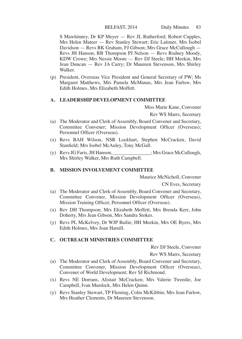# BELFAST, 2014 Daily Minutes 83

S Mawhinney, Dr KP Meyer — Rev JL Rutherford; Robert Cupples, Mrs Helen Mateer — Rev Stanley Stewart; Eric Latimer, Mrs Isobel Davidson — Revs RK Graham, FJ Gibson; Mrs Grace McCullough — Revs JH Hanson, RB Thompson PJ Nelson — Revs Rodney Moody, KDW Crowe; Mrs Nessie Moore — Rev DJ Steele; HH Meekin, Mrs Jean Duncan — Rev JA Curry; Dr Maureen Stevenson, Mrs Shirley Walker.

(p) President, Overseas Vice President and General Secretary of PW; Ms Margaret Matthews, Mrs Pamela McManus, Mrs Jean Farlow, Mrs Edith Holmes, Mrs Elizabeth Moffett.

#### **A. LEADERSHIP DEVELOPMENT COMMITTEE**

Miss Marie Kane, Convener

Rev WS Marrs, Secretary

- (a) The Moderator and Clerk of Assembly, Board Convener and Secretary, Committee Convener; Mission Development Officer (Overseas); Personnel Officer (Overseas).
- (x) Revs BAH Wilson, NSR Lockhart, Stephen McCracken, David Stanfield; Mrs Isobel McAuley, Tony McGall.
- (y) Revs JG Faris, JH Hanson, \_\_\_\_\_\_\_\_\_\_\_\_\_\_\_; Mrs Grace McCullough, Mrs Shirley Walker, Mrs Ruth Campbell.

# **B. MISSION INVOLVEMENT COMMITTEE**

Maurice McNicholl, Convener

CN Eves, Secretary

- (a) The Moderator and Clerk of Assembly, Board Convener and Secretary, Committee Convener, Mission Development Officer (Overseas), Mission Training Officer, Personnel Officer (Overseas).
- (x) Rev DH Thompson; Mrs Elizabeth Moffett, Mrs Brenda Kerr, John Doherty, Mrs Jean Gibson, Mrs Sandra Stokes.
- (y) Revs PL McKelvey, Dr WJP Bailie; HH Meekin, Mrs OE Byers, Mrs Edith Holmes, Mrs Joan Hamill.

### **C. OUTREACH MINISTRIES COMMITTEE**

Rev DJ Steele, Convener

Rev WS Marrs, Secretary

- (a) The Moderator and Clerk of Assembly, Board Convener and Secretary, Committee Convener, Mission Development Officer (Overseas), Convener of World Development; Rev SJ Richmond.
- (x) Revs NE Dorrans, Alistair McCracken; Mrs Valerie Tweedie, Joe Campbell, Ivan Murdock, Mrs Helen Quinn.
- (y) Revs Stanley Stewart, TP Fleming, Colin McKibbin; Mrs Jean Farlow, Mrs Heather Clements, Dr Maureen Stevenson.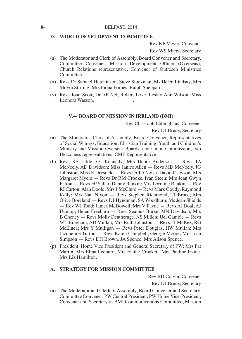#### **D. WORLD DEVELOPMENT COMMITTEE**

Rev KP Meyer, Convener

Rev WS Marrs, Secretary

- (a) The Moderator and Clerk of Assembly, Board Convener and Secretary, Committee Convener, Mission Development Officer (Overseas), Church Relations representative, Convener of Outreach Ministries Committee.
- (x) Revs Dr Samuel Hutchinson, Steve Stockman; Ms Helen Lindsay, Mrs Moyra Stirling, Mrs Fiona Forbes, Ralph Sheppard.
- (y) Revs Joan Scott, Dr AF Nel, Robert Love, Lesley-Ann Wilson; Miss Leonora Wasson, \_\_\_\_\_\_\_\_\_\_\_\_\_\_\_.

#### **V.— BOARD OF MISSION IN IRELAND (BMI)**

Rev Christoph Ebbinghaus, Convener

Rev DJ Bruce, Secretary

- (a) The Moderator, Clerk of Assembly, Board Convener, Representatives of Social Witness, Education, Christian Training, Youth and Children's Ministry and Mission Overseas Boards, and Union Commission; two Deaconess representatives, CMF Representative.
- (b) Revs SA Little, GJ Kennedy; Mrs Debra Anderson Revs TA McNeely, AD Davidson; Miss Janice Allen — Revs MD McNeely, JG Johnston; Miss E Drysdale — Revs Dr ID Neish, David Clawson; Mrs Margaret Myers — Revs Dr RM Crooks, Ivan Steen; Mrs Jean Gwyn Patton — Revs FP Sellar, Danny Rankin; Mrs Lorraine Rankin — Rev RI Carton; Alan Doole, Mrs J McClure — Revs Mark Goudy, Raymond Kelly; Mrs Nan Nixon — Revs Stephen Richmond, TJ Bruce; Mrs Olive Boreland — Revs DJ Hyndman, SA Woodburn; Ms Jean Shields — Rev WJ Todd; James McDowell, Mrs V Payne — Revs AJ Boal, AJ Dunlop, Helen Freeburn — Revs Seamus Burke, MN Davidson; Mrs B Cheney — Revs Molly Deatherage, NS Millen; Uel Gamble — Revs WT Bingham, AD Mullan; Mrs Ruth Johnston — Revs IT McKee, RG McElnea; Mrs Y Mulligan — Revs Peter Douglas, HW Mullan; Mrs Jacqueline Turton — Revs Karen Campbell, George Moore; Mrs Joan Simpson — Revs DH Brown, JA Spence; Mrs Alison Spence.
- (p) President, Home Vice President and General Secretary of PW; Mrs Pat Martin, Mrs Elma Leeburn, Mrs Elaine Crockett, Mrs Pauline Irvine, Mrs Liz Hamilton.

#### **A. STRATEGY FOR MISSION COMMITTEE**

Rev BD Colvin, Convener Rev DJ Bruce, Secretary

(a) The Moderator and Clerk of Assembly, Board Convener and Secretary, Committee Convener, PW Central President, PW Home Vice-President, Convener and Secretary of BMI Communications Committee, Mission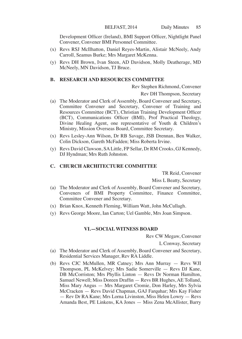Development Officer (Ireland), BMI Support Officer, Nightlight Panel Convener, Convener BMI Personnel Committee.

- (x) Revs RSJ McIlhatton, Daniel Reyes-Martin, Alistair McNeely, Andy Carroll, Seamus Burke; Mrs Margaret McKenna.
- (y) Revs DH Brown, Ivan Steen, AD Davidson, Molly Deatherage, MD McNeely, MN Davidson, TJ Bruce.

#### **B. RESEARCH AND RESOURCES COMMITTEE**

Rev Stephen Richmond, Convener

Rev DH Thompson, Secretary

- (a) The Moderator and Clerk of Assembly, Board Convener and Secretary, Committee Convener and Secretary, Convener of Training and Resources Committee (BCT), Christian Training Development Officer (BCT), Communications Officer (BMI), Prof Practical Theology, Divine Healing Agent, one representative of Youth & Children's Ministry, Mission Overseas Board, Committee Secretary.
- (x) Revs Lesley-Ann Wilson, Dr RB Savage, JSB Drennan, Ben Walker, Colin Dickson, Gareth McFadden; Miss Roberta Irvine.
- (y) Revs David Clawson, SA Little, FP Sellar, Dr RM Crooks, GJ Kennedy, DJ Hyndman; Mrs Ruth Johnston.

#### **C. CHURCH ARCHITECTURE COMMITTEE**

TR Reid, Convener

Miss L Beatty, Secretary

- (a) The Moderator and Clerk of Assembly, Board Convener and Secretary, Conveners of BMI Property Committee, Finance Committee, Committee Convener and Secretary.
- (x) Brian Knox, Kenneth Fleming, William Watt, John McCullagh.
- (y) Revs George Moore, Ian Carton; Uel Gamble, Mrs Joan Simpson.

#### **VI.—SOCIAL WITNESS BOARD**

Rev CW Megaw, Convener

L Conway, Secretary

- (a) The Moderator and Clerk of Assembly, Board Convener and Secretary, Residential Services Manager, Rev RA Liddle.
- (b) Revs CJC McMullen, MR Catney; Mrs Ann Murray Revs WJI Thompson, PL McKelvey; Mrs Sadie Somerville — Revs DJ Kane, DB McCorriston; Mrs Phyllis Linton — Revs Dr Norman Hamilton, Samuel Newell; Miss Doreen Draffin — Revs BR Hughes, AE Tolland, Miss Mary Angus — Mrs Margaret Cromie, Don Harley, Mrs Sylvia McCracken — Revs David Chapman, GAJ Farquhar; Mrs Kay Fisher — Rev Dr RA Kane; Mrs Lorna Livinston, Miss Helen Lowry — Revs Amanda Best, PE Linkens, KA Jones — Miss Zena McAllister, Barry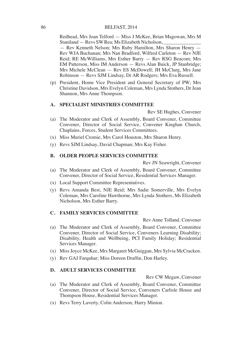Redhead, Mrs Joan Telford — Miss J McKee, Brian Magowan, Mrs M Staniland — Revs SW Rea; Ms Elizabeth Nicholson, — Rev Kenneth Nelson; Mrs Ruby Hamilton, Mrs Sharon Henry — Rev WJA Buchanan; Mrs Nan Bradford, Wilfred Carleton — Rev NJE Reid; RE McWilliams, Mrs Esther Barry — Rev RSG Beacom; Mrs EM Patterson, Miss IM Anderson — Revs Alan Buick, JP Stanbridge; Mrs Michele McClean — Rev ES McDowell; JH McClurg, Mrs Jane Robinson — Revs SJM Lindsay, Dr AR Rodgers; Mrs Eva Russell.

(p) President, Home Vice President and General Secretary of PW; Mrs Christine Davidson, Mrs Evelyn Coleman, Mrs Lynda Stothers, Dr Jean Shannon, Mrs Anne Thompson.

# **A. SPECIALIST MINISTRIES COMMITTEE**

Rev SE Hughes, Convener

- (a) The Moderator and Clerk of Assembly, Board Convener, Committee Convener, Director of Social Service, Convener Kinghan Church, Chaplains, Forces, Student Services Committees.
- (x) Miss Muriel Cromie, Mrs Carol Houston, Mrs Sharon Henry.
- (y) Revs SJM Lindsay, David Chapman; Mrs Kay Fisher.

#### **B. OLDER PEOPLE SERVICES COMMITTEE**

Rev JN Seawright, Convener

- (a) The Moderator and Clerk of Assembly, Board Convener, Committee Convener, Director of Social Service, Residential Services Manager.
- (x) Local Support Committee Representatives.
- (y) Revs Amanda Best, NJE Reid; Mrs Sadie Somerville, Mrs Evelyn Coleman, Mrs Caroline Hawthorne, Mrs Lynda Stothers, Ms Elizabeth Nicholson, Mrs Esther Barry.

#### **C. FAMILY SERVICES COMMITTEE**

Rev Anne Tolland, Convener

- (a) The Moderator and Clerk of Assembly, Board Convener, Committee Convener, Director of Social Service, Conveners Learning Disability; Disability, Health and Wellbeing, PCI Family Holiday; Residential Services Manager.
- (x) Miss Joyce McKee, Mrs Margaret McGuiggan, Mrs Sylvia McCracken.
- (y) Rev GAJ Farquhar; Miss Doreen Draffin, Don Harley.

#### **D. ADULT SERVICES COMMITTEE**

Rev CW Megaw, Convener

- (a) The Moderator and Clerk of Assembly, Board Convener, Committee Convener, Director of Social Service, Conveners Carlisle House and Thompson House, Residential Services Manager.
- (x) Revs Terry Laverty, Colin Anderson; Harry Minion.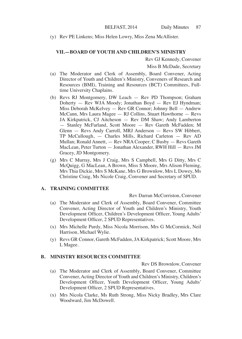(y) Rev PE Linkens; Miss Helen Lowry, Miss Zena McAllister.

#### **VII.—BOARD OF YOUTH AND CHILDREN'S MINISTRY**

Rev GJ Kennedy, Convener

Miss B McDade, Secretary

- (a) The Moderator and Clerk of Assembly, Board Convener, Acting Director of Youth and Children's Ministry, Conveners of Research and Resources (BMI), Training and Resources (BCT) Committees, Fulltime University Chaplains.
- (b) Revs RJ Montgomery, DW Leach Rev PD Thompson; Graham Doherty — Rev WJA Moody; Jonathan Boyd — Rev EJ Hyndman; Miss Deborah McKelvey — Rev GR Connor; Johnny Bell — Andrew McCann, Mrs Laura Magee — RJ Collins, Stuart Hawthorne — Revs JA Kirkpatrick, CJ Aitcheson — Rev DM Shaw; Andy Lamberton — Stanley McFarland, Scott Moore — Rev Gareth McFadden; M Glenn — Revs Andy Carroll, MRJ Anderson — Revs SW Hibbert, TP McCullough, — Charles Mills, Richard Carleton — Rev AD Mullan; Ronald Annett, — Rev NRA Cooper; C Busby — Revs Gareth MacLean, Peter Turton — Jonathan Alexander, RWH Hill — Revs JM Gracey, JD Montgomery.
- (g) Mrs C Murray, Mrs J Craig, Mrs S Campbell, Mrs G Ditty, Mrs C McQuigg, G MacLean, A Brown, Miss S Moore, Mrs Alison Fleming, Mrs Thia Dickie, Mrs S McKane, Mrs G Brownlow, Mrs L Dowey, Ms Christine Craig, Ms Nicole Craig, Convener and Secretary of SPUD.

#### **A. TRAINING COMMITTEE**

Rev Darran McCorriston, Convener

- (a) The Moderator and Clerk of Assembly, Board Convener, Committee Convener, Acting Director of Youth and Children's Ministry, Youth Development Officer, Children's Development Officer, Young Adults' Development Officer, 2 SPUD Representatives.
- (x) Mrs Michelle Purdy, Miss Nicola Morrison, Mrs G McCormick, Neil Harrison, Michael Wylie.
- (y) Revs GR Connor, Gareth McFadden, JA Kirkpatrick; Scott Moore, Mrs L Magee.

# **B. MINISTRY RESOURCES COMMITTEE**

Rev DS Brownlow, Convener

- (a) The Moderator and Clerk of Assembly, Board Convener, Committee Convener, Acting Director of Youth and Children's Ministry, Children's Development Officer, Youth Development Officer, Young Adults' Development Officer, 2 SPUD Representatives.
- (x) Mrs Nicola Clarke, Ms Ruth Strong, Miss Nicky Bradley, Mrs Clare Woodward, Jim McDowell.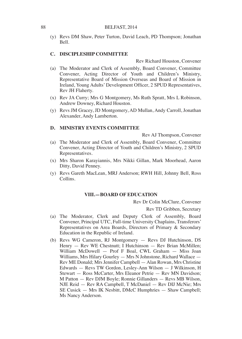(y) Revs DM Shaw, Peter Turton, David Leach, PD Thompson; Jonathan Bell.

# **C. DISCIPLESHIP COMMITTEE**

Rev Richard Houston, Convener

- (a) The Moderator and Clerk of Assembly, Board Convener, Committee Convener, Acting Director of Youth and Children's Ministry, Representative Board of Mission Overseas and Board of Mission in Ireland, Young Adults' Development Officer, 2 SPUD Representatives, Rev JH Flaherty.
- (x) Rev JA Curry; Mrs G Montgomery, Ms Ruth Spratt, Mrs L Robinson, Andrew Downey, Richard Houston.
- (y) Revs JM Gracey, JD Montgomery, AD Mullan, Andy Carroll, Jonathan Alexander, Andy Lamberton.

#### **D. MINISTRY EVENTS COMMITTEE**

Rev AJ Thompson, Convener

- (a) The Moderator and Clerk of Assembly, Board Convener, Committee Convener, Acting Director of Youth and Children's Ministry, 2 SPUD Representatives.
- (x) Mrs Sharon Karayiannis, Mrs Nikki Gillan, Mark Moorhead, Aaron Ditty, David Penney.
- (y) Revs Gareth MacLean, MRJ Anderson; RWH Hill, Johnny Bell, Ross Collins.

# **VIII.—BOARD OF EDUCATION**

Rev Dr Colin McClure, Convener

Rev TD Gribben, Secretary

- (a) The Moderator, Clerk and Deputy Clerk of Assembly, Board Convener, Principal UTC, Full-time University Chaplains, Transferors' Representatives on Area Boards, Directors of Primary & Secondary Education in the Republic of Ireland.
- (b) Revs WG Cameron, RJ Montgomery Revs DJ Hutchinson, DS Henry — Rev WE Chestnutt; I Hutchinson — Rev Brian McMillen; William McDowell — Prof F Boal, CWL Graham — Miss Joan Williams, Mrs Hilary Gourley — Mrs N Johnstone, Richard Wallace — Rev ME Donald; Mrs Jennifer Campbell — Alan Rowan, Mrs Christine Edwards — Revs TW Gordon, Lesley-Ann Wilson — J Wilkinson, H Stewart — Ross McCarter, Mrs Eleanor Petrie — Rev MN Davidson; M Patton — Rev DJM Boyle; Ronnie Gillanders — Revs MB Wilson, NJE Reid — Rev RA Campbell, T McDaniel — Rev DIJ McNie; Mrs SE Cusick — Mrs IK Nesbitt, DMcC Humphries — Shaw Campbell; Ms Nancy Anderson.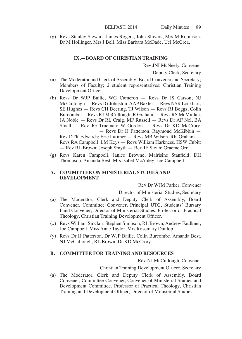(g) Revs Stanley Stewart, James Rogers; John Shivers, Mrs M Robinson, Dr M Hollinger, Mrs J Bell, Miss Barbara McDade, Uel McCrea.

#### **IX.—BOARD OF CHRISTIAN TRAINING**

Rev JNI McNeely, Convener

Deputy Clerk, Secretary

- (a) The Moderator and Clerk of Assembly; Board Convener and Secretary; Members of Faculty; 2 student representatives; Christian Training Development Officer.
- (b) Revs Dr WJP Bailie, WG Cameron Revs Dr JS Carson, NJ McCullough — Revs JG Johnston, AAP Baxter — Revs NSR Lockhart, SE Hughes — Revs CH Deering, TJ Wilson — Revs RJ Beggs, Colin Burcombe — Revs RJ McCullough, R Graham — Revs RS McMullan, JA Noble — Revs Dr RL Craig, MF Russell — Revs Dr AF Nel, BA Small — Rev JG Trueman; W Gordon — Revs Dr KD McCrory, \_ - Revs Dr IJ Patterson, Raymond McKibbin -Rev DTR Edwards; Eric Latimer — Revs MB Wilson, RK Graham — Revs RA Campbell, LM Keys — Revs William Harkness, HSW Cubitt — Rev RL Brown; Joseph Smyth — Rev JE Sloan; Graeme Orr.
- (g) Revs Karen Campbell, Janice Browne, Mairisine Stanfield, DH Thompson, Amanda Best; Mrs Isabel McAuley; Joe Campbell.

#### **A. COMMITTEE ON MINISTERIAL STUDIES AND DEVELOPMENT**

Rev Dr WJM Parker, Convener

#### Director of Ministerial Studies, Secretary

- (a) The Moderator, Clerk and Deputy Clerk of Assembly, Board Convener, Committee Convener, Principal UTC, Students' Bursary Fund Convener, Director of Ministerial Studies, Professor of Practical Theology, Christian Training Development Officer.
- (x) Revs William Sinclair, Stephen Simpson, RL Brown; Andrew Faulkner, Joe Campbell, Miss Anne Taylor, Mrs Rosemary Dunlop.
- (y) Revs Dr IJ Patterson, Dr WJP Bailie, Colin Burcombe, Amanda Best, NJ McCullough, RL Brown, Dr KD McCrory.

# **B. COMMITTEE FOR TRAINING AND RESOURCES**

Rev NJ McCullough, Convener

Christian Training Development Officer, Secretary

(a) The Moderator, Clerk and Deputy Clerk of Assembly, Board Convener, Committee Convener, Convener of Ministerial Studies and Development Committee, Professor of Practical Theology, Christian Training and Development Officer; Director of Ministerial Studies.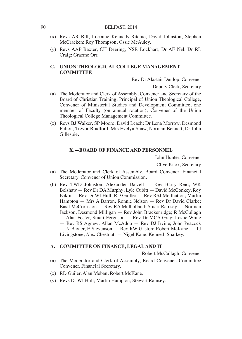- (x) Revs AR Bill, Lorraine Kennedy-Ritchie, David Johnston, Stephen McCracken; Roy Thompson, Ossie McAuley.
- (y) Revs AAP Baxter, CH Deering, NSR Lockhart, Dr AF Nel, Dr RL Craig; Graeme Orr.

# **C. UNION THEOLOGICAL COLLEGE MANAGEMENT COMMITTEE**

Rev Dr Alastair Dunlop, Convener

Deputy Clerk, Secretary

- (a) The Moderator and Clerk of Assembly, Convener and Secretary of the Board of Christian Training, Principal of Union Theological College, Convener of Ministerial Studies and Development Committee, one member of Faculty (on annual rotation), Convener of the Union Theological College Management Committee.
- (x) Revs BJ Walker, SP Moore, David Leach; Dr Lena Morrow, Desmond Fulton, Trevor Bradford, Mrs Evelyn Shaw, Norman Bennett, Dr John Gillespie.

#### **X.—BOARD OF FINANCE AND PERSONNEL**

John Hunter, Convener

Clive Knox, Secretary

- (a) The Moderator and Clerk of Assembly, Board Convener, Financial Secretary, Convener of Union Commission.
- (b) Rev TWD Johnston; Alexander Dalzell Rev Barry Reid; WK Belshaw — Rev Dr DA Murphy; Lyle Cubitt — David McConkey, Roy Eakin — Rev Dr WI Hull; RD Guiller — Rev RSJ McIlhatton; Martin Hampton — Mrs A Barron, Ronnie Nelson — Rev Dr David Clarke; Basil McCorriston — Rev RA Mulholland; Stuart Ramsey — Norman Jackson, Desmond Milligan — Rev John Brackenridge; R McCullagh — Alan Foster, Stuart Ferguson — Rev Dr MCA Gray; Leslie White — Rev RS Agnew; Allan McAdoo — Rev DJ Irvine; John Peacock
	- N Baxter, E Stevenson Rev RW Gaston; Robert McKane TJ Livingstone, Alex Chestnutt — Nigel Kane, Kenneth Sharkey.

### **A. COMMITTEE ON FINANCE, LEGAL AND IT**

Robert McCullagh, Convener

- (a) The Moderator and Clerk of Assembly, Board Convener, Committee Convener, Financial Secretary.
- (x) RD Guiler, Alan Meban, Robert McKane.
- (y) Revs Dr WI Hull; Martin Hampton, Stewart Ramsey.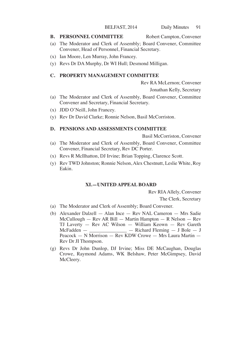#### **B. PERSONNEL COMMITTEE** Robert Campton, Convener

- (a) The Moderator and Clerk of Assembly; Board Convener, Committee Convener, Head of Personnel, Financial Secretary.
- (x) Ian Moore, Len Murray, John Francey.
- (y) Revs Dr DA Murphy, Dr WI Hull; Desmond Milligan.

# **C. PROPERTY MANAGEMENT COMMITTEE**

Rev RA McLernon; Convener

Jonathan Kelly, Secretary

- (a) The Moderator and Clerk of Assembly, Board Convener, Committee Convener and Secretary, Financial Secretary.
- (x) JDD O'Neill, John Francey.
- (y) Rev Dr David Clarke; Ronnie Nelson, Basil McCorriston.

#### **D. PENSIONS AND ASSESSMENTS COMMITTEE**

Basil McCorriston, Convener

- (a) The Moderator and Clerk of Assembly, Board Convener, Committee Convener, Financial Secretary, Rev DC Porter.
- (x) Revs R McIlhatton, DJ Irvine; Brian Topping, Clarence Scott.
- (y) Rev TWD Johnston; Ronnie Nelson, Alex Chestnutt, Leslie White, Roy Eakin.

#### **XI.—UNITED APPEAL BOARD**

Rev RIA Allely, Convener

The Clerk, Secretary

- (a) The Moderator and Clerk of Assembly; Board Convener.
- (b) Alexander Dalzell Alan Ince Rev NAL Cameron Mrs Sadie McCullough — Rev AR Bill — Martin Hampton — R Nelson — Rev TJ Laverty — Rev AC Wilson — William Keown — Rev Gareth  $McFadden$  —  $\qquad$  — Richard Fleming — J Bole — J Peacock — N Morrison — Rev KDW Crowe — Mrs Laura Martin — Rev Dr JI Thompson.
- (g) Revs Dr John Dunlop, DJ Irvine; Miss DE McCaughan, Douglas Crowe, Raymond Adams, WK Belshaw, Peter McGimpsey, David McCleery.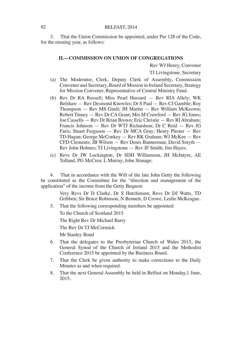3. That the Union Commission be appointed, under Par 128 of the Code, for the ensuing year, as follows:

#### **II.—COMMISSION ON UNION OF CONGREGATIONS**

Rev WJ Henry, Convener

TJ Livingstone, Secretary

- (a) The Moderator, Clerk, Deputy Clerk of Assembly, Commission Convener and Secretary, Board of Mission in Ireland Secretary, Strategy for Mission Convener, Representative of Central Ministry Fund.
- (b) Rev Dr RA Russell; Miss Pearl Hassard Rev RIA Allely; WK Belshaw — Rev Desmond Knowles; Dr S Paul — Rev CJ Gamble; Roy Thompson — Rev MS Gault; JH Martin — Rev William McKeown; Robert Tinney — Rev Dr CA Grant; Mrs M Crawford — Rev JG Jones; Joe Cassells — Rev Dr Brian Brown; Eric Christie — Rev RI Abraham; Francis Johnson — Rev Dr WTJ Richardson; Dr C Reid — Rev JG Faris; Stuart Ferguson — Rev Dr MCA Gray; Henry Plester — Rev TD Hagan; George McConkey — Rev RK Graham; WJ McKee — Rev CFD Clements; JB Wilson — Rev Denis Bannerman; David Smyth — Rev John Holmes; TJ Livingstone — Rev IF Smith; Jim Hayes.
- (c) Revs Dr JW Lockington, Dr SDH Williamson, JH McIntyre, AE Tolland, PG McCrea; L Murray, John Stanage.

4. That in accordance with the Will of the late John Getty the following be constituted as the Committee for the "direction and management of the application" of the income from the Getty Bequest:

> Very Revs Dr D Clarke, Dr S Hutchinson; Revs Dr DJ Watts, TD Gribben; Sir Bruce Robinson, N Bennett, D Crowe, Leslie McKeague.

5. That the following corresponding members be appointed:

To the Church of Scotland 2015

The Right Rev Dr Michael Barry

The Rev Dr TJ McCormick

Mr Stanley Bond

- 6. That the delegates to the Presbyterian Church of Wales 2015, the General Synod of the Church of Ireland 2015 and the Methodist Conference 2015 be appointed by the Business Board.
- 7. That the Clerk be given authority to make corrections to the Daily Minutes as and when required.
- 8. That the next General Assembly be held in Belfast on Monday,1 June, 2015.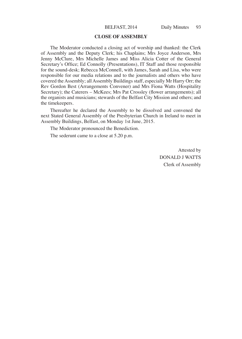#### **CLOSE OF ASSEMBLY**

The Moderator conducted a closing act of worship and thanked: the Clerk of Assembly and the Deputy Clerk; his Chaplains; Mrs Joyce Anderson, Mrs Jenny McClure, Mrs Michelle James and Miss Alicia Cotter of the General Secretary's Office; Ed Connolly (Presentations), IT Staff and those responsible for the sound-desk; Rebecca McConnell, with James, Sarah and Lisa, who were responsible for our media relations and to the journalists and others who have covered the Assembly; all Assembly Buildings staff, especially Mr Harry Orr; the Rev Gordon Best (Arrangements Convener) and Mrs Fiona Watts (Hospitality Secretary); the Caterers – McKees; Mrs Pat Crossley (flower arrangements); all the organists and musicians; stewards of the Belfast City Mission and others; and the timekeepers.

Thereafter he declared the Assembly to be dissolved and convened the next Stated General Assembly of the Presbyterian Church in Ireland to meet in Assembly Buildings, Belfast, on Monday 1st June, 2015.

The Moderator pronounced the Benediction.

The sederunt came to a close at 5.20 p.m.

Attested by DONALD J WATTS Clerk of Assembly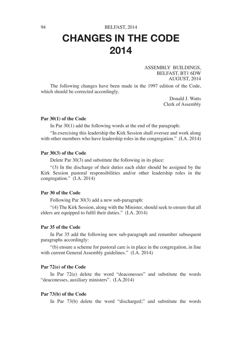# 94 BELFAST, 2014 CHANGES IN THE CODE 2014

ASSEMBLY BUILDINGS, BELFAST, BT1 6DW AUGUST, 2014

The following changes have been made in the 1997 edition of the Code, which should be corrected accordingly.

> Donald J. Watts Clerk of Assembly

#### **Par 30(1) of the Code**

In Par 30(1) add the following words at the end of the paragraph:

"In exercising this leadership the Kirk Session shall oversee and work along with other members who have leadership roles in the congregation." (I.A. 2014)

#### **Par 30(3) of the Code**

Delete Par 30(3) and substitute the following in its place:

"(3) In the discharge of their duties each elder should be assigned by the Kirk Session pastoral responsibilities and/or other leadership roles in the congregation." (I.A. 2014)

#### **Par 30 of the Code**

Following Par 30(3) add a new sub-paragraph:

"(4) The Kirk Session, along with the Minister, should seek to ensure that all elders are equipped to fulfil their duties." (I.A. 2014)

#### **Par 35 of the Code**

In Par 35 add the following new sub-paragraph and renumber subsequent paragraphs accordingly:

"(b) ensure a scheme for pastoral care is in place in the congregation, in line with current General Assembly guidelines." (I.A. 2014)

#### **Par 72(e) of the Code**

In Par 72(e) delete the word "deaconesses" and substitute the words "deaconesses, auxiliary ministers". (I.A.2014)

#### **Par 73(b) of the Code**

In Par 73(b) delete the word "discharged;" and substitute the words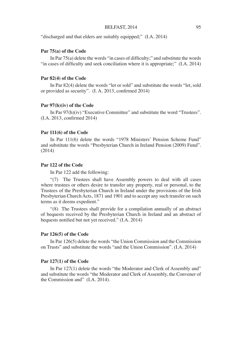#### BELFAST, 2014 95

"discharged and that elders are suitably equipped;" (I.A. 2014)

#### **Par 75(a) of the Code**

In Par 75(a) delete the words "in cases of difficulty;" and substitute the words "in cases of difficulty and seek conciliation where it is appropriate;" (I.A. 2014)

#### **Par 82(4) of the Code**

In Par 82(4) delete the words "let or sold" and substitute the words "let, sold or provided as security". (I. A. 2013, confirmed 2014)

#### **Par 97(h)(iv) of the Code**

In Par 97(h)(iv) "Executive Committee" and substitute the word "Trustees". (I.A. 2013, confirmed 2014)

#### **Par 111(6) of the Code**

In Par 111(6) delete the words "1978 Ministers' Pension Scheme Fund" and substitute the words "Presbyterian Church in Ireland Pension (2009) Fund". (2014)

#### **Par 122 of the Code**

In Par 122 add the following:

"(7) The Trustees shall have Assembly powers to deal with all cases where trustees or others desire to transfer any property, real or personal, to the Trustees of the Presbyterian Church in Ireland under the provisions of the Irish Presbyterian Church Acts, 1871 and 1901 and to accept any such transfer on such terms as it deems expedient."

"(8) The Trustees shall provide for a compilation annually of an abstract of bequests received by the Presbyterian Church in Ireland and an abstract of bequests notified but not yet received." (I.A. 2014)

#### **Par 126(5) of the Code**

In Par 126(5) delete the words "the Union Commission and the Commission on Trusts" and substitute the words "and the Union Commission". (I.A. 2014)

#### **Par 127(1) of the Code**

In Par 127(1) delete the words "the Moderator and Clerk of Assembly and" and substitute the words "the Moderator and Clerk of Assembly, the Convener of the Commission and" (I.A. 2014).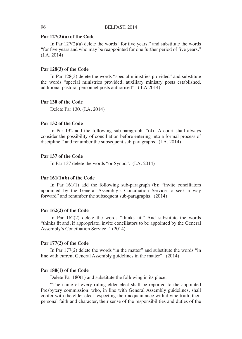#### **Par 127(2)(a) of the Code**

In Par 127(2)(a) delete the words "for five years." and substitute the words "for five years and who may be reappointed for one further period of five years." (I.A. 2014)

#### **Par 128(3) of the Code**

In Par 128(3) delete the words "special ministries provided" and substitute the words "special ministries provided, auxiliary ministry posts established, additional pastoral personnel posts authorised". ( I.A.2014)

#### **Par 130 of the Code**

Delete Par 130. (I.A. 2014)

# **Par 132 of the Code**

In Par 132 add the following sub-paragraph: "(4) A court shall always consider the possibility of conciliation before entering into a formal process of discipline." and renumber the subsequent sub-paragraphs. (I.A. 2014)

#### **Par 137 of the Code**

In Par 137 delete the words "or Synod". (I.A. 2014)

#### **Par 161(1)(b) of the Code**

In Par 161(1) add the following sub-paragraph (b): "invite conciliators appointed by the General Assembly's Conciliation Service to seek a way forward" and renumber the subsequent sub-paragraphs. (2014)

#### **Par 162(2) of the Code**

In Par 162(2) delete the words "thinks fit." And substitute the words "thinks fit and, if appropriate, invite conciliators to be appointed by the General Assembly's Conciliation Service." (2014)

#### **Par 177(2) of the Code**

In Par 177(2) delete the words "in the matter" and substitute the words "in line with current General Assembly guidelines in the matter". (2014)

#### **Par 180(1) of the Code**

Delete Par 180(1) and substitute the following in its place:

"The name of every ruling elder elect shall be reported to the appointed Presbytery commission, who, in line with General Assembly guidelines, shall confer with the elder elect respecting their acquaintance with divine truth, their personal faith and character, their sense of the responsibilities and duties of the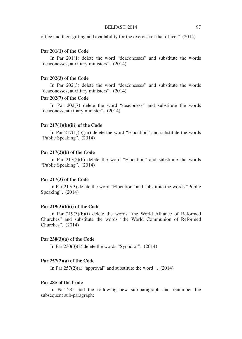office and their gifting and availability for the exercise of that office." (2014)

#### **Par 201(1) of the Code**

In Par 201(1) delete the word "deaconesses" and substitute the words "deaconesses, auxiliary ministers". (2014)

#### **Par 202(3) of the Code**

In Par 202(3) delete the word "deaconesses" and substitute the words "deaconesses, auxiliary ministers". (2014)

# **Par 202(7) of the Code**

In Par 202(7) delete the word "deaconess" and substitute the words "deaconess, auxiliary minister". (2014)

#### **Par 217(1)(b)(iii) of the Code**

In Par 217(1)(b)(iii) delete the word "Elocution" and substitute the words "Public Speaking". (2014)

#### **Par 217(2)(b) of the Code**

In Par 217(2)(b) delete the word "Elocution" and substitute the words "Public Speaking". (2014)

#### **Par 217(3) of the Code**

In Par 217(3) delete the word "Elocution" and substitute the words "Public Speaking". (2014)

#### **Par 219(3)(b)(i) of the Code**

In Par 219(3)(b)(i) delete the words "the World Alliance of Reformed Churches" and substitute the words "the World Communion of Reformed Churches". (2014)

#### **Par 230(3)(a) of the Code**

In Par  $230(3)(a)$  delete the words "Synod or".  $(2014)$ 

#### **Par 257(2)(a) of the Code**

In Par  $257(2)(a)$  "approval" and substitute the word ".  $(2014)$ 

#### **Par 285 of the Code**

In Par 285 add the following new sub-paragraph and renumber the subsequent sub-paragraph: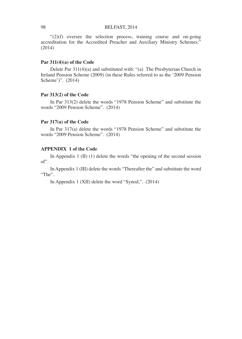$\cdot$  (2)(f) oversee the selection process, training course and on-going accreditation for the Accredited Preacher and Auxiliary Ministry Schemes;" (2014)

# **Par 311(4)(a) of the Code**

Delete Par 311(4)(a) and substituted with: "(a) The Presbyterian Church in Ireland Pension Scheme (2009) (in these Rules referred to as the '2009 Pension Scheme')". (2014)

# **Par 313(2) of the Code**

In Par 313(2) delete the words "1978 Pension Scheme" and substitute the words "2009 Pension Scheme". (2014)

#### **Par 317(a) of the Code**

In Par 317(a) delete the words "1978 Pension Scheme" and substitute the words "2009 Pension Scheme". (2014)

# **APPENDIX 1 of the Code**

In Appendix 1 (II) (1) delete the words "the opening of the second session of".

In Appendix 1 (III) delete the words "Thereafter the" and substitute the word "The".

In Appendix 1 (XII) delete the word "Synod,". (2014)